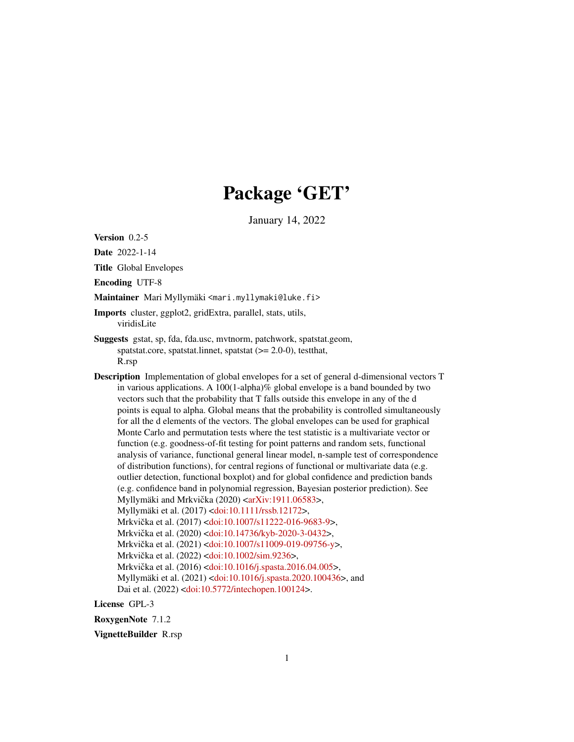# Package 'GET'

January 14, 2022

<span id="page-0-0"></span>Version 0.2-5

Date 2022-1-14

Title Global Envelopes

Encoding UTF-8

Maintainer Mari Myllymäki <mari.myllymaki@luke.fi>

- Imports cluster, ggplot2, gridExtra, parallel, stats, utils, viridisLite
- Suggests gstat, sp, fda, fda.usc, mvtnorm, patchwork, spatstat.geom, spatstat.core, spatstat.linnet, spatstat (>= 2.0-0), testthat, R.rsp
- Description Implementation of global envelopes for a set of general d-dimensional vectors T in various applications. A  $100(1-\text{alpha})\%$  global envelope is a band bounded by two vectors such that the probability that T falls outside this envelope in any of the d points is equal to alpha. Global means that the probability is controlled simultaneously for all the d elements of the vectors. The global envelopes can be used for graphical Monte Carlo and permutation tests where the test statistic is a multivariate vector or function (e.g. goodness-of-fit testing for point patterns and random sets, functional analysis of variance, functional general linear model, n-sample test of correspondence of distribution functions), for central regions of functional or multivariate data (e.g. outlier detection, functional boxplot) and for global confidence and prediction bands (e.g. confidence band in polynomial regression, Bayesian posterior prediction). See Myllymäki and Mrkvička (2020) < arXiv: 1911.06583>, Myllymäki et al. (2017) [<doi:10.1111/rssb.12172>](https://doi.org/10.1111/rssb.12172), Mrkvička et al. (2017) < [doi:10.1007/s11222-016-9683-9>](https://doi.org/10.1007/s11222-016-9683-9), Mrkvička et al. (2020) < [doi:10.14736/kyb-2020-3-0432>](https://doi.org/10.14736/kyb-2020-3-0432), Mrkvička et al. (2021) < [doi:10.1007/s11009-019-09756-y>](https://doi.org/10.1007/s11009-019-09756-y), Mrkvička et al. (2022) < [doi:10.1002/sim.9236>](https://doi.org/10.1002/sim.9236), Mrkvička et al. (2016) < [doi:10.1016/j.spasta.2016.04.005>](https://doi.org/10.1016/j.spasta.2016.04.005), Myllymäki et al. (2021) [<doi:10.1016/j.spasta.2020.100436>](https://doi.org/10.1016/j.spasta.2020.100436), and Dai et al. (2022) [<doi:10.5772/intechopen.100124>](https://doi.org/10.5772/intechopen.100124).

License GPL-3

RoxygenNote 7.1.2

VignetteBuilder R.rsp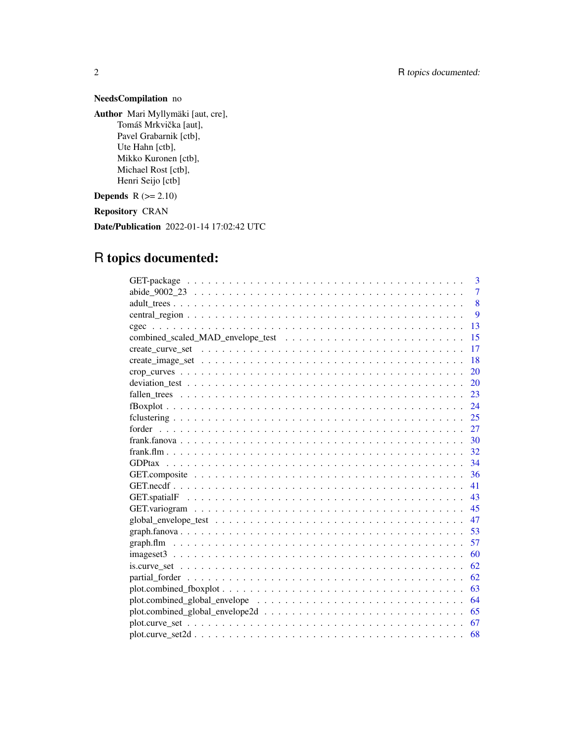# NeedsCompilation no

Author Mari Myllymäki [aut, cre], Tomáš Mrkvička [aut], Pavel Grabarnik [ctb], Ute Hahn [ctb], Mikko Kuronen [ctb], Michael Rost [ctb], Henri Seijo [ctb]

**Depends**  $R$  ( $>= 2.10$ )

Repository CRAN

Date/Publication 2022-01-14 17:02:42 UTC

# R topics documented:

|                    | 3              |
|--------------------|----------------|
|                    | $\overline{7}$ |
|                    | 8              |
|                    | 9              |
|                    | 13             |
|                    | 15             |
|                    | 17             |
|                    | 18             |
|                    | 20             |
|                    | 20             |
|                    | 23             |
|                    | 24             |
|                    |                |
|                    | 27             |
|                    |                |
| 32                 |                |
|                    | 34             |
|                    | 36             |
|                    | 41             |
|                    | 43             |
|                    |                |
|                    | 47             |
|                    |                |
|                    | 57             |
|                    | 60             |
|                    | 62             |
|                    | 62             |
|                    | 63             |
|                    | 64             |
|                    | 65             |
|                    | 67             |
| $plot.curve set2d$ | 68             |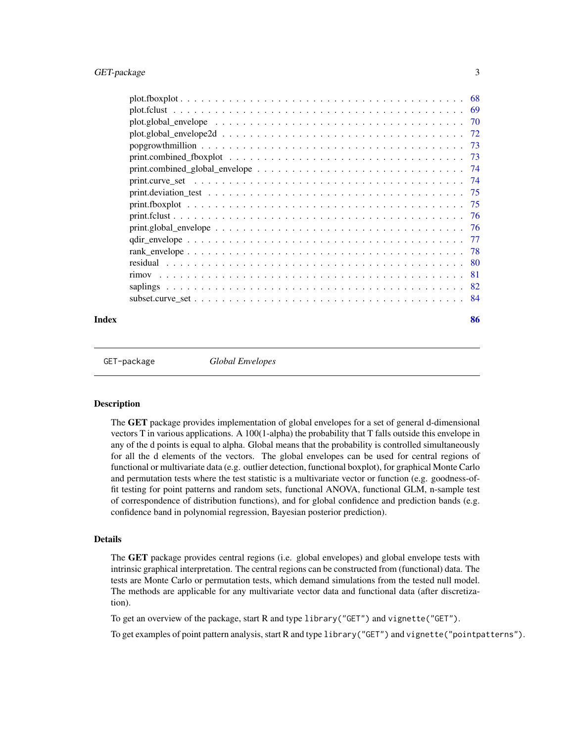<span id="page-2-0"></span>

| popgrowth million $\ldots \ldots \ldots \ldots \ldots \ldots \ldots \ldots \ldots \ldots \ldots \ldots \ldots$                       |  |
|--------------------------------------------------------------------------------------------------------------------------------------|--|
|                                                                                                                                      |  |
| $print.compile\_global\_envelope \dots \dots \dots \dots \dots \dots \dots \dots \dots \dots \dots \dots \dots \dots \dots \dots$    |  |
|                                                                                                                                      |  |
|                                                                                                                                      |  |
|                                                                                                                                      |  |
|                                                                                                                                      |  |
| $print.global\_envelope \dots \dots \dots \dots \dots \dots \dots \dots \dots \dots \dots \dots \dots \dots \dots \dots \dots \dots$ |  |
|                                                                                                                                      |  |
|                                                                                                                                      |  |
|                                                                                                                                      |  |
|                                                                                                                                      |  |
|                                                                                                                                      |  |
|                                                                                                                                      |  |
|                                                                                                                                      |  |

#### **Index [86](#page-85-0). In the set of the set of the set of the set of the set of the set of the set of the set of the set of the set of the set of the set of the set of the set of the set of the set of the set of the set of the set of**

GET-package *Global Envelopes*

# Description

The GET package provides implementation of global envelopes for a set of general d-dimensional vectors T in various applications. A 100(1-alpha) the probability that T falls outside this envelope in any of the d points is equal to alpha. Global means that the probability is controlled simultaneously for all the d elements of the vectors. The global envelopes can be used for central regions of functional or multivariate data (e.g. outlier detection, functional boxplot), for graphical Monte Carlo and permutation tests where the test statistic is a multivariate vector or function (e.g. goodness-offit testing for point patterns and random sets, functional ANOVA, functional GLM, n-sample test of correspondence of distribution functions), and for global confidence and prediction bands (e.g. confidence band in polynomial regression, Bayesian posterior prediction).

# Details

The GET package provides central regions (i.e. global envelopes) and global envelope tests with intrinsic graphical interpretation. The central regions can be constructed from (functional) data. The tests are Monte Carlo or permutation tests, which demand simulations from the tested null model. The methods are applicable for any multivariate vector data and functional data (after discretization).

To get an overview of the package, start R and type library("GET") and vignette("GET").

To get examples of point pattern analysis, start R and type library("GET") and vignette("pointpatterns").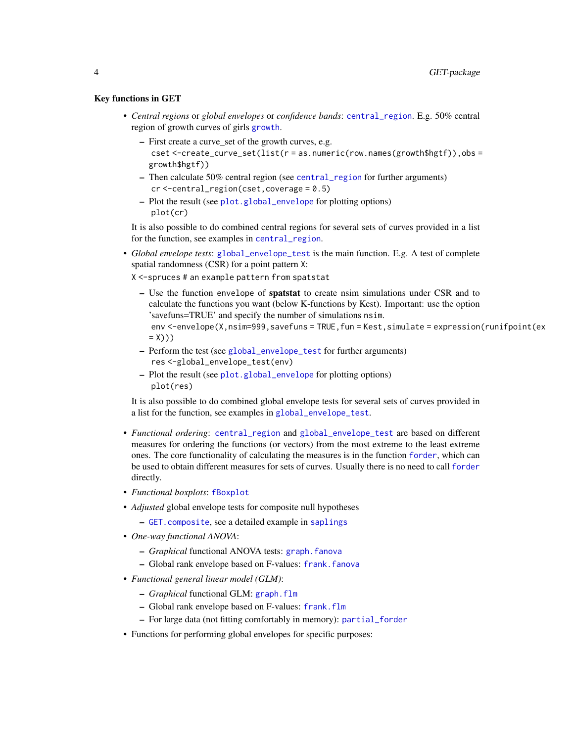# Key functions in GET

- *Central regions* or *global envelopes* or *confidence bands*: [central\\_region](#page-8-1). E.g. 50% central region of growth curves of girls [growth](#page-0-0).
	- First create a curve\_set of the growth curves, e.g. cset  $\le$ -create\_curve\_set(list(r = as.numeric(row.names(growth\$hgtf)),obs = growth\$hgtf))
	- Then calculate 50% central region (see [central\\_region](#page-8-1) for further arguments) cr <-central\_region(cset,coverage = 0.5)
	- Plot the result (see [plot.global\\_envelope](#page-69-1) for plotting options) plot(cr)

It is also possible to do combined central regions for several sets of curves provided in a list for the function, see examples in [central\\_region](#page-8-1).

- *Global envelope tests*: [global\\_envelope\\_test](#page-46-1) is the main function. E.g. A test of complete spatial randomness (CSR) for a point pattern X:
	- X <-spruces # an example pattern from spatstat
		- Use the function envelope of spatstat to create nsim simulations under CSR and to calculate the functions you want (below K-functions by Kest). Important: use the option 'savefuns=TRUE' and specify the number of simulations nsim. env <-envelope(X,nsim=999,savefuns = TRUE,fun = Kest,simulate = expression(runifpoint(ex  $=$  X)))
		- Perform the test (see [global\\_envelope\\_test](#page-46-1) for further arguments) res <-global\_envelope\_test(env)
		- Plot the result (see [plot.global\\_envelope](#page-69-1) for plotting options) plot(res)

It is also possible to do combined global envelope tests for several sets of curves provided in a list for the function, see examples in [global\\_envelope\\_test](#page-46-1).

- *Functional ordering*: [central\\_region](#page-8-1) and [global\\_envelope\\_test](#page-46-1) are based on different measures for ordering the functions (or vectors) from the most extreme to the least extreme ones. The core functionality of calculating the measures is in the function [forder](#page-26-1), which can be used to obtain different measures for sets of curves. Usually there is no need to call [forder](#page-26-1) directly.
- *Functional boxplots*: [fBoxplot](#page-23-1)
- *Adjusted* global envelope tests for composite null hypotheses
	- [GET.composite](#page-35-1), see a detailed example in [saplings](#page-81-1)
- *One-way functional ANOVA*:
	- *Graphical* functional ANOVA tests: [graph.fanova](#page-52-1)
	- Global rank envelope based on F-values: [frank.fanova](#page-29-1)
- *Functional general linear model (GLM)*:
	- *Graphical* functional GLM: [graph.flm](#page-56-1)
	- Global rank envelope based on F-values: [frank.flm](#page-31-1)
	- For large data (not fitting comfortably in memory): [partial\\_forder](#page-61-1)
- Functions for performing global envelopes for specific purposes: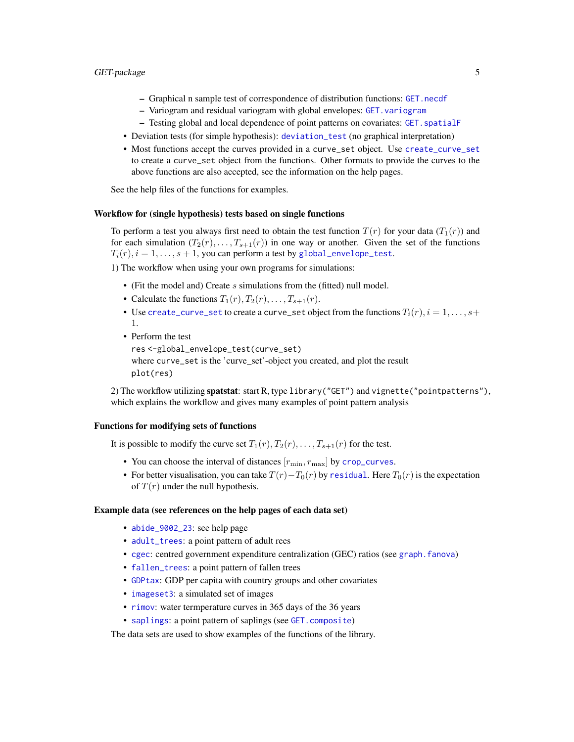- Graphical n sample test of correspondence of distribution functions: [GET.necdf](#page-40-1)
- Variogram and residual variogram with global envelopes: [GET.variogram](#page-44-1)
- Testing global and local dependence of point patterns on covariates: [GET.spatialF](#page-42-1)
- Deviation tests (for simple hypothesis): [deviation\\_test](#page-19-1) (no graphical interpretation)
- Most functions accept the curves provided in a curve\_set object. Use [create\\_curve\\_set](#page-16-1) to create a curve\_set object from the functions. Other formats to provide the curves to the above functions are also accepted, see the information on the help pages.

See the help files of the functions for examples.

# Workflow for (single hypothesis) tests based on single functions

To perform a test you always first need to obtain the test function  $T(r)$  for your data  $(T_1(r))$  and for each simulation  $(T_2(r), \ldots, T_{s+1}(r))$  in one way or another. Given the set of the functions  $T_i(r)$ ,  $i = 1, \ldots, s + 1$ , you can perform a test by [global\\_envelope\\_test](#page-46-1).

1) The workflow when using your own programs for simulations:

- (Fit the model and) Create  $s$  simulations from the (fitted) null model.
- Calculate the functions  $T_1(r), T_2(r), \ldots, T_{s+1}(r)$ .
- Use [create\\_curve\\_set](#page-16-1) to create a curve\_set object from the functions  $T_i(r)$ ,  $i = 1, \ldots, s+$ 1.
- Perform the test

res <-global\_envelope\_test(curve\_set) where curve\_set is the 'curve\_set'-object you created, and plot the result plot(res)

2) The workflow utilizing spatstat: start R, type library("GET") and vignette("pointpatterns"), which explains the workflow and gives many examples of point pattern analysis

#### Functions for modifying sets of functions

It is possible to modify the curve set  $T_1(r)$ ,  $T_2(r)$ , ...,  $T_{s+1}(r)$  for the test.

- You can choose the interval of distances  $[r_{\min}, r_{\max}]$  by [crop\\_curves](#page-19-2).
- For better visualisation, you can take  $T(r) T_0(r)$  by [residual](#page-79-1). Here  $T_0(r)$  is the expectation of  $T(r)$  under the null hypothesis.

#### Example data (see references on the help pages of each data set)

- [abide\\_9002\\_23](#page-6-1): see help page
- [adult\\_trees](#page-7-1): a point pattern of adult rees
- [cgec](#page-12-1): centred government expenditure centralization (GEC) ratios (see [graph.fanova](#page-52-1))
- [fallen\\_trees](#page-22-1): a point pattern of fallen trees
- [GDPtax](#page-33-1): GDP per capita with country groups and other covariates
- [imageset3](#page-59-1): a simulated set of images
- [rimov](#page-80-1): water termperature curves in 365 days of the 36 years
- [saplings](#page-81-1): a point pattern of saplings (see [GET.composite](#page-35-1))

The data sets are used to show examples of the functions of the library.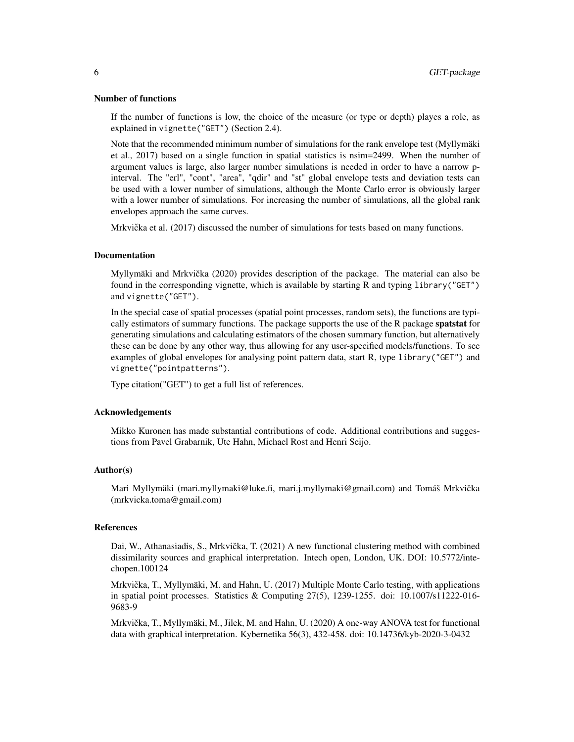#### Number of functions

If the number of functions is low, the choice of the measure (or type or depth) playes a role, as explained in vignette("GET") (Section 2.4).

Note that the recommended minimum number of simulations for the rank envelope test (Myllymäki et al., 2017) based on a single function in spatial statistics is nsim=2499. When the number of argument values is large, also larger number simulations is needed in order to have a narrow pinterval. The "erl", "cont", "area", "qdir" and "st" global envelope tests and deviation tests can be used with a lower number of simulations, although the Monte Carlo error is obviously larger with a lower number of simulations. For increasing the number of simulations, all the global rank envelopes approach the same curves.

Mrkvička et al. (2017) discussed the number of simulations for tests based on many functions.

#### **Documentation**

Myllymäki and Mrkvička (2020) provides description of the package. The material can also be found in the corresponding vignette, which is available by starting R and typing library("GET") and vignette("GET").

In the special case of spatial processes (spatial point processes, random sets), the functions are typically estimators of summary functions. The package supports the use of the R package **spatstat** for generating simulations and calculating estimators of the chosen summary function, but alternatively these can be done by any other way, thus allowing for any user-specified models/functions. To see examples of global envelopes for analysing point pattern data, start R, type library("GET") and vignette("pointpatterns").

Type citation("GET") to get a full list of references.

### Acknowledgements

Mikko Kuronen has made substantial contributions of code. Additional contributions and suggestions from Pavel Grabarnik, Ute Hahn, Michael Rost and Henri Seijo.

### Author(s)

Mari Myllymäki (mari.myllymaki@luke.fi, mari.j.myllymaki@gmail.com) and Tomáš Mrkvicka ˇ (mrkvicka.toma@gmail.com)

#### References

Dai, W., Athanasiadis, S., Mrkvička, T. (2021) A new functional clustering method with combined dissimilarity sources and graphical interpretation. Intech open, London, UK. DOI: 10.5772/intechopen.100124

Mrkvička, T., Myllymäki, M. and Hahn, U. (2017) Multiple Monte Carlo testing, with applications in spatial point processes. Statistics & Computing 27(5), 1239-1255. doi: 10.1007/s11222-016- 9683-9

Mrkvička, T., Myllymäki, M., Jilek, M. and Hahn, U. (2020) A one-way ANOVA test for functional data with graphical interpretation. Kybernetika 56(3), 432-458. doi: 10.14736/kyb-2020-3-0432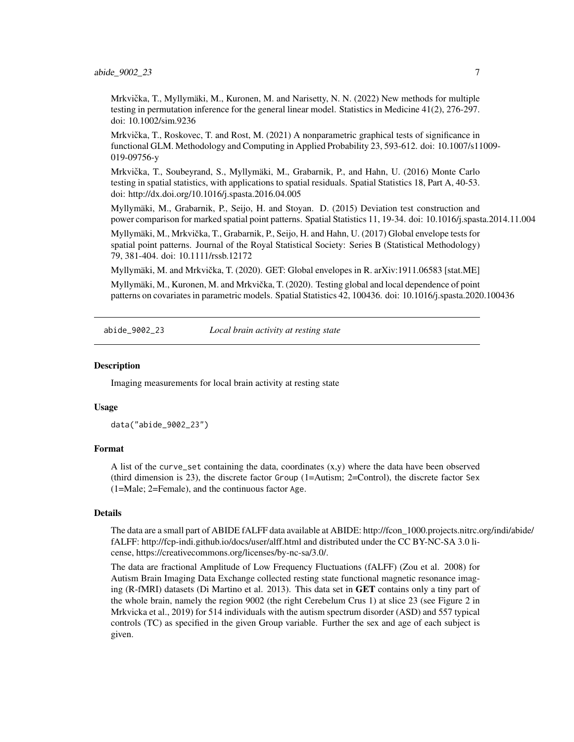<span id="page-6-0"></span>Mrkvička, T., Myllymäki, M., Kuronen, M. and Narisetty, N. N. (2022) New methods for multiple testing in permutation inference for the general linear model. Statistics in Medicine 41(2), 276-297. doi: 10.1002/sim.9236

Mrkvička, T., Roskovec, T. and Rost, M. (2021) A nonparametric graphical tests of significance in functional GLM. Methodology and Computing in Applied Probability 23, 593-612. doi: 10.1007/s11009- 019-09756-y

Mrkvicka, T., Soubeyrand, S., Myllymäki, M., Grabarnik, P., and Hahn, U. (2016) Monte Carlo ˇ testing in spatial statistics, with applications to spatial residuals. Spatial Statistics 18, Part A, 40-53. doi: http://dx.doi.org/10.1016/j.spasta.2016.04.005

Myllymäki, M., Grabarnik, P., Seijo, H. and Stoyan. D. (2015) Deviation test construction and power comparison for marked spatial point patterns. Spatial Statistics 11, 19-34. doi: 10.1016/j.spasta.2014.11.004

Myllymäki, M., Mrkvicka, T., Grabarnik, P., Seijo, H. and Hahn, U. (2017) Global envelope tests for ˇ spatial point patterns. Journal of the Royal Statistical Society: Series B (Statistical Methodology) 79, 381-404. doi: 10.1111/rssb.12172

Myllymäki, M. and Mrkvicka, T. (2020). GET: Global envelopes in R. arXiv:1911.06583 [stat.ME] ˇ

Myllymäki, M., Kuronen, M. and Mrkvicka, T. (2020). Testing global and local dependence of point ˇ patterns on covariates in parametric models. Spatial Statistics 42, 100436. doi: 10.1016/j.spasta.2020.100436

<span id="page-6-1"></span>abide\_9002\_23 *Local brain activity at resting state*

# Description

Imaging measurements for local brain activity at resting state

#### Usage

data("abide\_9002\_23")

# Format

A list of the curve\_set containing the data, coordinates (x,y) where the data have been observed (third dimension is 23), the discrete factor Group (1=Autism; 2=Control), the discrete factor Sex (1=Male; 2=Female), and the continuous factor Age.

# **Details**

The data are a small part of ABIDE fALFF data available at ABIDE: http://fcon\_1000.projects.nitrc.org/indi/abide/ fALFF: http://fcp-indi.github.io/docs/user/alff.html and distributed under the CC BY-NC-SA 3.0 license, https://creativecommons.org/licenses/by-nc-sa/3.0/.

The data are fractional Amplitude of Low Frequency Fluctuations (fALFF) (Zou et al. 2008) for Autism Brain Imaging Data Exchange collected resting state functional magnetic resonance imaging (R-fMRI) datasets (Di Martino et al. 2013). This data set in GET contains only a tiny part of the whole brain, namely the region 9002 (the right Cerebelum Crus 1) at slice 23 (see Figure 2 in Mrkvicka et al., 2019) for 514 individuals with the autism spectrum disorder (ASD) and 557 typical controls (TC) as specified in the given Group variable. Further the sex and age of each subject is given.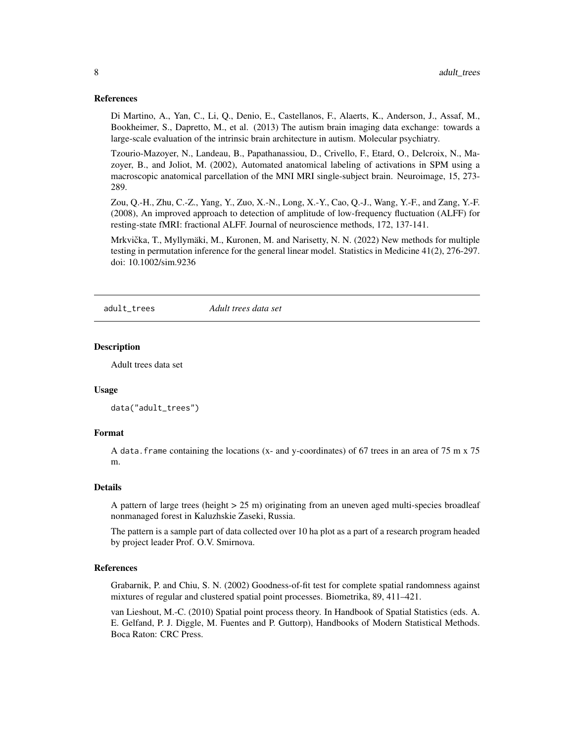# <span id="page-7-0"></span>References

Di Martino, A., Yan, C., Li, Q., Denio, E., Castellanos, F., Alaerts, K., Anderson, J., Assaf, M., Bookheimer, S., Dapretto, M., et al. (2013) The autism brain imaging data exchange: towards a large-scale evaluation of the intrinsic brain architecture in autism. Molecular psychiatry.

Tzourio-Mazoyer, N., Landeau, B., Papathanassiou, D., Crivello, F., Etard, O., Delcroix, N., Mazoyer, B., and Joliot, M. (2002), Automated anatomical labeling of activations in SPM using a macroscopic anatomical parcellation of the MNI MRI single-subject brain. Neuroimage, 15, 273- 289.

Zou, Q.-H., Zhu, C.-Z., Yang, Y., Zuo, X.-N., Long, X.-Y., Cao, Q.-J., Wang, Y.-F., and Zang, Y.-F. (2008), An improved approach to detection of amplitude of low-frequency fluctuation (ALFF) for resting-state fMRI: fractional ALFF. Journal of neuroscience methods, 172, 137-141.

Mrkvička, T., Myllymäki, M., Kuronen, M. and Narisetty, N. N. (2022) New methods for multiple testing in permutation inference for the general linear model. Statistics in Medicine 41(2), 276-297. doi: 10.1002/sim.9236

<span id="page-7-1"></span>adult\_trees *Adult trees data set*

# **Description**

Adult trees data set

#### Usage

```
data("adult_trees")
```
# Format

A data.frame containing the locations (x- and y-coordinates) of 67 trees in an area of 75 m x 75 m.

#### Details

A pattern of large trees (height  $> 25$  m) originating from an uneven aged multi-species broadleaf nonmanaged forest in Kaluzhskie Zaseki, Russia.

The pattern is a sample part of data collected over 10 ha plot as a part of a research program headed by project leader Prof. O.V. Smirnova.

#### References

Grabarnik, P. and Chiu, S. N. (2002) Goodness-of-fit test for complete spatial randomness against mixtures of regular and clustered spatial point processes. Biometrika, 89, 411–421.

van Lieshout, M.-C. (2010) Spatial point process theory. In Handbook of Spatial Statistics (eds. A. E. Gelfand, P. J. Diggle, M. Fuentes and P. Guttorp), Handbooks of Modern Statistical Methods. Boca Raton: CRC Press.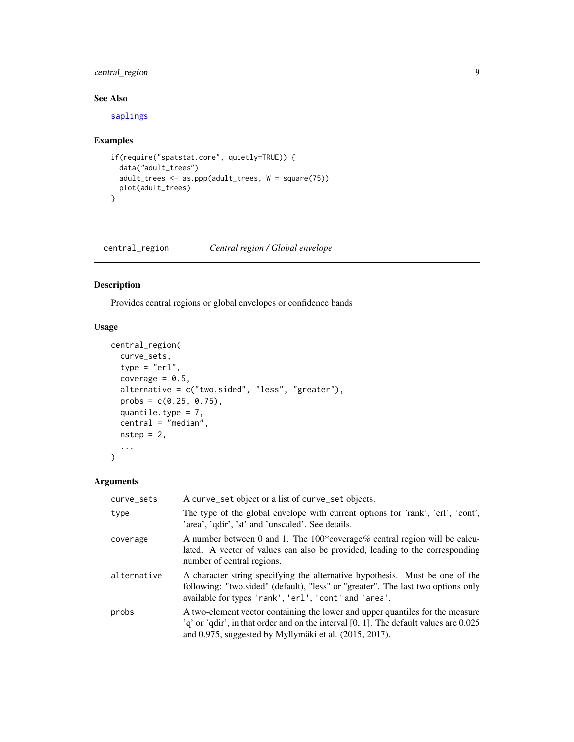# <span id="page-8-0"></span>central\_region 9

# See Also

[saplings](#page-81-1)

# Examples

```
if(require("spatstat.core", quietly=TRUE)) {
  data("adult_trees")
  adult_trees <- as.ppp(adult_trees, W = square(75))
 plot(adult_trees)
}
```
<span id="page-8-1"></span>central\_region *Central region / Global envelope*

# Description

Provides central regions or global envelopes or confidence bands

# Usage

```
central_region(
  curve_sets,
  type = "er1",coverage = 0.5,
  alternative = c("two.sided", "less", "greater"),
 probs = c(0.25, 0.75),
 quantile.type = 7,
 central = "median",
 nstep = 2,
  ...
\mathcal{L}
```
# Arguments

| curve_sets  | A curve_set object or a list of curve_set objects.                                                                                                                                                                                      |
|-------------|-----------------------------------------------------------------------------------------------------------------------------------------------------------------------------------------------------------------------------------------|
| type        | The type of the global envelope with current options for 'rank', 'erl', 'cont',<br>'area', 'qdir', 'st' and 'unscaled'. See details.                                                                                                    |
| coverage    | A number between 0 and 1. The $100*$ coverage% central region will be calcu-<br>lated. A vector of values can also be provided, leading to the corresponding<br>number of central regions.                                              |
| alternative | A character string specifying the alternative hypothesis. Must be one of the<br>following: "two.sided" (default), "less" or "greater". The last two options only<br>available for types 'rank', 'erl', 'cont' and 'area'.               |
| probs       | A two-element vector containing the lower and upper quantiles for the measure<br>$q'$ or 'qdir', in that order and on the interval [0, 1]. The default values are 0.025<br>and $0.975$ , suggested by Myllymäki et al. $(2015, 2017)$ . |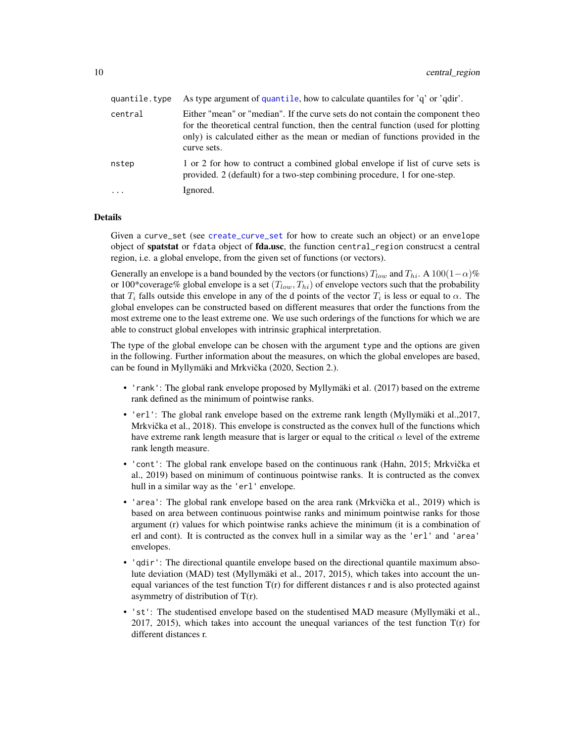| quantile.type | As type argument of quantile, how to calculate quantiles for 'q' or 'qdir'.                                                                                                                                                                                          |
|---------------|----------------------------------------------------------------------------------------------------------------------------------------------------------------------------------------------------------------------------------------------------------------------|
| central       | Either "mean" or "median". If the curve sets do not contain the component theo<br>for the theoretical central function, then the central function (used for plotting<br>only) is calculated either as the mean or median of functions provided in the<br>curve sets. |
| nstep         | 1 or 2 for how to contruct a combined global envelope if list of curve sets is<br>provided. 2 (default) for a two-step combining procedure, 1 for one-step.                                                                                                          |
| $\ddots$      | Ignored.                                                                                                                                                                                                                                                             |

# Details

Given a curve\_set (see [create\\_curve\\_set](#page-16-1) for how to create such an object) or an envelope object of spatstat or fdata object of fda.usc, the function central\_region construcst a central region, i.e. a global envelope, from the given set of functions (or vectors).

Generally an envelope is a band bounded by the vectors (or functions)  $T_{low}$  and  $T_{hi}$ . A 100(1– $\alpha$ )% or 100\*coverage% global envelope is a set  $(T_{low}, T_{hi})$  of envelope vectors such that the probability that  $T_i$  falls outside this envelope in any of the d points of the vector  $T_i$  is less or equal to  $\alpha$ . The global envelopes can be constructed based on different measures that order the functions from the most extreme one to the least extreme one. We use such orderings of the functions for which we are able to construct global envelopes with intrinsic graphical interpretation.

The type of the global envelope can be chosen with the argument type and the options are given in the following. Further information about the measures, on which the global envelopes are based, can be found in Myllymäki and Mrkvička (2020, Section 2.).

- 'rank': The global rank envelope proposed by Myllymäki et al. (2017) based on the extreme rank defined as the minimum of pointwise ranks.
- 'erl': The global rank envelope based on the extreme rank length (Myllymäki et al., 2017, Mrkvička et al.,  $2018$ ). This envelope is constructed as the convex hull of the functions which have extreme rank length measure that is larger or equal to the critical  $\alpha$  level of the extreme rank length measure.
- 'cont': The global rank envelope based on the continuous rank (Hahn, 2015; Mrkvička et al., 2019) based on minimum of continuous pointwise ranks. It is contructed as the convex hull in a similar way as the 'erl' envelope.
- 'area': The global rank envelope based on the area rank (Mrkvička et al., 2019) which is based on area between continuous pointwise ranks and minimum pointwise ranks for those argument (r) values for which pointwise ranks achieve the minimum (it is a combination of erl and cont). It is contructed as the convex hull in a similar way as the 'erl' and 'area' envelopes.
- 'qdir': The directional quantile envelope based on the directional quantile maximum absolute deviation (MAD) test (Myllymäki et al., 2017, 2015), which takes into account the unequal variances of the test function  $T(r)$  for different distances r and is also protected against asymmetry of distribution of  $T(r)$ .
- 'st': The studentised envelope based on the studentised MAD measure (Myllymäki et al., 2017, 2015), which takes into account the unequal variances of the test function T(r) for different distances r.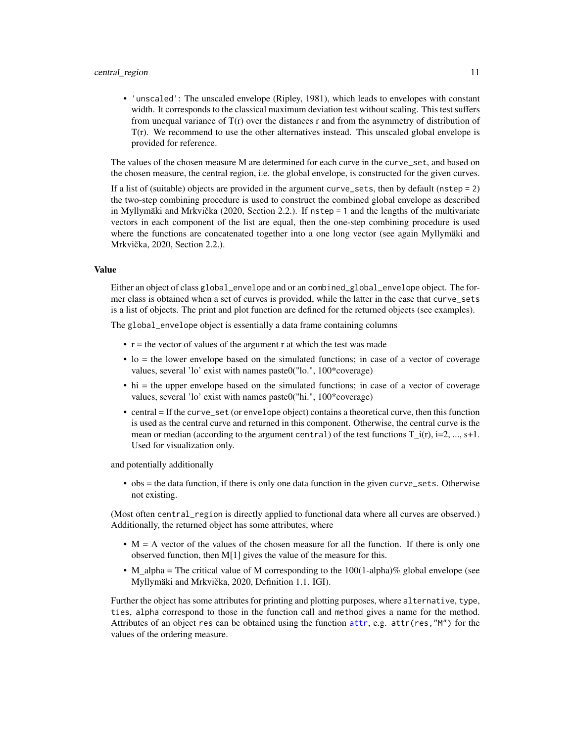#### central\_region 11

• 'unscaled': The unscaled envelope (Ripley, 1981), which leads to envelopes with constant width. It corresponds to the classical maximum deviation test without scaling. This test suffers from unequal variance of  $T(r)$  over the distances r and from the asymmetry of distribution of  $T(r)$ . We recommend to use the other alternatives instead. This unscaled global envelope is provided for reference.

The values of the chosen measure M are determined for each curve in the curve\_set, and based on the chosen measure, the central region, i.e. the global envelope, is constructed for the given curves.

If a list of (suitable) objects are provided in the argument curve\_sets, then by default (nstep = 2) the two-step combining procedure is used to construct the combined global envelope as described in Myllymäki and Mrkvička (2020, Section 2.2.). If  $nstep = 1$  and the lengths of the multivariate vectors in each component of the list are equal, then the one-step combining procedure is used where the functions are concatenated together into a one long vector (see again Myllymäki and Mrkvička, 2020, Section 2.2.).

# Value

Either an object of class global\_envelope and or an combined\_global\_envelope object. The former class is obtained when a set of curves is provided, while the latter in the case that curve\_sets is a list of objects. The print and plot function are defined for the returned objects (see examples).

The global\_envelope object is essentially a data frame containing columns

- $\bullet$  r = the vector of values of the argument r at which the test was made
- lo = the lower envelope based on the simulated functions; in case of a vector of coverage values, several 'lo' exist with names paste0("lo.", 100\*coverage)
- hi = the upper envelope based on the simulated functions; in case of a vector of coverage values, several 'lo' exist with names paste0("hi.", 100\*coverage)
- central = If the curve\_set (or envelope object) contains a theoretical curve, then this function is used as the central curve and returned in this component. Otherwise, the central curve is the mean or median (according to the argument central) of the test functions  $T_i(r)$ , i=2, ..., s+1. Used for visualization only.

and potentially additionally

• obs = the data function, if there is only one data function in the given curve\_sets. Otherwise not existing.

(Most often central\_region is directly applied to functional data where all curves are observed.) Additionally, the returned object has some attributes, where

- $\bullet$  M = A vector of the values of the chosen measure for all the function. If there is only one observed function, then M[1] gives the value of the measure for this.
- M\_alpha = The critical value of M corresponding to the  $100(1$ -alpha)% global envelope (see Myllymäki and Mrkvička, 2020, Definition 1.1. IGI).

Further the object has some attributes for printing and plotting purposes, where alternative, type, ties, alpha correspond to those in the function call and method gives a name for the method. Attributes of an object res can be obtained using the function [attr](#page-0-0), e.g. attr(res,"M") for the values of the ordering measure.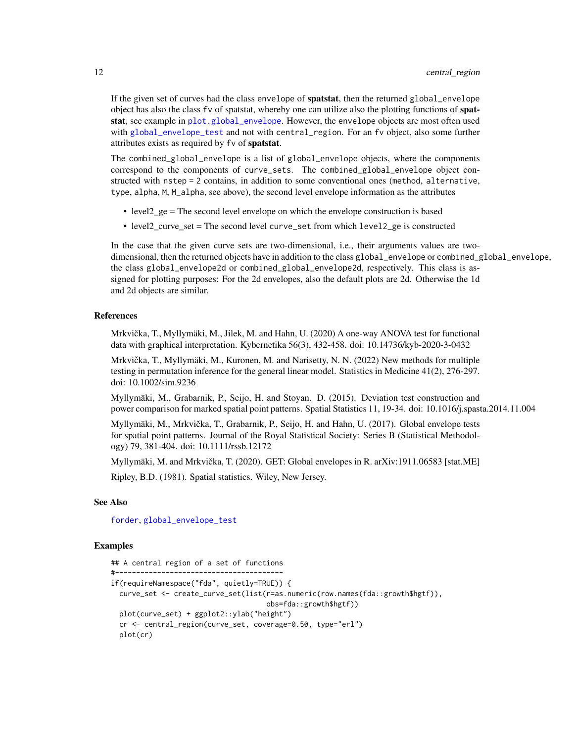If the given set of curves had the class envelope of spatstat, then the returned global\_envelope object has also the class fv of spatstat, whereby one can utilize also the plotting functions of spatstat, see example in [plot.global\\_envelope](#page-69-1). However, the envelope objects are most often used with [global\\_envelope\\_test](#page-46-1) and not with central\_region. For an fv object, also some further attributes exists as required by fv of spatstat.

The combined\_global\_envelope is a list of global\_envelope objects, where the components correspond to the components of curve\_sets. The combined\_global\_envelope object constructed with nstep = 2 contains, in addition to some conventional ones (method, alternative, type, alpha, M, M\_alpha, see above), the second level envelope information as the attributes

- level2\_ge = The second level envelope on which the envelope construction is based
- level2\_curve\_set = The second level curve\_set from which level2\_ge is constructed

In the case that the given curve sets are two-dimensional, i.e., their arguments values are twodimensional, then the returned objects have in addition to the class global\_envelope or combined\_global\_envelope, the class global\_envelope2d or combined\_global\_envelope2d, respectively. This class is assigned for plotting purposes: For the 2d envelopes, also the default plots are 2d. Otherwise the 1d and 2d objects are similar.

#### References

Mrkvička, T., Myllymäki, M., Jilek, M. and Hahn, U. (2020) A one-way ANOVA test for functional data with graphical interpretation. Kybernetika 56(3), 432-458. doi: 10.14736/kyb-2020-3-0432

Mrkvička, T., Myllymäki, M., Kuronen, M. and Narisetty, N. N. (2022) New methods for multiple testing in permutation inference for the general linear model. Statistics in Medicine 41(2), 276-297. doi: 10.1002/sim.9236

Myllymäki, M., Grabarnik, P., Seijo, H. and Stoyan. D. (2015). Deviation test construction and power comparison for marked spatial point patterns. Spatial Statistics 11, 19-34. doi: 10.1016/j.spasta.2014.11.004

Myllymäki, M., Mrkvicka, T., Grabarnik, P., Seijo, H. and Hahn, U. (2017). Global envelope tests ˇ for spatial point patterns. Journal of the Royal Statistical Society: Series B (Statistical Methodology) 79, 381-404. doi: 10.1111/rssb.12172

Myllymäki, M. and Mrkvička, T. (2020). GET: Global envelopes in R. arXiv:1911.06583 [stat.ME]

Ripley, B.D. (1981). Spatial statistics. Wiley, New Jersey.

#### See Also

[forder](#page-26-1), [global\\_envelope\\_test](#page-46-1)

```
## A central region of a set of functions
#----------------------------------------
if(requireNamespace("fda", quietly=TRUE)) {
 curve_set <- create_curve_set(list(r=as.numeric(row.names(fda::growth$hgtf)),
                                     obs=fda::growth$hgtf))
 plot(curve_set) + ggplot2::ylab("height")
 cr <- central_region(curve_set, coverage=0.50, type="erl")
 plot(cr)
```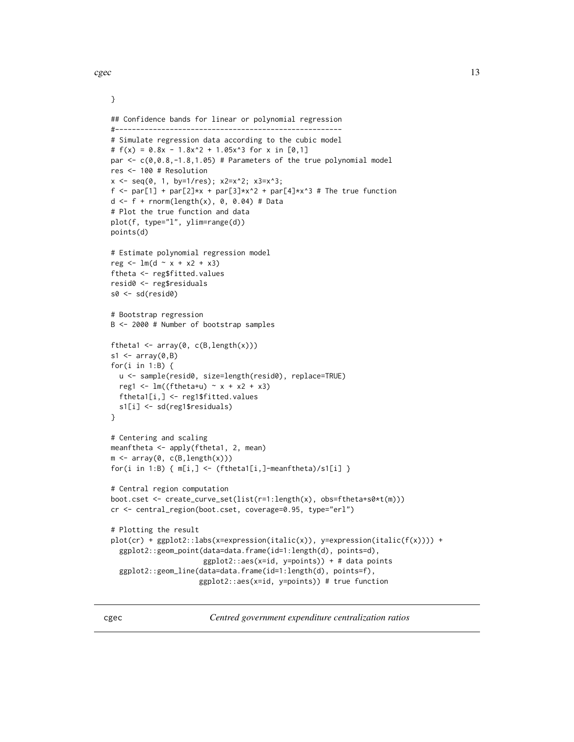<span id="page-12-0"></span> $c\text{gec}$  and  $\frac{13}{2}$ 

}

```
## Confidence bands for linear or polynomial regression
#------------------------------------------------------
# Simulate regression data according to the cubic model
# f(x) = 0.8x - 1.8x^2 + 1.05x^3 for x in [0,1]
par \leq c(0, 0.8, -1.8, 1.05) # Parameters of the true polynomial model
res <- 100 # Resolution
x \le - seq(0, 1, by=1/res); x2=x^2; x3=x^3;
f <- par[1] + par[2]*x + par[3]*x^2 + par[4]*x^3 # The true function
d \leq f + \text{norm}(\text{length}(x), 0, 0.04) \neq \text{Data}# Plot the true function and data
plot(f, type="l", ylim=range(d))
points(d)
# Estimate polynomial regression model
reg \leftarrow lm(d \sim x + x2 + x3)ftheta <- reg$fitted.values
resid0 <- reg$residuals
s0 <- sd(resid0)
# Bootstrap regression
B <- 2000 # Number of bootstrap samples
ftheta1 <- array(0, c(B, length(x)))s1 \leftarrow array(0, B)for(i in 1:B) {
  u <- sample(resid0, size=length(resid0), replace=TRUE)
  reg1 <- lm(ftheta+u) \sim x + x^2 + x^3ftheta1[i,] <- reg1$fitted.values
  s1[i] <- sd(reg1$residuals)
}
# Centering and scaling
meanftheta <- apply(ftheta1, 2, mean)
m \leftarrow \text{array}(0, c(B, length(x)))for(i in 1:B) { m[i, ] \leftarrow (ftheta1[i,]-meanftheta)/s1[i] }
# Central region computation
boot.cset <- create_curve_set(list(r=1:length(x), obs=ftheta+s0*t(m)))
cr <- central_region(boot.cset, coverage=0.95, type="erl")
# Plotting the result
plot(cr) + ggplot2::labs(x=expression(italic(x)), y=expression(italic(f(x)))) +
  ggplot2::geom_point(data=data.frame(id=1:length(d), points=d),
                       ggplot2::aes(x=id, y=points)) + # data points
  ggplot2::geom_line(data=data.frame(id=1:length(d), points=f),
                      ggplot2::aes(x=id, y=points)) # true function
```
<span id="page-12-1"></span>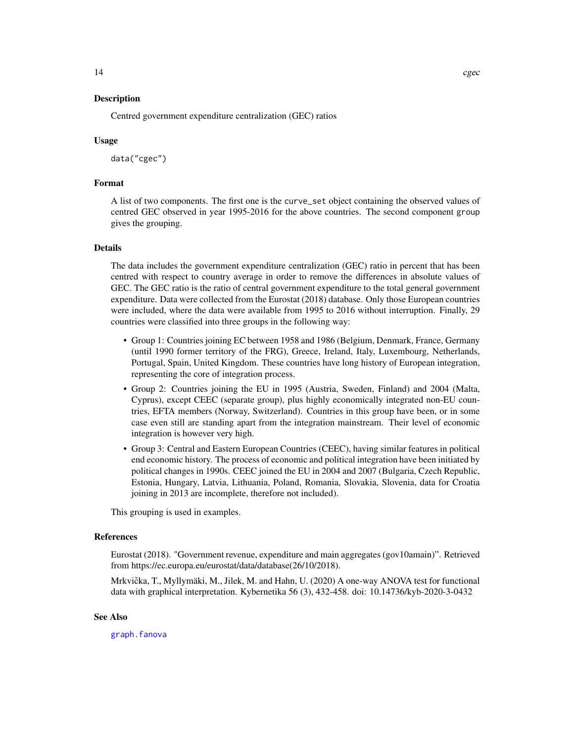# Description

Centred government expenditure centralization (GEC) ratios

# Usage

data("cgec")

# Format

A list of two components. The first one is the curve\_set object containing the observed values of centred GEC observed in year 1995-2016 for the above countries. The second component group gives the grouping.

# Details

The data includes the government expenditure centralization (GEC) ratio in percent that has been centred with respect to country average in order to remove the differences in absolute values of GEC. The GEC ratio is the ratio of central government expenditure to the total general government expenditure. Data were collected from the Eurostat (2018) database. Only those European countries were included, where the data were available from 1995 to 2016 without interruption. Finally, 29 countries were classified into three groups in the following way:

- Group 1: Countries joining EC between 1958 and 1986 (Belgium, Denmark, France, Germany (until 1990 former territory of the FRG), Greece, Ireland, Italy, Luxembourg, Netherlands, Portugal, Spain, United Kingdom. These countries have long history of European integration, representing the core of integration process.
- Group 2: Countries joining the EU in 1995 (Austria, Sweden, Finland) and 2004 (Malta, Cyprus), except CEEC (separate group), plus highly economically integrated non-EU countries, EFTA members (Norway, Switzerland). Countries in this group have been, or in some case even still are standing apart from the integration mainstream. Their level of economic integration is however very high.
- Group 3: Central and Eastern European Countries (CEEC), having similar features in political end economic history. The process of economic and political integration have been initiated by political changes in 1990s. CEEC joined the EU in 2004 and 2007 (Bulgaria, Czech Republic, Estonia, Hungary, Latvia, Lithuania, Poland, Romania, Slovakia, Slovenia, data for Croatia joining in 2013 are incomplete, therefore not included).

This grouping is used in examples.

#### References

Eurostat (2018). "Government revenue, expenditure and main aggregates (gov10amain)". Retrieved from https://ec.europa.eu/eurostat/data/database(26/10/2018).

Mrkvička, T., Myllymäki, M., Jilek, M. and Hahn, U. (2020) A one-way ANOVA test for functional data with graphical interpretation. Kybernetika 56 (3), 432-458. doi: 10.14736/kyb-2020-3-0432

# See Also

[graph.fanova](#page-52-1)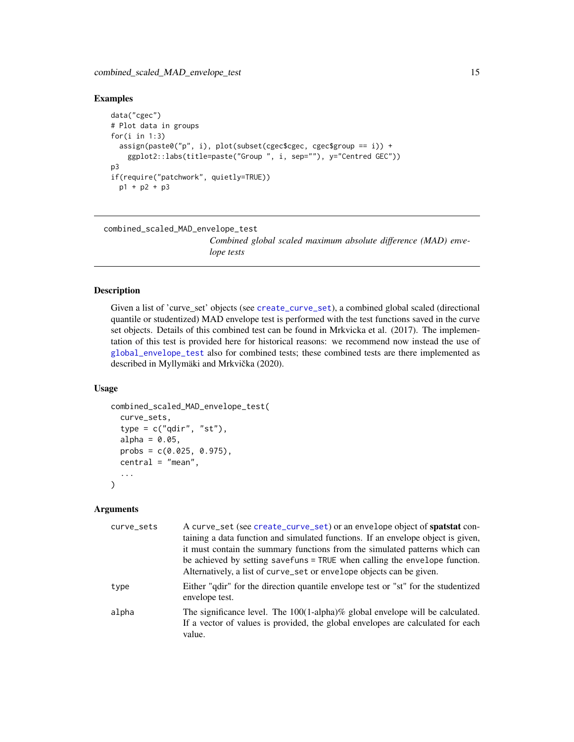# <span id="page-14-0"></span>Examples

```
data("cgec")
# Plot data in groups
for(i in 1:3)assign(paste0("p", i), plot(subset(cgec$cgec, cgec$group == i)) +
    ggplot2::labs(title=paste("Group ", i, sep=""), y="Centred GEC"))
p3
if(require("patchwork", quietly=TRUE))
  p1 + p2 + p3
```

```
combined_scaled_MAD_envelope_test
```
*Combined global scaled maximum absolute difference (MAD) envelope tests*

# Description

Given a list of 'curve\_set' objects (see [create\\_curve\\_set](#page-16-1)), a combined global scaled (directional quantile or studentized) MAD envelope test is performed with the test functions saved in the curve set objects. Details of this combined test can be found in Mrkvicka et al. (2017). The implementation of this test is provided here for historical reasons: we recommend now instead the use of [global\\_envelope\\_test](#page-46-1) also for combined tests; these combined tests are there implemented as described in Myllymäki and Mrkvička (2020).

# Usage

```
combined_scaled_MAD_envelope_test(
  curve_sets,
  type = c("qdir", "st"),
  alpha = 0.05,
  probs = c(0.025, 0.975),
  central = "mean",...
)
```
# Arguments

| curve_sets | A curve_set (see create_curve_set) or an envelope object of spatstat con-<br>taining a data function and simulated functions. If an envelope object is given,<br>it must contain the summary functions from the simulated patterns which can<br>be achieved by setting savefuns = TRUE when calling the envelope function. |
|------------|----------------------------------------------------------------------------------------------------------------------------------------------------------------------------------------------------------------------------------------------------------------------------------------------------------------------------|
|            | Alternatively, a list of curve_set or envelope objects can be given.                                                                                                                                                                                                                                                       |
| type       | Either "qdir" for the direction quantile envelope test or "st" for the studentized<br>envelope test.                                                                                                                                                                                                                       |
| alpha      | The significance level. The 100(1-alpha)% global envelope will be calculated.<br>If a vector of values is provided, the global envelopes are calculated for each<br>value.                                                                                                                                                 |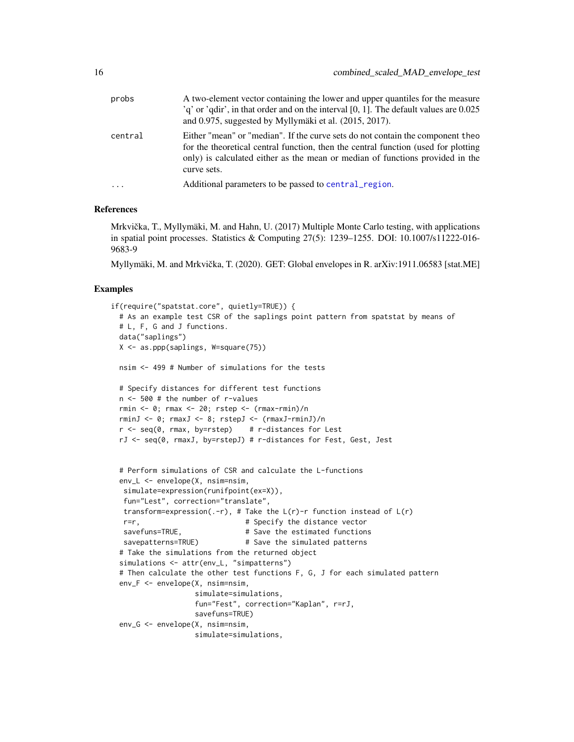| probs   | A two-element vector containing the lower and upper quantiles for the measure<br>$q'$ or 'qdir', in that order and on the interval [0, 1]. The default values are 0.025<br>and $0.975$ , suggested by Myllymäki et al. $(2015, 2017)$ .                              |
|---------|----------------------------------------------------------------------------------------------------------------------------------------------------------------------------------------------------------------------------------------------------------------------|
| central | Either "mean" or "median". If the curve sets do not contain the component theo<br>for the theoretical central function, then the central function (used for plotting<br>only) is calculated either as the mean or median of functions provided in the<br>curve sets. |

#### References

Mrkvička, T., Myllymäki, M. and Hahn, U. (2017) Multiple Monte Carlo testing, with applications in spatial point processes. Statistics & Computing 27(5): 1239–1255. DOI: 10.1007/s11222-016- 9683-9

... Additional parameters to be passed to [central\\_region](#page-8-1).

Myllymäki, M. and Mrkvicka, T. (2020). GET: Global envelopes in R. arXiv:1911.06583 [stat.ME] ˇ

```
if(require("spatstat.core", quietly=TRUE)) {
 # As an example test CSR of the saplings point pattern from spatstat by means of
 # L, F, G and J functions.
 data("saplings")
 X <- as.ppp(saplings, W=square(75))
 nsim <- 499 # Number of simulations for the tests
 # Specify distances for different test functions
 n <- 500 # the number of r-values
 rmin <- 0; rmax <- 20; rstep <- (rmax-rmin)/n
 rminJ <- 0; rmaxJ <- 8; rstepJ <- (rmaxJ-rminJ)/n
 r \leq -\text{seq}(0, \text{rmax}, \text{by=rstep}) # r-distances for Lest
 rJ <- seq(0, rmaxJ, by=rstepJ) # r-distances for Fest, Gest, Jest
 # Perform simulations of CSR and calculate the L-functions
 env_L <- envelope(X, nsim=nsim,
  simulate=expression(runifpoint(ex=X)),
   fun="Lest", correction="translate",
   transform=expression(.-r), # Take the L(r)-r function instead of L(r)r=r, \qquad # Specify the distance vector
  savefuns=TRUE, \qquad \qquad \qquad \text{# Save the estimated functions}savepatterns=TRUE) # Save the simulated patterns
 # Take the simulations from the returned object
 simulations <- attr(env_L, "simpatterns")
 # Then calculate the other test functions F, G, J for each simulated pattern
 env_F <- envelope(X, nsim=nsim,
                    simulate=simulations,
                    fun="Fest", correction="Kaplan", r=rJ,
                    savefuns=TRUE)
 env_G <- envelope(X, nsim=nsim,
                    simulate=simulations,
```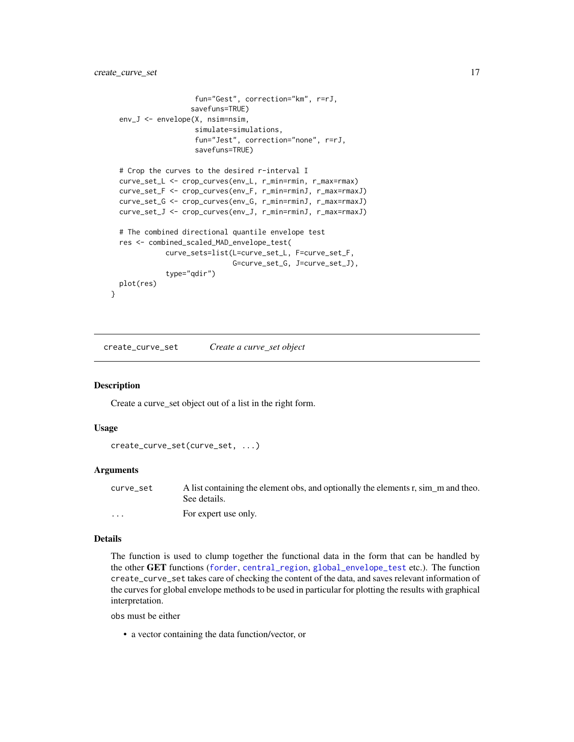```
fun="Gest", correction="km", r=rJ,
                   savefuns=TRUE)
 env_J <- envelope(X, nsim=nsim,
                    simulate=simulations,
                    fun="Jest", correction="none", r=rJ,
                    savefuns=TRUE)
 # Crop the curves to the desired r-interval I
 curve_set_L <- crop_curves(env_L, r_min=rmin, r_max=rmax)
 curve_set_F <- crop_curves(env_F, r_min=rminJ, r_max=rmaxJ)
 curve_set_G <- crop_curves(env_G, r_min=rminJ, r_max=rmaxJ)
 curve_set_J <- crop_curves(env_J, r_min=rminJ, r_max=rmaxJ)
 # The combined directional quantile envelope test
 res <- combined_scaled_MAD_envelope_test(
             curve_sets=list(L=curve_set_L, F=curve_set_F,
                             G=curve_set_G, J=curve_set_J),
             type="qdir")
 plot(res)
}
```
<span id="page-16-1"></span>create\_curve\_set *Create a curve\_set object*

# Description

Create a curve\_set object out of a list in the right form.

#### Usage

```
create_curve_set(curve_set, ...)
```
## Arguments

| curve set | A list containing the element obs, and optionally the elements r, sim m and theo.<br>See details. |
|-----------|---------------------------------------------------------------------------------------------------|
| $\cdots$  | For expert use only.                                                                              |

#### Details

The function is used to clump together the functional data in the form that can be handled by the other GET functions ([forder](#page-26-1), [central\\_region](#page-8-1), [global\\_envelope\\_test](#page-46-1) etc.). The function create\_curve\_set takes care of checking the content of the data, and saves relevant information of the curves for global envelope methods to be used in particular for plotting the results with graphical interpretation.

obs must be either

• a vector containing the data function/vector, or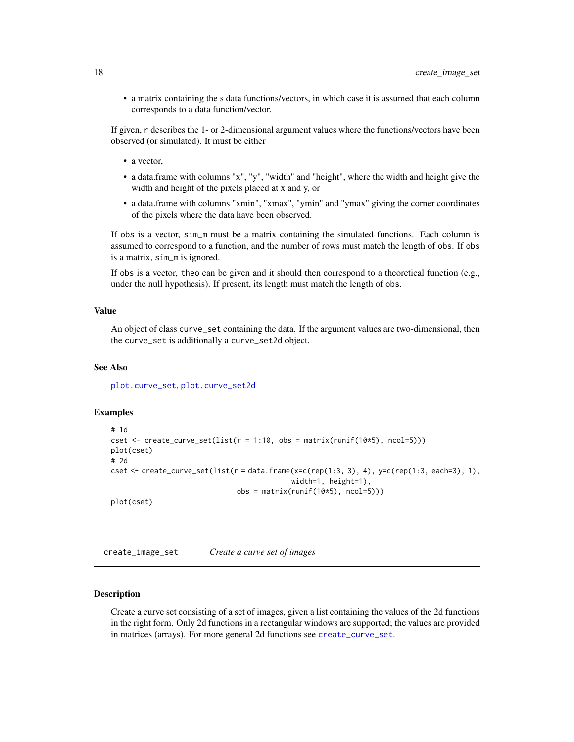<span id="page-17-0"></span>• a matrix containing the s data functions/vectors, in which case it is assumed that each column corresponds to a data function/vector.

If given, r describes the 1- or 2-dimensional argument values where the functions/vectors have been observed (or simulated). It must be either

- a vector,
- a data.frame with columns "x", "y", "width" and "height", where the width and height give the width and height of the pixels placed at x and y, or
- a data.frame with columns "xmin", "xmax", "ymin" and "ymax" giving the corner coordinates of the pixels where the data have been observed.

If obs is a vector, sim\_m must be a matrix containing the simulated functions. Each column is assumed to correspond to a function, and the number of rows must match the length of obs. If obs is a matrix, sim\_m is ignored.

If obs is a vector, theo can be given and it should then correspond to a theoretical function (e.g., under the null hypothesis). If present, its length must match the length of obs.

# Value

An object of class curve\_set containing the data. If the argument values are two-dimensional, then the curve\_set is additionally a curve\_set2d object.

# See Also

[plot.curve\\_set](#page-66-1), [plot.curve\\_set2d](#page-67-1)

# Examples

```
# 1d
cset \le create_curve_set(list(r = 1:10, obs = matrix(runif(10*5), ncol=5)))
plot(cset)
# 2d
cset \le create_curve_set(list(r = data.frame(x=c(rep(1:3, 3), 4), y=c(rep(1:3, each=3), 1),
                                            width=1, height=1),
                              obs = matrix(runit(10*5), ncol=5))plot(cset)
```
create\_image\_set *Create a curve set of images*

# Description

Create a curve set consisting of a set of images, given a list containing the values of the 2d functions in the right form. Only 2d functions in a rectangular windows are supported; the values are provided in matrices (arrays). For more general 2d functions see [create\\_curve\\_set](#page-16-1).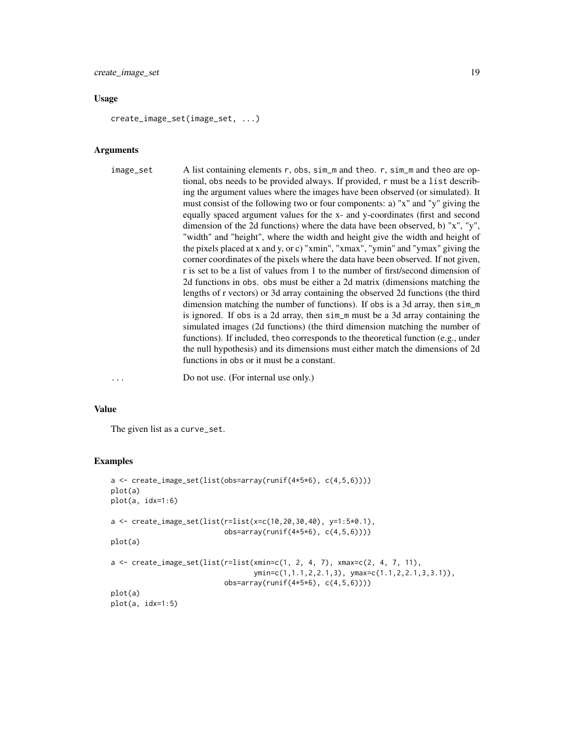# Usage

create\_image\_set(image\_set, ...)

#### Arguments

image\_set A list containing elements r, obs, sim\_m and theo. r, sim\_m and theo are optional, obs needs to be provided always. If provided, r must be a list describing the argument values where the images have been observed (or simulated). It must consist of the following two or four components: a) "x" and "y" giving the equally spaced argument values for the x- and y-coordinates (first and second dimension of the 2d functions) where the data have been observed, b) "x", "y", "width" and "height", where the width and height give the width and height of the pixels placed at x and y, or c) "xmin", "xmax", "ymin" and "ymax" giving the corner coordinates of the pixels where the data have been observed. If not given, r is set to be a list of values from 1 to the number of first/second dimension of 2d functions in obs. obs must be either a 2d matrix (dimensions matching the lengths of r vectors) or 3d array containing the observed 2d functions (the third dimension matching the number of functions). If obs is a 3d array, then sim\_m is ignored. If obs is a 2d array, then sim\_m must be a 3d array containing the simulated images (2d functions) (the third dimension matching the number of functions). If included, theo corresponds to the theoretical function (e.g., under the null hypothesis) and its dimensions must either match the dimensions of 2d functions in obs or it must be a constant.

... Do not use. (For internal use only.)

#### Value

The given list as a curve\_set.

```
a <- create_image_set(list(obs=array(runif(4*5*6), c(4,5,6))))
plot(a)
plot(a, idx=1:6)
a <- create_image_set(list(r=list(x=c(10,20,30,40), y=1:5*0.1),
                            obs=array(runif(4*5*6), c(4,5,6))))
plot(a)
a \leftarrow \text{create\_image\_set(list(r=list(xmin=c(1, 2, 4, 7), xmax=c(2, 4, 7, 11)),ymin=c(1,1.1,2,2.1,3), ymax=c(1.1,2,2.1,3,3.1)),
                            obs=array(runif(4*5*6), c(4,5,6))))
plot(a)
plot(a, idx=1:5)
```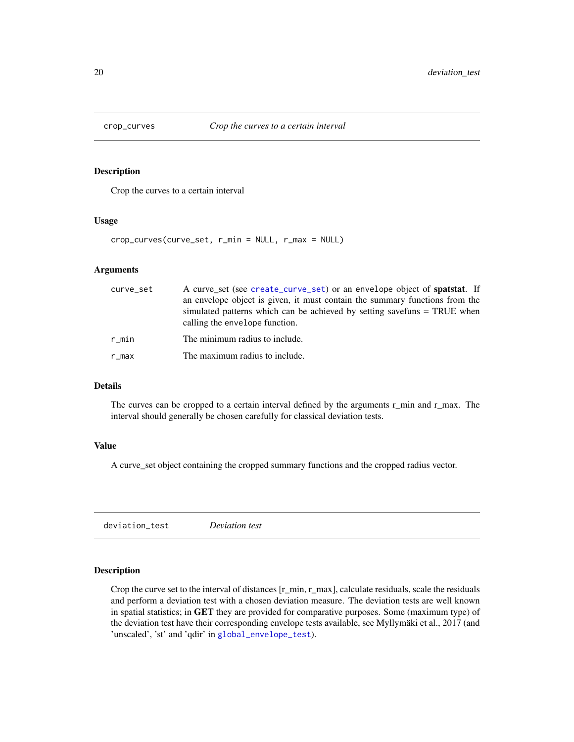<span id="page-19-2"></span><span id="page-19-0"></span>

# Description

Crop the curves to a certain interval

### Usage

crop\_curves(curve\_set, r\_min = NULL, r\_max = NULL)

# Arguments

| curve_set | A curve_set (see create_curve_set) or an envelope object of spatstat. If<br>an envelope object is given, it must contain the summary functions from the<br>simulated patterns which can be achieved by setting savefuns = TRUE when<br>calling the envelope function. |
|-----------|-----------------------------------------------------------------------------------------------------------------------------------------------------------------------------------------------------------------------------------------------------------------------|
| $r$ _min  | The minimum radius to include.                                                                                                                                                                                                                                        |
| r_max     | The maximum radius to include.                                                                                                                                                                                                                                        |

# Details

The curves can be cropped to a certain interval defined by the arguments r\_min and r\_max. The interval should generally be chosen carefully for classical deviation tests.

# Value

A curve\_set object containing the cropped summary functions and the cropped radius vector.

<span id="page-19-1"></span>deviation\_test *Deviation test*

# Description

Crop the curve set to the interval of distances  $[r_mmin, r_max]$ , calculate residuals, scale the residuals and perform a deviation test with a chosen deviation measure. The deviation tests are well known in spatial statistics; in GET they are provided for comparative purposes. Some (maximum type) of the deviation test have their corresponding envelope tests available, see Myllymäki et al., 2017 (and 'unscaled', 'st' and 'qdir' in [global\\_envelope\\_test](#page-46-1)).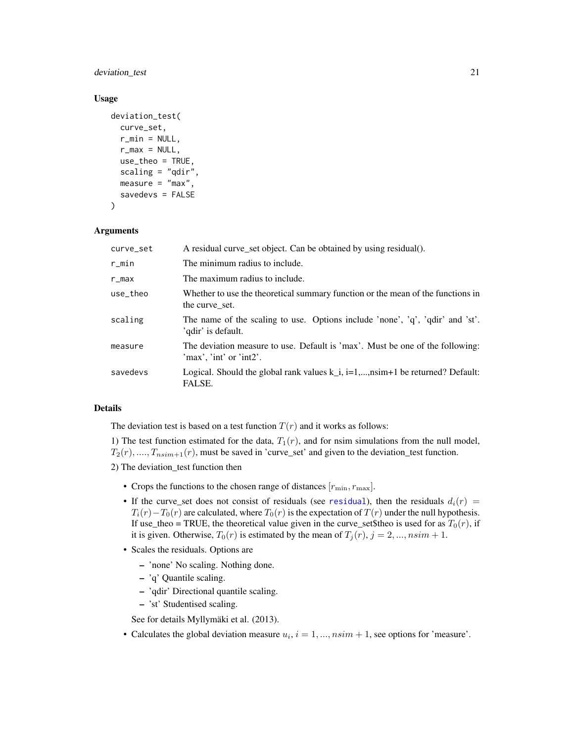deviation\_test 21

# Usage

```
deviation_test(
  curve_set,
  r_{min} = NULL,
  r_{max} = NULL,
  use_theo = TRUE,
  scaling = "qdir",
  measure = "max",
  savedevs = FALSE
)
```
# Arguments

| curve_set | A residual curve_set object. Can be obtained by using residual().                                           |
|-----------|-------------------------------------------------------------------------------------------------------------|
| $r$ _min  | The minimum radius to include.                                                                              |
| $r_{max}$ | The maximum radius to include.                                                                              |
| use_theo  | Whether to use the theoretical summary function or the mean of the functions in<br>the curve set.           |
| scaling   | The name of the scaling to use. Options include 'none', 'q', 'qdir' and 'st'.<br>'qdir' is default.         |
| measure   | The deviation measure to use. Default is 'max'. Must be one of the following:<br>$'$ max', 'int' or 'int2'. |
| savedevs  | Logical. Should the global rank values $k_i$ , $i=1,,n$ sim+1 be returned? Default:<br>FALSE.               |

# Details

The deviation test is based on a test function  $T(r)$  and it works as follows:

1) The test function estimated for the data,  $T_1(r)$ , and for nsim simulations from the null model,  $T_2(r), \ldots, T_{nsim+1}(r)$ , must be saved in 'curve\_set' and given to the deviation\_test function.

2) The deviation\_test function then

- Crops the functions to the chosen range of distances  $[r_{\min}, r_{\max}]$ .
- If the curve\_set does not consist of [residual](#page-79-1)s (see residual), then the residuals  $d_i(r)$  =  $T_i(r) - T_0(r)$  are calculated, where  $T_0(r)$  is the expectation of  $T(r)$  under the null hypothesis. If use\_theo = TRUE, the theoretical value given in the curve\_set\$theo is used for as  $T_0(r)$ , if it is given. Otherwise,  $T_0(r)$  is estimated by the mean of  $T_j(r)$ ,  $j = 2, ..., nsim + 1$ .
- Scales the residuals. Options are
	- 'none' No scaling. Nothing done.
	- 'q' Quantile scaling.
	- 'qdir' Directional quantile scaling.
	- 'st' Studentised scaling.

See for details Myllymäki et al. (2013).

• Calculates the global deviation measure  $u_i$ ,  $i = 1, ..., nsim + 1$ , see options for 'measure'.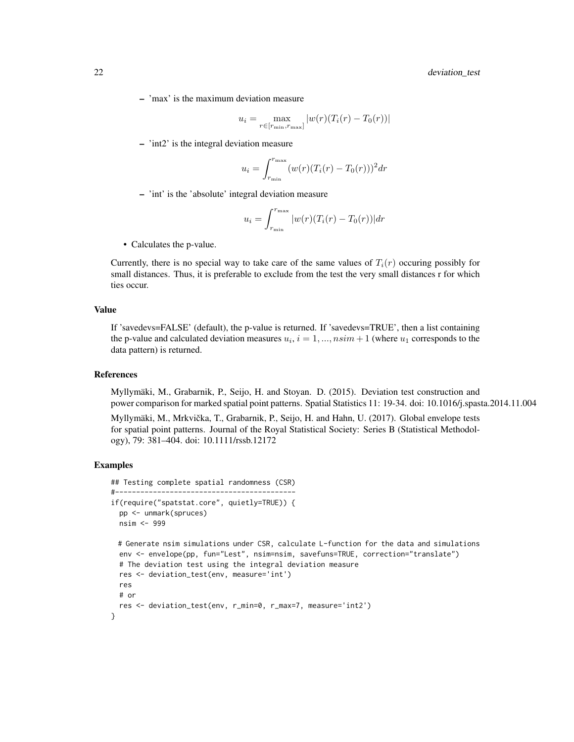– 'max' is the maximum deviation measure

$$
u_i = \max_{r \in [r_{\min}, r_{\max}]} |w(r)(T_i(r) - T_0(r))|
$$

– 'int2' is the integral deviation measure

$$
u_i = \int_{r_{\min}}^{r_{\max}} (w(r)(T_i(r) - T_0(r)))^2 dr
$$

– 'int' is the 'absolute' integral deviation measure

$$
u_i = \int_{r_{\min}}^{r_{\max}} |w(r)(T_i(r) - T_0(r))| dr
$$

• Calculates the p-value.

Currently, there is no special way to take care of the same values of  $T_i(r)$  occuring possibly for small distances. Thus, it is preferable to exclude from the test the very small distances r for which ties occur.

# Value

If 'savedevs=FALSE' (default), the p-value is returned. If 'savedevs=TRUE', then a list containing the p-value and calculated deviation measures  $u_i$ ,  $i = 1, ..., nsim + 1$  (where  $u_1$  corresponds to the data pattern) is returned.

# References

Myllymäki, M., Grabarnik, P., Seijo, H. and Stoyan. D. (2015). Deviation test construction and power comparison for marked spatial point patterns. Spatial Statistics 11: 19-34. doi: 10.1016/j.spasta.2014.11.004

Myllymäki, M., Mrkvička, T., Grabarnik, P., Seijo, H. and Hahn, U. (2017). Global envelope tests for spatial point patterns. Journal of the Royal Statistical Society: Series B (Statistical Methodology), 79: 381–404. doi: 10.1111/rssb.12172

```
## Testing complete spatial randomness (CSR)
#-------------------------------------------
if(require("spatstat.core", quietly=TRUE)) {
 pp <- unmark(spruces)
 nsim <- 999
 # Generate nsim simulations under CSR, calculate L-function for the data and simulations
 env <- envelope(pp, fun="Lest", nsim=nsim, savefuns=TRUE, correction="translate")
 # The deviation test using the integral deviation measure
 res <- deviation_test(env, measure='int')
 res
 # or
 res <- deviation_test(env, r_min=0, r_max=7, measure='int2')
}
```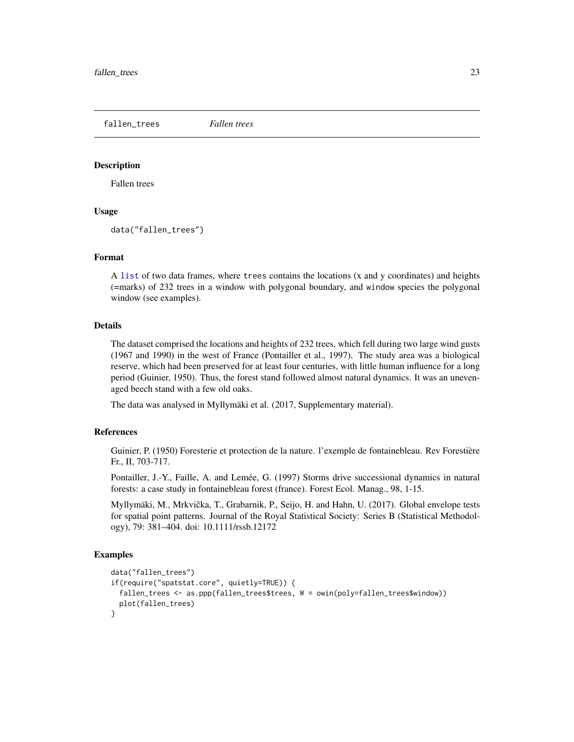<span id="page-22-1"></span><span id="page-22-0"></span>fallen\_trees *Fallen trees*

# **Description**

Fallen trees

# Usage

```
data("fallen_trees")
```
# Format

A [list](#page-0-0) of two data frames, where trees contains the locations (x and y coordinates) and heights (=marks) of 232 trees in a window with polygonal boundary, and window species the polygonal window (see examples).

# Details

The dataset comprised the locations and heights of 232 trees, which fell during two large wind gusts (1967 and 1990) in the west of France (Pontailler et al., 1997). The study area was a biological reserve, which had been preserved for at least four centuries, with little human influence for a long period (Guinier, 1950). Thus, the forest stand followed almost natural dynamics. It was an unevenaged beech stand with a few old oaks.

The data was analysed in Myllymäki et al. (2017, Supplementary material).

# References

Guinier, P. (1950) Foresterie et protection de la nature. l'exemple de fontainebleau. Rev Forestière Fr., II, 703-717.

Pontailler, J.-Y., Faille, A. and Lemée, G. (1997) Storms drive successional dynamics in natural forests: a case study in fontainebleau forest (france). Forest Ecol. Manag., 98, 1-15.

Myllymäki, M., Mrkvička, T., Grabarnik, P., Seijo, H. and Hahn, U. (2017). Global envelope tests for spatial point patterns. Journal of the Royal Statistical Society: Series B (Statistical Methodology), 79: 381–404. doi: 10.1111/rssb.12172

```
data("fallen_trees")
if(require("spatstat.core", quietly=TRUE)) {
 fallen_trees <- as.ppp(fallen_trees$trees, W = owin(poly=fallen_trees$window))
 plot(fallen_trees)
}
```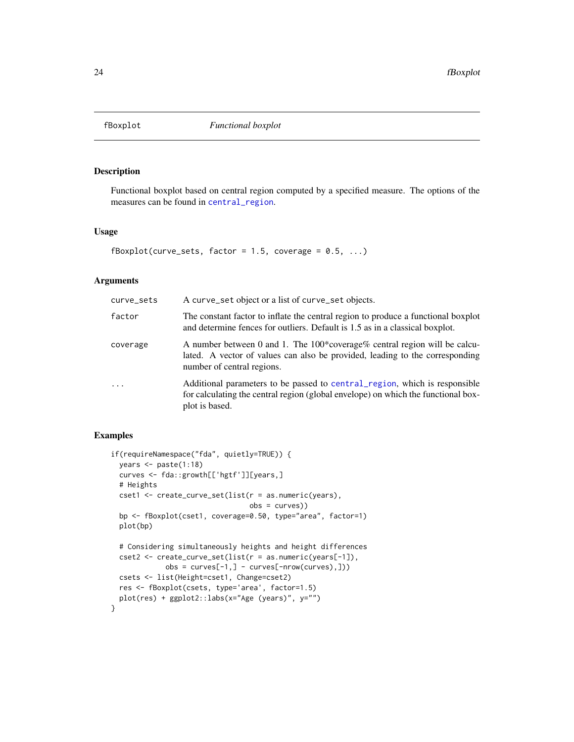<span id="page-23-1"></span><span id="page-23-0"></span>

# Description

Functional boxplot based on central region computed by a specified measure. The options of the measures can be found in [central\\_region](#page-8-1).

# Usage

```
fBoxplot(curve_sets, factor = 1.5, coverage = 0.5, ...)
```
# Arguments

| curve_sets | A curve_set object or a list of curve_set objects.                                                                                                                                      |
|------------|-----------------------------------------------------------------------------------------------------------------------------------------------------------------------------------------|
| factor     | The constant factor to inflate the central region to produce a functional boxplot<br>and determine fences for outliers. Default is 1.5 as in a classical boxplot.                       |
| coverage   | A number between 0 and 1. The 100*coverage% central region will be calcu-<br>lated. A vector of values can also be provided, leading to the corresponding<br>number of central regions. |
| $\cdots$   | Additional parameters to be passed to central region, which is responsible<br>for calculating the central region (global envelope) on which the functional box-<br>plot is based.       |

```
if(requireNamespace("fda", quietly=TRUE)) {
 years <- paste(1:18)
 curves <- fda::growth[['hgtf']][years,]
 # Heights
 cset1 <- create_curve_set(list(r = as.numeric(years),
                                obs = curves))
 bp <- fBoxplot(cset1, coverage=0.50, type="area", factor=1)
 plot(bp)
 # Considering simultaneously heights and height differences
 cset2 <- create_curve_set(list(r = as.numeric(years[-1]),
            obs = curves[-1,] - curves[-nrow(curve),])csets <- list(Height=cset1, Change=cset2)
 res <- fBoxplot(csets, type='area', factor=1.5)
 plot(res) + ggplot2::labs(x="Age (years)", y="")
}
```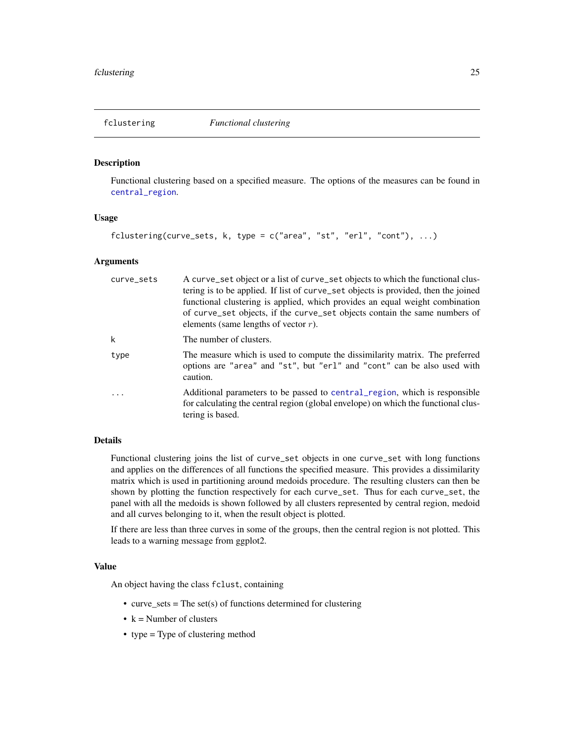# <span id="page-24-0"></span>Description

Functional clustering based on a specified measure. The options of the measures can be found in [central\\_region](#page-8-1).

# Usage

```
fclustering(curve_sets, k, type = c("area", "st", "erl", "cont"), ...)
```
## Arguments

| curve_sets | A curve_set object or a list of curve_set objects to which the functional clus-<br>tering is to be applied. If list of curve_set objects is provided, then the joined<br>functional clustering is applied, which provides an equal weight combination<br>of curve_set objects, if the curve_set objects contain the same numbers of<br>elements (same lengths of vector $r$ ). |
|------------|--------------------------------------------------------------------------------------------------------------------------------------------------------------------------------------------------------------------------------------------------------------------------------------------------------------------------------------------------------------------------------|
| k          | The number of clusters.                                                                                                                                                                                                                                                                                                                                                        |
| type       | The measure which is used to compute the dissimilarity matrix. The preferred<br>options are "area" and "st", but "erl" and "cont" can be also used with<br>caution.                                                                                                                                                                                                            |
| .          | Additional parameters to be passed to central region, which is responsible<br>for calculating the central region (global envelope) on which the functional clus-<br>tering is based.                                                                                                                                                                                           |

# Details

Functional clustering joins the list of curve\_set objects in one curve\_set with long functions and applies on the differences of all functions the specified measure. This provides a dissimilarity matrix which is used in partitioning around medoids procedure. The resulting clusters can then be shown by plotting the function respectively for each curve\_set. Thus for each curve\_set, the panel with all the medoids is shown followed by all clusters represented by central region, medoid and all curves belonging to it, when the result object is plotted.

If there are less than three curves in some of the groups, then the central region is not plotted. This leads to a warning message from ggplot2.

# Value

An object having the class fclust, containing

- curve\_sets = The set(s) of functions determined for clustering
- $k =$  Number of clusters
- type = Type of clustering method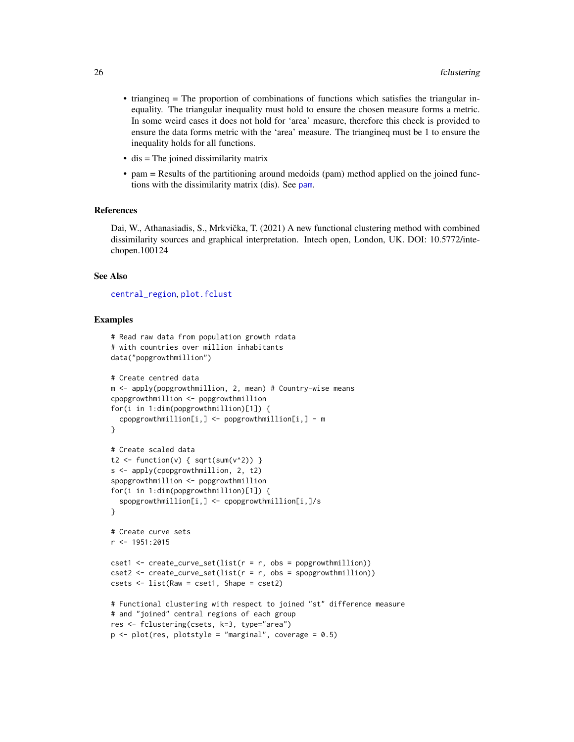- triangineq = The proportion of combinations of functions which satisfies the triangular inequality. The triangular inequality must hold to ensure the chosen measure forms a metric. In some weird cases it does not hold for 'area' measure, therefore this check is provided to ensure the data forms metric with the 'area' measure. The triangineq must be 1 to ensure the inequality holds for all functions.
- dis = The joined dissimilarity matrix
- pam = Results of the partitioning around medoids (pam) method applied on the joined functions with the dissimilarity matrix (dis). See [pam](#page-0-0).

# References

Dai, W., Athanasiadis, S., Mrkvička, T. (2021) A new functional clustering method with combined dissimilarity sources and graphical interpretation. Intech open, London, UK. DOI: 10.5772/intechopen.100124

#### See Also

# [central\\_region](#page-8-1), [plot.fclust](#page-68-1)

```
# Read raw data from population growth rdata
# with countries over million inhabitants
data("popgrowthmillion")
# Create centred data
m <- apply(popgrowthmillion, 2, mean) # Country-wise means
cpopgrowthmillion <- popgrowthmillion
for(i in 1:dim(popgrowthmillion)[1]) {
 cpopgrowthmillion[i,] <- popgrowthmillion[i,] - m
}
# Create scaled data
t2 <- function(v) { sqrt(sum(v^2)) }
s <- apply(cpopgrowthmillion, 2, t2)
spopgrowthmillion <- popgrowthmillion
for(i in 1:dim(popgrowthmillion)[1]) {
  spopgrowthmillion[i,] <- cpopgrowthmillion[i,]/s
}
# Create curve sets
r <- 1951:2015
cset1 <- createst\_curve_set(list(r = r, obs = popgrowthmillion))cset2 \leq creet2 create_curve_set(list(r = r, obs = spopgrowthmillion))
csets <- list(Raw = cset1, Shape = cset2)
# Functional clustering with respect to joined "st" difference measure
# and "joined" central regions of each group
res <- fclustering(csets, k=3, type="area")
p \le - plot(res, plotstyle = "marginal", coverage = 0.5)
```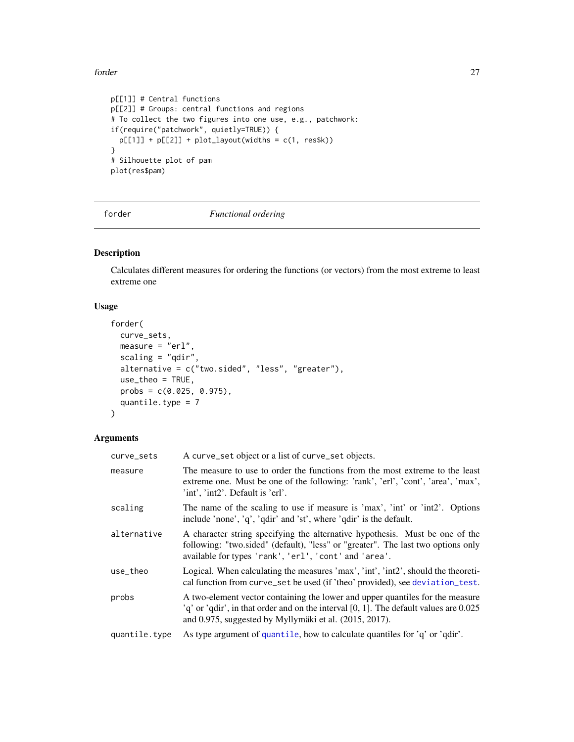# <span id="page-26-0"></span>forder 27

```
p[[1]] # Central functions
p[[2]] # Groups: central functions and regions
# To collect the two figures into one use, e.g., patchwork:
if(require("patchwork", quietly=TRUE)) {
 p[[1]] + p[[2]] + plot\_layout(widths = c(1, res}
# Silhouette plot of pam
plot(res$pam)
```
<span id="page-26-1"></span>

forder *Functional ordering*

# Description

Calculates different measures for ordering the functions (or vectors) from the most extreme to least extreme one

# Usage

```
forder(
 curve_sets,
 measure = "er1",scaling = "qdir",
 alternative = c("two.sided", "less", "greater"),
 use_theo = TRUE,
 probs = c(0.025, 0.975),
 quantile.type = 7
)
```
# Arguments

| curve_sets    | A curve_set object or a list of curve_set objects.                                                                                                                                                                                |
|---------------|-----------------------------------------------------------------------------------------------------------------------------------------------------------------------------------------------------------------------------------|
| measure       | The measure to use to order the functions from the most extreme to the least<br>extreme one. Must be one of the following: 'rank', 'erl', 'cont', 'area', 'max',<br>'int', 'int2'. Default is 'erl'.                              |
| scaling       | The name of the scaling to use if measure is 'max', 'int' or 'int2'. Options<br>include 'none', 'q', 'qdir' and 'st', where 'qdir' is the default.                                                                                |
| alternative   | A character string specifying the alternative hypothesis. Must be one of the<br>following: "two.sided" (default), "less" or "greater". The last two options only<br>available for types 'rank', 'erl', 'cont' and 'area'.         |
| use_theo      | Logical. When calculating the measures 'max', 'int', 'int2', should the theoreti-<br>cal function from curve_set be used (if 'theo' provided), see deviation_test.                                                                |
| probs         | A two-element vector containing the lower and upper quantiles for the measure<br>$q'$ or 'qdir', in that order and on the interval [0, 1]. The default values are 0.025<br>and 0.975, suggested by Myllymäki et al. (2015, 2017). |
| quantile.type | As type argument of quantile, how to calculate quantiles for 'q' or 'qdir'.                                                                                                                                                       |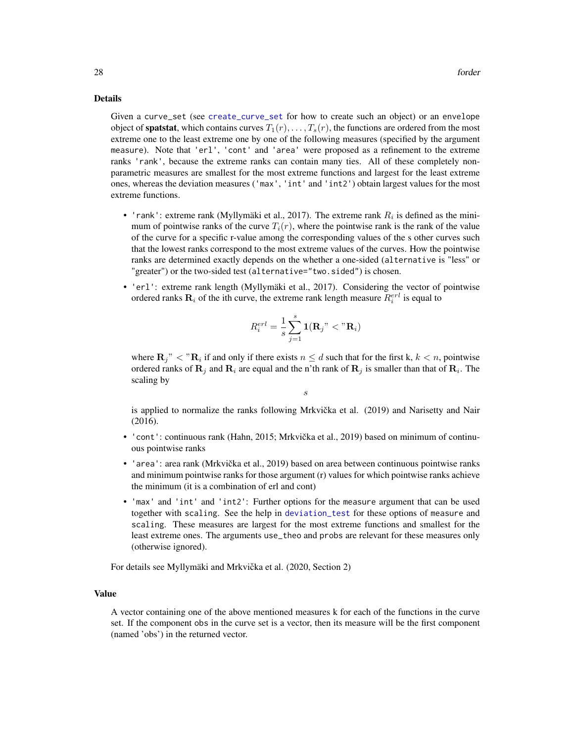# Details

Given a curve\_set (see [create\\_curve\\_set](#page-16-1) for how to create such an object) or an envelope object of **spatstat**, which contains curves  $T_1(r), \ldots, T_s(r)$ , the functions are ordered from the most extreme one to the least extreme one by one of the following measures (specified by the argument measure). Note that 'erl', 'cont' and 'area' were proposed as a refinement to the extreme ranks 'rank', because the extreme ranks can contain many ties. All of these completely nonparametric measures are smallest for the most extreme functions and largest for the least extreme ones, whereas the deviation measures ('max', 'int' and 'int2') obtain largest values for the most extreme functions.

- 'rank': extreme rank (Myllymäki et al., 2017). The extreme rank  $R_i$  is defined as the minimum of pointwise ranks of the curve  $T_i(r)$ , where the pointwise rank is the rank of the value of the curve for a specific r-value among the corresponding values of the s other curves such that the lowest ranks correspond to the most extreme values of the curves. How the pointwise ranks are determined exactly depends on the whether a one-sided (alternative is "less" or "greater") or the two-sided test (alternative="two.sided") is chosen.
- 'erl': extreme rank length (Myllymäki et al., 2017). Considering the vector of pointwise ordered ranks  $\mathbf{R}_i$  of the ith curve, the extreme rank length measure  $R_i^{erl}$  is equal to

$$
R_i^{erl} = \frac{1}{s} \sum_{j=1}^s \mathbf{1}(\mathbf{R}_j" < \text{``}\mathbf{R}_i)
$$

where  $\mathbf{R}_j$ "  $\lt$  " $\mathbf{R}_i$  if and only if there exists  $n \leq d$  such that for the first k,  $k < n$ , pointwise ordered ranks of  ${\bf R}_j$  and  ${\bf R}_i$  are equal and the n'th rank of  ${\bf R}_j$  is smaller than that of  ${\bf R}_i.$  The scaling by

s

is applied to normalize the ranks following Mrkvička et al.  $(2019)$  and Narisetty and Nair (2016).

- 'cont': continuous rank (Hahn, 2015; Mrkvička et al., 2019) based on minimum of continuous pointwise ranks
- 'area': area rank (Mrkvička et al., 2019) based on area between continuous pointwise ranks and minimum pointwise ranks for those argument (r) values for which pointwise ranks achieve the minimum (it is a combination of erl and cont)
- 'max' and 'int' and 'int2': Further options for the measure argument that can be used together with scaling. See the help in [deviation\\_test](#page-19-1) for these options of measure and scaling. These measures are largest for the most extreme functions and smallest for the least extreme ones. The arguments use\_theo and probs are relevant for these measures only (otherwise ignored).

For details see Myllymäki and Mrkvička et al. (2020, Section 2)

# Value

A vector containing one of the above mentioned measures k for each of the functions in the curve set. If the component obs in the curve set is a vector, then its measure will be the first component (named 'obs') in the returned vector.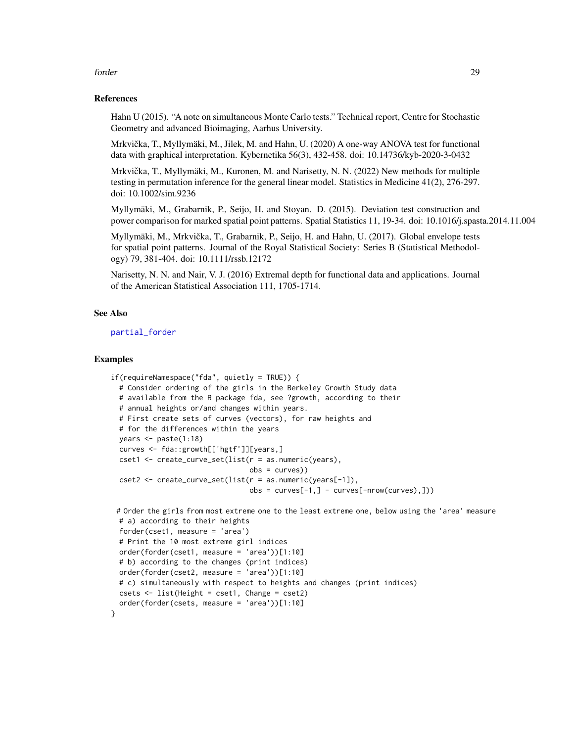#### forder the contract of the contract of the contract of the contract of the contract of the contract of the contract of the contract of the contract of the contract of the contract of the contract of the contract of the con

# References

Hahn U (2015). "A note on simultaneous Monte Carlo tests." Technical report, Centre for Stochastic Geometry and advanced Bioimaging, Aarhus University.

Mrkvička, T., Myllymäki, M., Jilek, M. and Hahn, U. (2020) A one-way ANOVA test for functional data with graphical interpretation. Kybernetika 56(3), 432-458. doi: 10.14736/kyb-2020-3-0432

Mrkvička, T., Myllymäki, M., Kuronen, M. and Narisetty, N. N. (2022) New methods for multiple testing in permutation inference for the general linear model. Statistics in Medicine 41(2), 276-297. doi: 10.1002/sim.9236

Myllymäki, M., Grabarnik, P., Seijo, H. and Stoyan. D. (2015). Deviation test construction and power comparison for marked spatial point patterns. Spatial Statistics 11, 19-34. doi: 10.1016/j.spasta.2014.11.004

Myllymäki, M., Mrkvicka, T., Grabarnik, P., Seijo, H. and Hahn, U. (2017). Global envelope tests ˇ for spatial point patterns. Journal of the Royal Statistical Society: Series B (Statistical Methodology) 79, 381-404. doi: 10.1111/rssb.12172

Narisetty, N. N. and Nair, V. J. (2016) Extremal depth for functional data and applications. Journal of the American Statistical Association 111, 1705-1714.

# See Also

[partial\\_forder](#page-61-1)

```
if(requireNamespace("fda", quietly = TRUE)) {
 # Consider ordering of the girls in the Berkeley Growth Study data
 # available from the R package fda, see ?growth, according to their
 # annual heights or/and changes within years.
 # First create sets of curves (vectors), for raw heights and
 # for the differences within the years
 years <- paste(1:18)
 curves <- fda::growth[['hgtf']][years,]
 cset1 <- create_curve_set(list(r = as.numeric(years),
                                 obs = curves))
 cset2 <- create_curve_set(list(r = as.numeric(years[-1]),
                                 obs = curves[-1,] - curves[-nrow(curve),])# Order the girls from most extreme one to the least extreme one, below using the 'area' measure
 # a) according to their heights
 forder(cset1, measure = 'area')
 # Print the 10 most extreme girl indices
 order(forder(cset1, measure = 'area'))[1:10]
 # b) according to the changes (print indices)
 order(forder(cset2, measure = 'area'))[1:10]
 # c) simultaneously with respect to heights and changes (print indices)
 csets <- list(Height = cset1, Change = cset2)
 order(forder(csets, measure = 'area'))[1:10]
}
```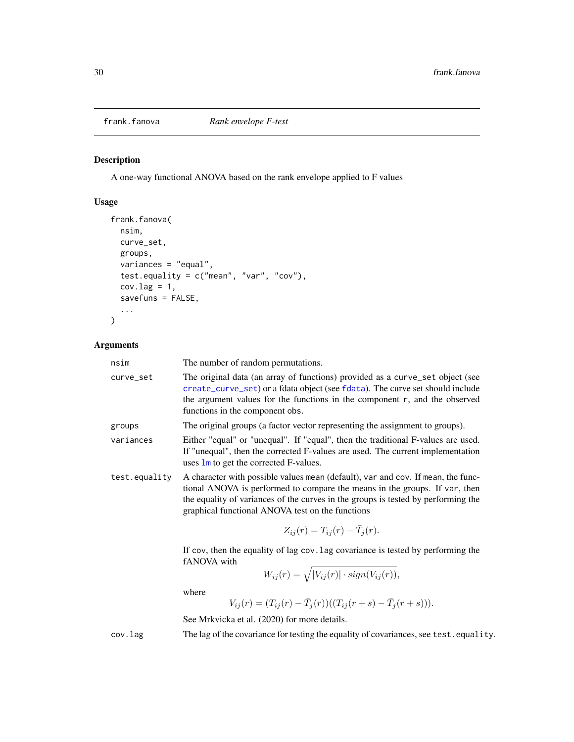<span id="page-29-1"></span><span id="page-29-0"></span>

# Description

A one-way functional ANOVA based on the rank envelope applied to F values

# Usage

```
frank.fanova(
  nsim,
 curve_set,
  groups,
 variances = "equal",
  test.equality = c("mean", "var", "cov"),
  cov.lag = 1,
  savefuns = FALSE,
  ...
)
```
# Arguments

| nsim          | The number of random permutations.                                                                                                                                                                                                                                                                      |
|---------------|---------------------------------------------------------------------------------------------------------------------------------------------------------------------------------------------------------------------------------------------------------------------------------------------------------|
| curve_set     | The original data (an array of functions) provided as a curve_set object (see<br>create_curve_set) or a fdata object (see fdata). The curve set should include<br>the argument values for the functions in the component $r$ , and the observed<br>functions in the component obs.                      |
| groups        | The original groups (a factor vector representing the assignment to groups).                                                                                                                                                                                                                            |
| variances     | Either "equal" or "unequal". If "equal", then the traditional F-values are used.<br>If "unequal", then the corrected F-values are used. The current implementation<br>uses $\mathbf{1}\mathbf{m}$ to get the corrected F-values.                                                                        |
| test.equality | A character with possible values mean (default), var and cov. If mean, the func-<br>tional ANOVA is performed to compare the means in the groups. If var, then<br>the equality of variances of the curves in the groups is tested by performing the<br>graphical functional ANOVA test on the functions |
|               | $Z_{ij}(r) = T_{ij}(r) - \bar{T}_i(r).$                                                                                                                                                                                                                                                                 |

If cov, then the equality of lag cov.lag covariance is tested by performing the fANOVA with

$$
W_{ij}(r) = \sqrt{|V_{ij}(r)| \cdot sign(V_{ij}(r))},
$$

where

$$
V_{ij}(r) = (T_{ij}(r) - \bar{T}_j(r))((T_{ij}(r+s) - \bar{T}_j(r+s))).
$$

See Mrkvicka et al. (2020) for more details.

cov.lag The lag of the covariance for testing the equality of covariances, see test.equality.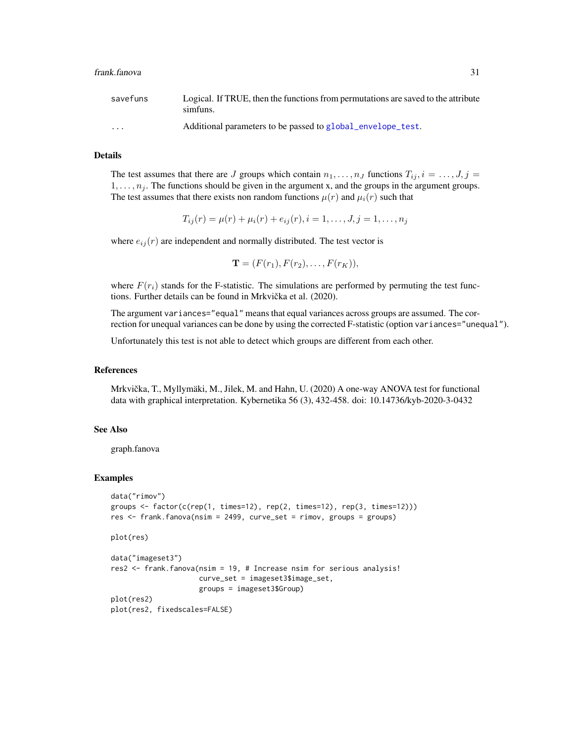| savefuns                | Logical. If TRUE, then the functions from permutations are saved to the attribute<br>simfuns. |
|-------------------------|-----------------------------------------------------------------------------------------------|
| $\cdot$ $\cdot$ $\cdot$ | Additional parameters to be passed to global_envelope_test.                                   |

#### Details

The test assumes that there are J groups which contain  $n_1, \ldots, n_J$  functions  $T_{ij}, i = \ldots, J, j =$  $1, \ldots, n_j$ . The functions should be given in the argument x, and the groups in the argument groups. The test assumes that there exists non random functions  $\mu(r)$  and  $\mu_i(r)$  such that

$$
T_{ij}(r) = \mu(r) + \mu_i(r) + e_{ij}(r), i = 1, \dots, J, j = 1, \dots, n_j
$$

where  $e_{ij}(r)$  are independent and normally distributed. The test vector is

$$
\mathbf{T}=(F(r_1),F(r_2),\ldots,F(r_K)),
$$

where  $F(r_i)$  stands for the F-statistic. The simulations are performed by permuting the test functions. Further details can be found in Mrkvička et al. (2020).

The argument variances="equal" means that equal variances across groups are assumed. The correction for unequal variances can be done by using the corrected F-statistic (option variances="unequal").

Unfortunately this test is not able to detect which groups are different from each other.

# References

Mrkvička, T., Myllymäki, M., Jilek, M. and Hahn, U. (2020) A one-way ANOVA test for functional data with graphical interpretation. Kybernetika 56 (3), 432-458. doi: 10.14736/kyb-2020-3-0432

# See Also

graph.fanova

```
data("rimov")
groups \le factor(c(rep(1, times=12), rep(2, times=12), rep(3, times=12)))
res <- frank.fanova(nsim = 2499, curve_set = rimov, groups = groups)
plot(res)
data("imageset3")
res2 <- frank.fanova(nsim = 19, # Increase nsim for serious analysis!
                     curve_set = imageset3$image_set,
                     groups = imageset3$Group)
plot(res2)
plot(res2, fixedscales=FALSE)
```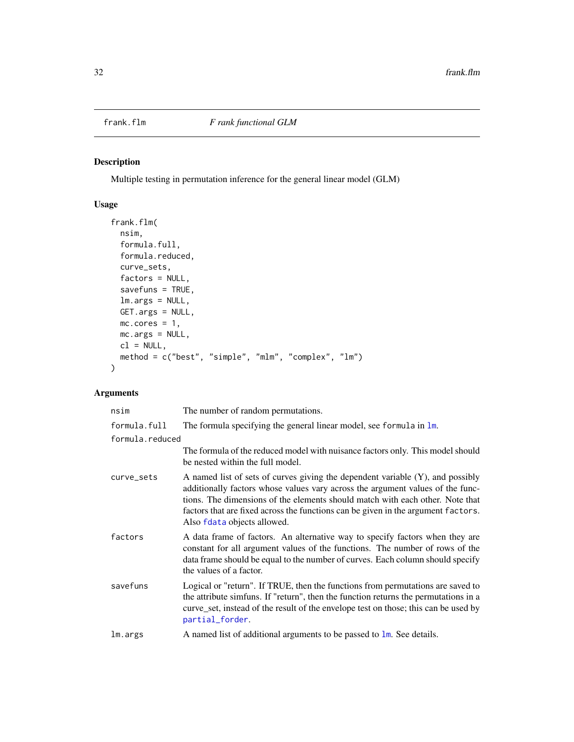<span id="page-31-1"></span><span id="page-31-0"></span>

# Description

Multiple testing in permutation inference for the general linear model (GLM)

# Usage

```
frank.flm(
 nsim,
  formula.full,
  formula.reduced,
  curve_sets,
  factors = NULL,
  savefuns = TRUE,
 lm.args = NULL,
 GET.args = NULL,
 mc.cores = 1,
 mc.args = NULL,
 cl = NULL,method = c("best", "simple", "mlm", "complex", "lm")
\mathcal{L}
```
# Arguments

| nsim            | The number of random permutations.                                                                                                                                                                                                                                                                                                                                       |
|-----------------|--------------------------------------------------------------------------------------------------------------------------------------------------------------------------------------------------------------------------------------------------------------------------------------------------------------------------------------------------------------------------|
| formula.full    | The formula specifying the general linear model, see formula in $\text{Im}$ .                                                                                                                                                                                                                                                                                            |
| formula.reduced |                                                                                                                                                                                                                                                                                                                                                                          |
|                 | The formula of the reduced model with nuisance factors only. This model should<br>be nested within the full model.                                                                                                                                                                                                                                                       |
| curve_sets      | A named list of sets of curves giving the dependent variable $(Y)$ , and possibly<br>additionally factors whose values vary across the argument values of the func-<br>tions. The dimensions of the elements should match with each other. Note that<br>factors that are fixed across the functions can be given in the argument factors.<br>Also fdata objects allowed. |
| factors         | A data frame of factors. An alternative way to specify factors when they are<br>constant for all argument values of the functions. The number of rows of the<br>data frame should be equal to the number of curves. Each column should specify<br>the values of a factor.                                                                                                |
| savefuns        | Logical or "return". If TRUE, then the functions from permutations are saved to<br>the attribute simfuns. If "return", then the function returns the permutations in a<br>curve_set, instead of the result of the envelope test on those; this can be used by<br>partial_forder.                                                                                         |
| lm.args         | A named list of additional arguments to be passed to $\text{lm}$ . See details.                                                                                                                                                                                                                                                                                          |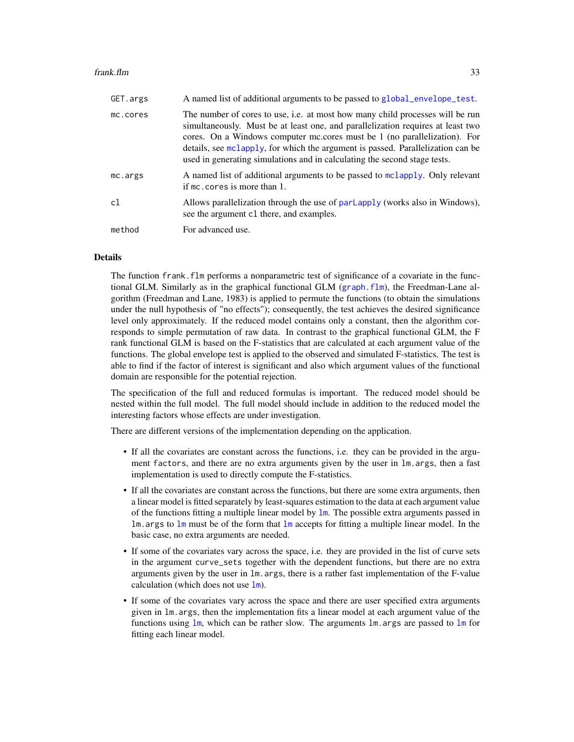#### frank.flm 33

| GET.args | A named list of additional arguments to be passed to global_envelope_test.                                                                                                                                                                                                                                                                                                                                           |
|----------|----------------------------------------------------------------------------------------------------------------------------------------------------------------------------------------------------------------------------------------------------------------------------------------------------------------------------------------------------------------------------------------------------------------------|
| mc.cores | The number of cores to use, <i>i.e.</i> at most how many child processes will be run<br>simultaneously. Must be at least one, and parallelization requires at least two<br>cores. On a Windows computer mc.cores must be 1 (no parallelization). For<br>details, see molapply, for which the argument is passed. Parallelization can be<br>used in generating simulations and in calculating the second stage tests. |
| mc.args  | A named list of additional arguments to be passed to moltapply. Only relevant<br>if mc. cores is more than 1.                                                                                                                                                                                                                                                                                                        |
| c1       | Allows parallelization through the use of parlapply (works also in Windows),<br>see the argument c1 there, and examples.                                                                                                                                                                                                                                                                                             |
| method   | For advanced use.                                                                                                                                                                                                                                                                                                                                                                                                    |

# Details

The function frank. flm performs a nonparametric test of significance of a covariate in the functional GLM. Similarly as in the graphical functional GLM ([graph.flm](#page-56-1)), the Freedman-Lane algorithm (Freedman and Lane, 1983) is applied to permute the functions (to obtain the simulations under the null hypothesis of "no effects"); consequently, the test achieves the desired significance level only approximately. If the reduced model contains only a constant, then the algorithm corresponds to simple permutation of raw data. In contrast to the graphical functional GLM, the F rank functional GLM is based on the F-statistics that are calculated at each argument value of the functions. The global envelope test is applied to the observed and simulated F-statistics. The test is able to find if the factor of interest is significant and also which argument values of the functional domain are responsible for the potential rejection.

The specification of the full and reduced formulas is important. The reduced model should be nested within the full model. The full model should include in addition to the reduced model the interesting factors whose effects are under investigation.

There are different versions of the implementation depending on the application.

- If all the covariates are constant across the functions, i.e. they can be provided in the argument factors, and there are no extra arguments given by the user in lm.args, then a fast implementation is used to directly compute the F-statistics.
- If all the covariates are constant across the functions, but there are some extra arguments, then a linear model is fitted separately by least-squares estimation to the data at each argument value of the functions fitting a multiple linear model by [lm](#page-0-0). The possible extra arguments passed in  $\text{Im} \cdot \text{args}$  to  $\text{Im} \cdot \text{must}$  be of the form that  $\text{Im} \cdot \text{accepts}$  for fitting a multiple linear model. In the basic case, no extra arguments are needed.
- If some of the covariates vary across the space, i.e. they are provided in the list of curve sets in the argument curve\_sets together with the dependent functions, but there are no extra arguments given by the user in lm.args, there is a rather fast implementation of the F-value calculation (which does not use  $\mathbf{lm}$  $\mathbf{lm}$  $\mathbf{lm}$ ).
- If some of the covariates vary across the space and there are user specified extra arguments given in lm.args, then the implementation fits a linear model at each argument value of the functions using  $\text{lm}$  $\text{lm}$  $\text{lm}$ , which can be rather slow. The arguments  $\text{lm}$  args are passed to  $\text{lm}$  for fitting each linear model.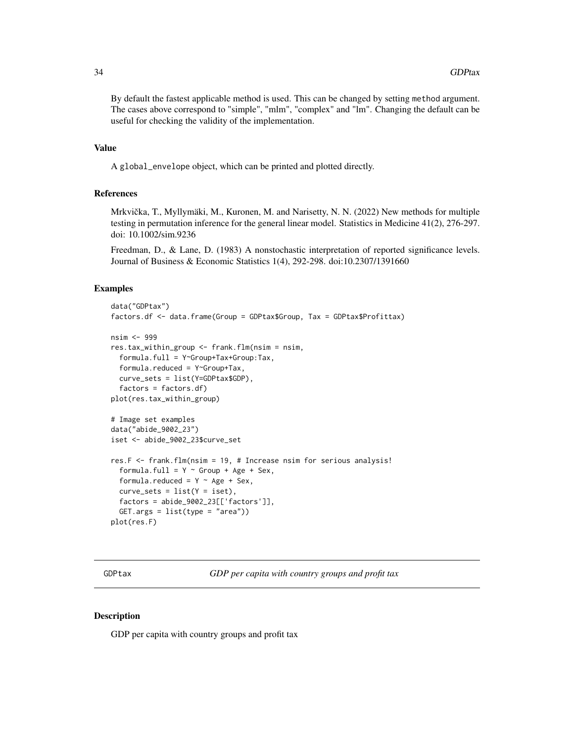<span id="page-33-0"></span>By default the fastest applicable method is used. This can be changed by setting method argument. The cases above correspond to "simple", "mlm", "complex" and "lm". Changing the default can be useful for checking the validity of the implementation.

# Value

A global\_envelope object, which can be printed and plotted directly.

# References

Mrkvička, T., Myllymäki, M., Kuronen, M. and Narisetty, N. N. (2022) New methods for multiple testing in permutation inference for the general linear model. Statistics in Medicine 41(2), 276-297. doi: 10.1002/sim.9236

Freedman, D., & Lane, D. (1983) A nonstochastic interpretation of reported significance levels. Journal of Business & Economic Statistics 1(4), 292-298. doi:10.2307/1391660

# Examples

```
data("GDPtax")
factors.df <- data.frame(Group = GDPtax$Group, Tax = GDPtax$Profittax)
nsim <- 999
res.tax_within_group <- frank.flm(nsim = nsim,
 formula.full = Y~Group+Tax+Group:Tax,
 formula.reduced = Y~Group+Tax,
 curve_sets = list(Y=GDPtax$GDP),
 factors = factors.dfplot(res.tax_within_group)
# Image set examples
data("abide_9002_23")
iset <- abide_9002_23$curve_set
res.F <- frank.flm(nsim = 19, # Increase nsim for serious analysis!
 formula.full = Y \sim Group + Age + Sex,
 formula.reduced = Y \sim Age + Sex,
 curve\_sets = list(Y = iset),factors = abide_9002_23[['factors']],
 GET.args = list(type = "area")plot(res.F)
```
<span id="page-33-1"></span>GDPtax *GDP per capita with country groups and profit tax*

# **Description**

GDP per capita with country groups and profit tax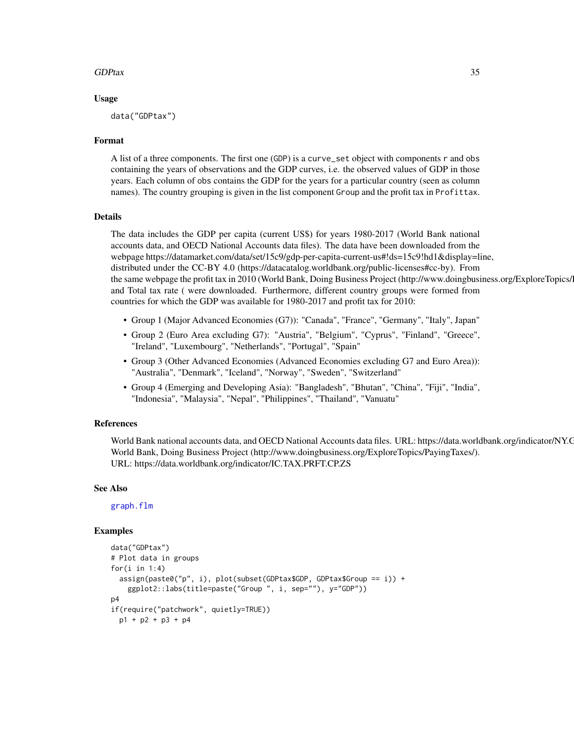# GDPtax 35

#### Usage

data("GDPtax")

# Format

A list of a three components. The first one (GDP) is a curve\_set object with components r and obs containing the years of observations and the GDP curves, i.e. the observed values of GDP in those years. Each column of obs contains the GDP for the years for a particular country (seen as column names). The country grouping is given in the list component Group and the profit tax in Profittax.

# Details

The data includes the GDP per capita (current US\$) for years 1980-2017 (World Bank national accounts data, and OECD National Accounts data files). The data have been downloaded from the webpage https://datamarket.com/data/set/15c9/gdp-per-capita-current-us#!ds=15c9!hd1&display=line, distributed under the CC-BY 4.0 (https://datacatalog.worldbank.org/public-licenses#cc-by). From the same webpage the profit tax in 2010 (World Bank, Doing Business Project (http://www.doingbusiness.org/ExploreTopics/) and Total tax rate ( were downloaded. Furthermore, different country groups were formed from countries for which the GDP was available for 1980-2017 and profit tax for 2010:

- Group 1 (Major Advanced Economies (G7)): "Canada", "France", "Germany", "Italy", Japan"
- Group 2 (Euro Area excluding G7): "Austria", "Belgium", "Cyprus", "Finland", "Greece", "Ireland", "Luxembourg", "Netherlands", "Portugal", "Spain"
- Group 3 (Other Advanced Economies (Advanced Economies excluding G7 and Euro Area)): "Australia", "Denmark", "Iceland", "Norway", "Sweden", "Switzerland"
- Group 4 (Emerging and Developing Asia): "Bangladesh", "Bhutan", "China", "Fiji", "India", "Indonesia", "Malaysia", "Nepal", "Philippines", "Thailand", "Vanuatu"

# References

World Bank national accounts data, and OECD National Accounts data files. URL: https://data.worldbank.org/indicator/NY.C World Bank, Doing Business Project (http://www.doingbusiness.org/ExploreTopics/PayingTaxes/). URL: https://data.worldbank.org/indicator/IC.TAX.PRFT.CP.ZS

# See Also

[graph.flm](#page-56-1)

```
data("GDPtax")
# Plot data in groups
for(i in 1:4)
  assign(paste0("p", i), plot(subset(GDPtax$GDP, GDPtax$Group == i)) +
    ggplot2::labs(title=paste("Group ", i, sep=""), y="GDP"))
p4
if(require("patchwork", quietly=TRUE))
 p1 + p2 + p3 + p4
```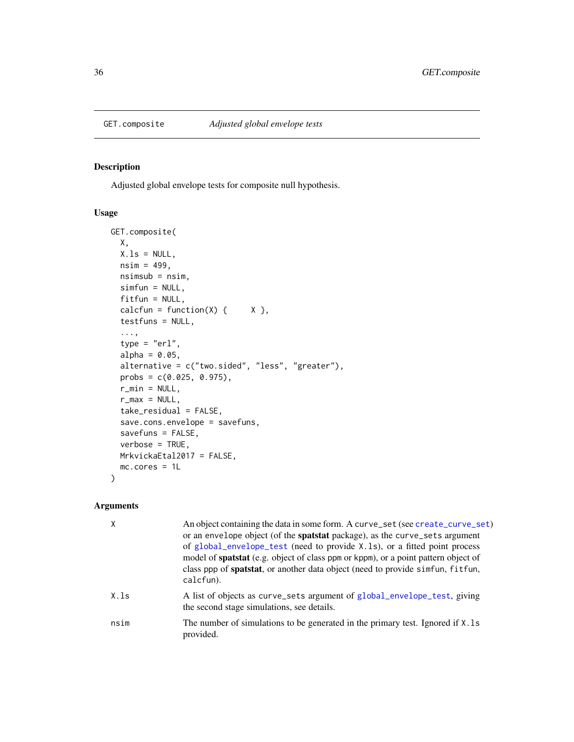<span id="page-35-1"></span><span id="page-35-0"></span>

# Description

Adjusted global envelope tests for composite null hypothesis.

# Usage

```
GET.composite(
 X,
 X.ls = NULL,nsim = 499,nsimub = nsim,simfun = NULL,
 fitfun = NULL,
 calcfun = function(X) \{ X \},
  testfuns = NULL,
  ...,
  type = "erl",
  alpha = 0.05,
 alternative = c("two.sided", "less", "greater"),
 probs = c(0.025, 0.975),
 r_{\text{min}} = \text{NULL},
 r_{max} = NULL,
  take_residual = FALSE,
  save.cons.envelope = savefuns,
 savefuns = FALSE,
 verbose = TRUE,
 MrkvickaEtal2017 = FALSE,
 mc.cores = 1L
)
```
# Arguments

|      | An object containing the data in some form. A curve_set (see create_curve_set)<br>or an envelope object (of the spatstat package), as the curve_sets argument<br>of global_envelope_test (need to provide X.1s), or a fitted point process<br>model of spatstat (e.g. object of class ppm or kppm), or a point pattern object of<br>class ppp of <b>spatstat</b> , or another data object (need to provide simfun, fitfun,<br>calcfun). |
|------|-----------------------------------------------------------------------------------------------------------------------------------------------------------------------------------------------------------------------------------------------------------------------------------------------------------------------------------------------------------------------------------------------------------------------------------------|
| X.1s | A list of objects as curve_sets argument of global_envelope_test, giving<br>the second stage simulations, see details.                                                                                                                                                                                                                                                                                                                  |
| nsim | The number of simulations to be generated in the primary test. Ignored if X. ls<br>provided.                                                                                                                                                                                                                                                                                                                                            |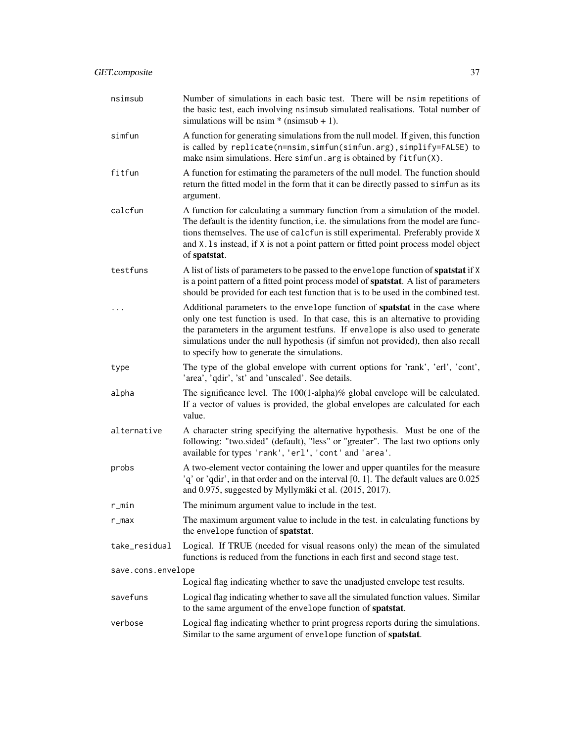| nsimsub            | Number of simulations in each basic test. There will be nsim repetitions of<br>the basic test, each involving nsimsub simulated realisations. Total number of<br>simulations will be nsim $*$ (nsimsub + 1).                                                                                                                                                                          |
|--------------------|---------------------------------------------------------------------------------------------------------------------------------------------------------------------------------------------------------------------------------------------------------------------------------------------------------------------------------------------------------------------------------------|
| simfun             | A function for generating simulations from the null model. If given, this function<br>is called by replicate(n=nsim, simfun(simfun.arg), simplify=FALSE) to<br>make nsim simulations. Here simfun. arg is obtained by fitfun(X).                                                                                                                                                      |
| fitfun             | A function for estimating the parameters of the null model. The function should<br>return the fitted model in the form that it can be directly passed to simfun as its<br>argument.                                                                                                                                                                                                   |
| calcfun            | A function for calculating a summary function from a simulation of the model.<br>The default is the identity function, i.e. the simulations from the model are func-<br>tions themselves. The use of calcfun is still experimental. Preferably provide X<br>and X.1s instead, if X is not a point pattern or fitted point process model object<br>of spatstat.                        |
| testfuns           | A list of lists of parameters to be passed to the envelope function of <b>spatstat</b> if X<br>is a point pattern of a fitted point process model of <b>spatstat</b> . A list of parameters<br>should be provided for each test function that is to be used in the combined test.                                                                                                     |
|                    | Additional parameters to the envelope function of spatstat in the case where<br>only one test function is used. In that case, this is an alternative to providing<br>the parameters in the argument testfuns. If envelope is also used to generate<br>simulations under the null hypothesis (if simfun not provided), then also recall<br>to specify how to generate the simulations. |
| type               | The type of the global envelope with current options for 'rank', 'erl', 'cont',<br>'area', 'qdir', 'st' and 'unscaled'. See details.                                                                                                                                                                                                                                                  |
| alpha              | The significance level. The $100(1$ -alpha)% global envelope will be calculated.<br>If a vector of values is provided, the global envelopes are calculated for each<br>value.                                                                                                                                                                                                         |
| alternative        | A character string specifying the alternative hypothesis. Must be one of the<br>following: "two.sided" (default), "less" or "greater". The last two options only<br>available for types 'rank', 'erl', 'cont' and 'area'.                                                                                                                                                             |
| probs              | A two-element vector containing the lower and upper quantiles for the measure<br>'q' or 'qdir', in that order and on the interval [0, 1]. The default values are 0.025<br>and 0.975, suggested by Myllymäki et al. (2015, 2017).                                                                                                                                                      |
| r_min              | The minimum argument value to include in the test.                                                                                                                                                                                                                                                                                                                                    |
| r_max              | The maximum argument value to include in the test. in calculating functions by<br>the envelope function of spatstat.                                                                                                                                                                                                                                                                  |
| take_residual      | Logical. If TRUE (needed for visual reasons only) the mean of the simulated<br>functions is reduced from the functions in each first and second stage test.                                                                                                                                                                                                                           |
| save.cons.envelope |                                                                                                                                                                                                                                                                                                                                                                                       |
|                    | Logical flag indicating whether to save the unadjusted envelope test results.                                                                                                                                                                                                                                                                                                         |
| savefuns           | Logical flag indicating whether to save all the simulated function values. Similar<br>to the same argument of the envelope function of spatstat.                                                                                                                                                                                                                                      |
| verbose            | Logical flag indicating whether to print progress reports during the simulations.<br>Similar to the same argument of envelope function of spatstat.                                                                                                                                                                                                                                   |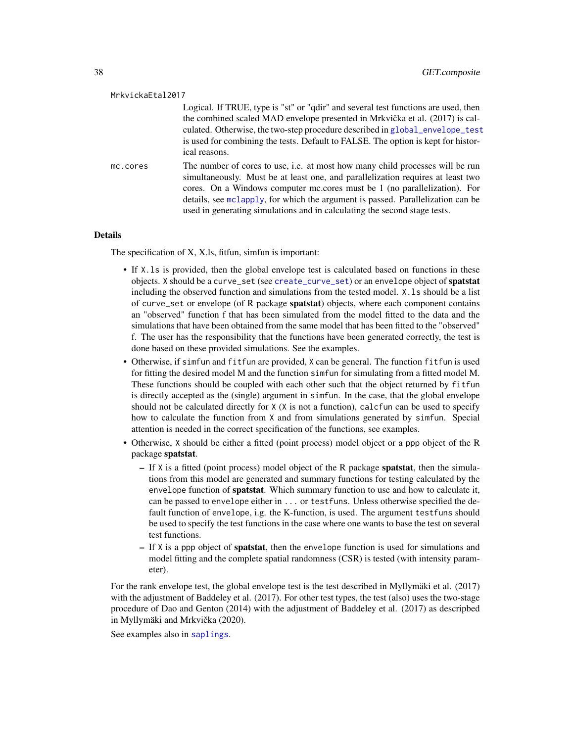| MrkvickaEtal2017 |                                                                                                                                                                                                                                                                                                                                                                                                                      |
|------------------|----------------------------------------------------------------------------------------------------------------------------------------------------------------------------------------------------------------------------------------------------------------------------------------------------------------------------------------------------------------------------------------------------------------------|
|                  | Logical. If TRUE, type is "st" or "gdir" and several test functions are used, then<br>the combined scaled MAD envelope presented in Mrkvička et al. (2017) is cal-<br>culated. Otherwise, the two-step procedure described in global_envelope_test<br>is used for combining the tests. Default to FALSE. The option is kept for histor-<br>ical reasons.                                                             |
| mc.cores         | The number of cores to use, <i>i.e.</i> at most how many child processes will be run<br>simultaneously. Must be at least one, and parallelization requires at least two<br>cores. On a Windows computer mc.cores must be 1 (no parallelization). For<br>details, see mclapply, for which the argument is passed. Parallelization can be<br>used in generating simulations and in calculating the second stage tests. |

#### Details

The specification of X, X.ls, fitfun, simfun is important:

- If X.ls is provided, then the global envelope test is calculated based on functions in these objects. X should be a curve\_set (see [create\\_curve\\_set](#page-16-0)) or an envelope object of spatstat including the observed function and simulations from the tested model. X.ls should be a list of curve\_set or envelope (of R package spatstat) objects, where each component contains an "observed" function f that has been simulated from the model fitted to the data and the simulations that have been obtained from the same model that has been fitted to the "observed" f. The user has the responsibility that the functions have been generated correctly, the test is done based on these provided simulations. See the examples.
- Otherwise, if simfun and fitfun are provided, X can be general. The function fitfun is used for fitting the desired model M and the function simfun for simulating from a fitted model M. These functions should be coupled with each other such that the object returned by fitfun is directly accepted as the (single) argument in simfun. In the case, that the global envelope should not be calculated directly for X (X is not a function), calcfun can be used to specify how to calculate the function from X and from simulations generated by simfun. Special attention is needed in the correct specification of the functions, see examples.
- Otherwise, X should be either a fitted (point process) model object or a ppp object of the R package spatstat.
	- $-$  If  $X$  is a fitted (point process) model object of the R package **spatstat**, then the simulations from this model are generated and summary functions for testing calculated by the envelope function of spatstat. Which summary function to use and how to calculate it, can be passed to envelope either in ... or testfuns. Unless otherwise specified the default function of envelope, i.g. the K-function, is used. The argument testfuns should be used to specify the test functions in the case where one wants to base the test on several test functions.
	- $-$  If X is a ppp object of **spatstat**, then the envelope function is used for simulations and model fitting and the complete spatial randomness (CSR) is tested (with intensity parameter).

For the rank envelope test, the global envelope test is the test described in Myllymäki et al. (2017) with the adjustment of Baddeley et al. (2017). For other test types, the test (also) uses the two-stage procedure of Dao and Genton (2014) with the adjustment of Baddeley et al. (2017) as descripbed in Myllymäki and Mrkvička (2020).

See examples also in [saplings](#page-81-0).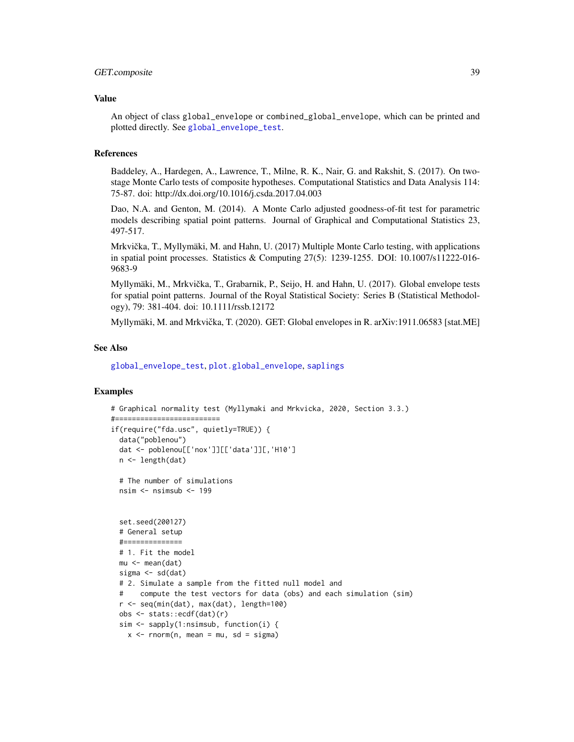### GET.composite 39

#### Value

An object of class global\_envelope or combined\_global\_envelope, which can be printed and plotted directly. See [global\\_envelope\\_test](#page-46-0).

### References

Baddeley, A., Hardegen, A., Lawrence, T., Milne, R. K., Nair, G. and Rakshit, S. (2017). On twostage Monte Carlo tests of composite hypotheses. Computational Statistics and Data Analysis 114: 75-87. doi: http://dx.doi.org/10.1016/j.csda.2017.04.003

Dao, N.A. and Genton, M. (2014). A Monte Carlo adjusted goodness-of-fit test for parametric models describing spatial point patterns. Journal of Graphical and Computational Statistics 23, 497-517.

Mrkvička, T., Myllymäki, M. and Hahn, U. (2017) Multiple Monte Carlo testing, with applications in spatial point processes. Statistics & Computing 27(5): 1239-1255. DOI: 10.1007/s11222-016- 9683-9

Myllymäki, M., Mrkvicka, T., Grabarnik, P., Seijo, H. and Hahn, U. (2017). Global envelope tests ˇ for spatial point patterns. Journal of the Royal Statistical Society: Series B (Statistical Methodology), 79: 381-404. doi: 10.1111/rssb.12172

Myllymäki, M. and Mrkvicka, T. (2020). GET: Global envelopes in R. arXiv:1911.06583 [stat.ME] ˇ

#### See Also

[global\\_envelope\\_test](#page-46-0), [plot.global\\_envelope](#page-69-0), [saplings](#page-81-0)

```
# Graphical normality test (Myllymaki and Mrkvicka, 2020, Section 3.3.)
#=========================
if(require("fda.usc", quietly=TRUE)) {
 data("poblenou")
 dat <- poblenou[['nox']][['data']][,'H10']
 n <- length(dat)
 # The number of simulations
 nsim <- nsimsub <- 199
 set.seed(200127)
 # General setup
 #==============
 # 1. Fit the model
 mu <- mean(dat)
 sigma <- sd(dat)
 # 2. Simulate a sample from the fitted null model and
      compute the test vectors for data (obs) and each simulation (sim)
 r <- seq(min(dat), max(dat), length=100)
 obs <- stats::ecdf(dat)(r)
 sim <- sapply(1:nsimsub, function(i) {
   x \le - rnorm(n, mean = mu, sd = sigma)
```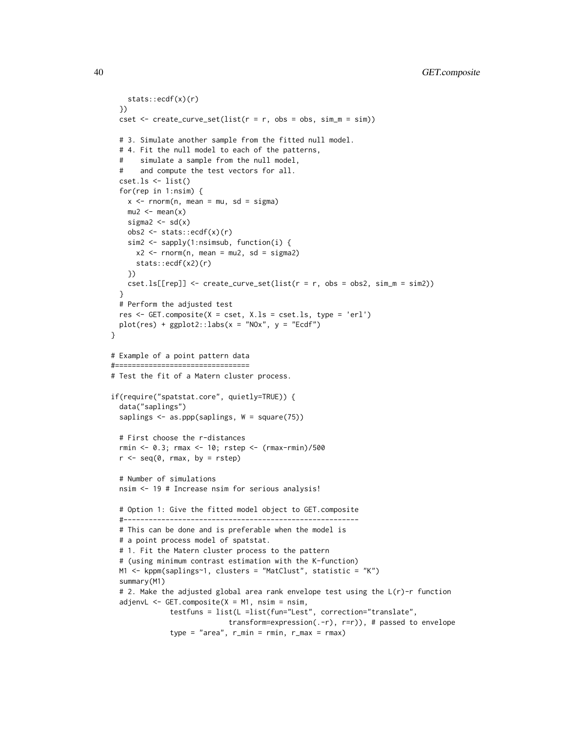```
stats::ecdf(x)(r)
 })
 cset \leq create_curve_set(list(r = r, obs = obs, sim_m = sim))
 # 3. Simulate another sample from the fitted null model.
 # 4. Fit the null model to each of the patterns,
 # simulate a sample from the null model,
       and compute the test vectors for all.
 cset.ls <- list()
 for(rep in 1:nsim) {
    x < - rnorm(n, mean = mu, sd = sigma)
   mu2 < - mean(x)sigma2 \leftarrow sd(x)
    obs2 \leftarrow stats::ecdf(x)(r)sim2 <- sapply(1:nsimsub, function(i) {
     x2 \le - rnorm(n, mean = mu2, sd = sigma2)
     stats::ecdf(x2)(r)
   })
    cset.ls[[rep]] \leq createst\_curve\_set(list(r = r, obs = obs2, sim_m = sim2))}
 # Perform the adjusted test
 res \leq GET.composite(X = cset, X.ls = cset.ls, type = 'erl')
 plot(res) + ggplot2::labs(x = "NOx", y = "Ecdf")}
# Example of a point pattern data
#================================
# Test the fit of a Matern cluster process.
if(require("spatstat.core", quietly=TRUE)) {
 data("saplings")
 saplings \leq as.ppp(saplings, W = square(75))
 # First choose the r-distances
 rmin <- 0.3; rmax <- 10; rstep <- (rmax-rmin)/500
 r \leq -\text{seq}(0, \text{rmax}, \text{by} = \text{rstep})# Number of simulations
 nsim <- 19 # Increase nsim for serious analysis!
 # Option 1: Give the fitted model object to GET.composite
 #--------------------------------------------------------
 # This can be done and is preferable when the model is
 # a point process model of spatstat.
 # 1. Fit the Matern cluster process to the pattern
 # (using minimum contrast estimation with the K-function)
 M1 <- kppm(saplings~1, clusters = "MatClust", statistic = "K")
 summary(M1)
 # 2. Make the adjusted global area rank envelope test using the L(r)-r function
 adjenvL <- GET.composite(X = M1, nsim = nsim,
              testfuns = list(L =list(fun="Lest", correction="translate",
                            transform=expression(.-r), r=r)), # passed to envelope
              type = "area", r=min = rmin, r_max = rmax)
```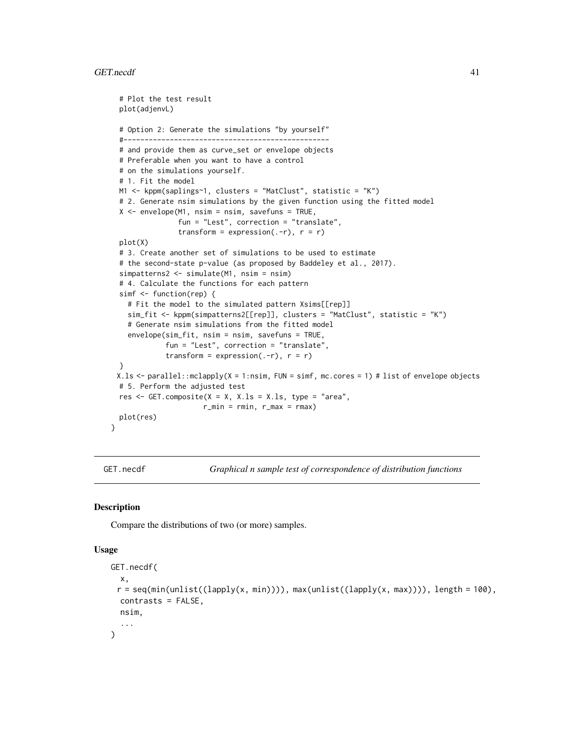#### GET.necdf 41

```
# Plot the test result
 plot(adjenvL)
 # Option 2: Generate the simulations "by yourself"
 #-------------------------------------------------
 # and provide them as curve_set or envelope objects
 # Preferable when you want to have a control
 # on the simulations yourself.
 # 1. Fit the model
 M1 <- kppm(saplings~1, clusters = "MatClust", statistic = "K")
 # 2. Generate nsim simulations by the given function using the fitted model
 X <- envelope(M1, nsim = nsim, savefuns = TRUE,
                fun = "Lest", correction = "translate",
                transform = expression(. - r), r = r)
 plot(X)
 # 3. Create another set of simulations to be used to estimate
 # the second-state p-value (as proposed by Baddeley et al., 2017).
 simpatterns2 <- simulate(M1, nsim = nsim)
 # 4. Calculate the functions for each pattern
 simf <- function(rep) {
    # Fit the model to the simulated pattern Xsims[[rep]]
   sim_fit <- kppm(simpatterns2[[rep]], clusters = "MatClust", statistic = "K")
   # Generate nsim simulations from the fitted model
   envelope(sim_fit, nsim = nsim, savefuns = TRUE,
             fun = "Lest", correction = "translate",
             transform = expression(. - r), r = r)
 }
 X.ls <- parallel::mclapply(X = 1:nsim, FUN = simf, mc.cores = 1) # list of envelope objects
 # 5. Perform the adjusted test
 res \le GET.composite(X = X, X.ls = X.ls, type = "area",
                     r_min = rmin, r_max = rmax)
 plot(res)
}
```
GET.necdf *Graphical n sample test of correspondence of distribution functions*

### Description

Compare the distributions of two (or more) samples.

#### Usage

```
GET.necdf(
  x,
 r = \text{seq}(\text{min}(\text{unlist}((\text{lapping}(x, \text{min})))), \text{max}(\text{unlist}((\text{lapping}(x, \text{max})))), length = 100),
  contrasts = FALSE,
  nsim,
   ...
)
```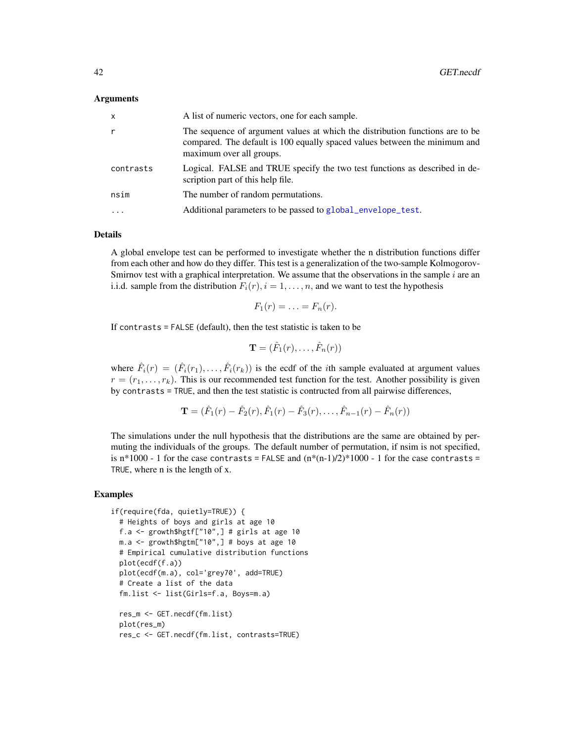#### Arguments

| x         | A list of numeric vectors, one for each sample.                                                                                                                                         |
|-----------|-----------------------------------------------------------------------------------------------------------------------------------------------------------------------------------------|
| r         | The sequence of argument values at which the distribution functions are to be<br>compared. The default is 100 equally spaced values between the minimum and<br>maximum over all groups. |
| contrasts | Logical. FALSE and TRUE specify the two test functions as described in de-<br>scription part of this help file.                                                                         |
| nsim      | The number of random permutations.                                                                                                                                                      |
| $\ddotsc$ | Additional parameters to be passed to global_envelope_test.                                                                                                                             |
|           |                                                                                                                                                                                         |

#### Details

A global envelope test can be performed to investigate whether the n distribution functions differ from each other and how do they differ. This test is a generalization of the two-sample Kolmogorov-Smirnov test with a graphical interpretation. We assume that the observations in the sample  $i$  are an i.i.d. sample from the distribution  $F_i(r)$ ,  $i = 1, \ldots, n$ , and we want to test the hypothesis

$$
F_1(r)=\ldots=F_n(r).
$$

If contrasts = FALSE (default), then the test statistic is taken to be

$$
\mathbf{T}=(\hat{F}_1(r),\ldots,\hat{F}_n(r))
$$

where  $\hat{F}_i(r) = (\hat{F}_i(r_1), \dots, \hat{F}_i(r_k))$  is the ecdf of the *i*th sample evaluated at argument values  $r = (r_1, \ldots, r_k)$ . This is our recommended test function for the test. Another possibility is given by contrasts = TRUE, and then the test statistic is contructed from all pairwise differences,

$$
\mathbf{T} = (\hat{F}_1(r) - \hat{F}_2(r), \hat{F}_1(r) - \hat{F}_3(r), \dots, \hat{F}_{n-1}(r) - \hat{F}_n(r))
$$

The simulations under the null hypothesis that the distributions are the same are obtained by permuting the individuals of the groups. The default number of permutation, if nsim is not specified, is n\*1000 - 1 for the case contrasts = FALSE and  $(n*(n-1)/2)*1000 - 1$  for the case contrasts = TRUE, where n is the length of x.

```
if(require(fda, quietly=TRUE)) {
 # Heights of boys and girls at age 10
 f.a \leq growth$hgtf["10",] # girls at age 10
 m.a \leq growth$hgtm['10",] # boys at age 10# Empirical cumulative distribution functions
 plot(ecdf(f.a))
 plot(ecdf(m.a), col='grey70', add=TRUE)
 # Create a list of the data
 fm.list <- list(Girls=f.a, Boys=m.a)
 res_m <- GET.necdf(fm.list)
 plot(res_m)
 res_c <- GET.necdf(fm.list, contrasts=TRUE)
```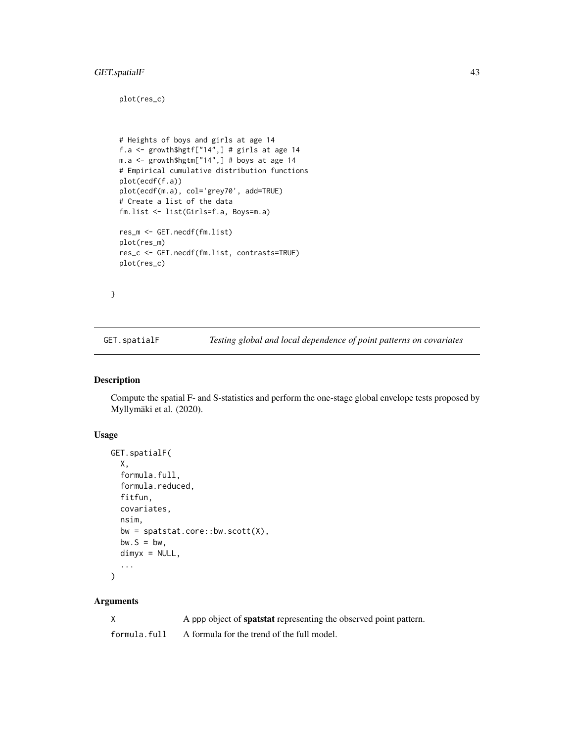## GET.spatialF 43

plot(res\_c)

```
# Heights of boys and girls at age 14
f.a <- growth$hgtf["14",] # girls at age 14
m.a <- growth$hgtm["14",] # boys at age 14
# Empirical cumulative distribution functions
plot(ecdf(f.a))
plot(ecdf(m.a), col='grey70', add=TRUE)
# Create a list of the data
fm.list <- list(Girls=f.a, Boys=m.a)
res_m <- GET.necdf(fm.list)
plot(res_m)
res_c <- GET.necdf(fm.list, contrasts=TRUE)
plot(res_c)
```
}

GET.spatialF *Testing global and local dependence of point patterns on covariates*

### Description

Compute the spatial F- and S-statistics and perform the one-stage global envelope tests proposed by Myllymäki et al. (2020).

### Usage

```
GET.spatialF(
 X,
  formula.full,
  formula.reduced,
 fitfun,
  covariates,
 nsim,
 bw = spatstat.core::bw.scott(X),
 bw.S = bw,dimyx = NULL,...
)
```

|              | A ppp object of <b>spatstat</b> representing the observed point pattern. |
|--------------|--------------------------------------------------------------------------|
| formula.full | A formula for the trend of the full model.                               |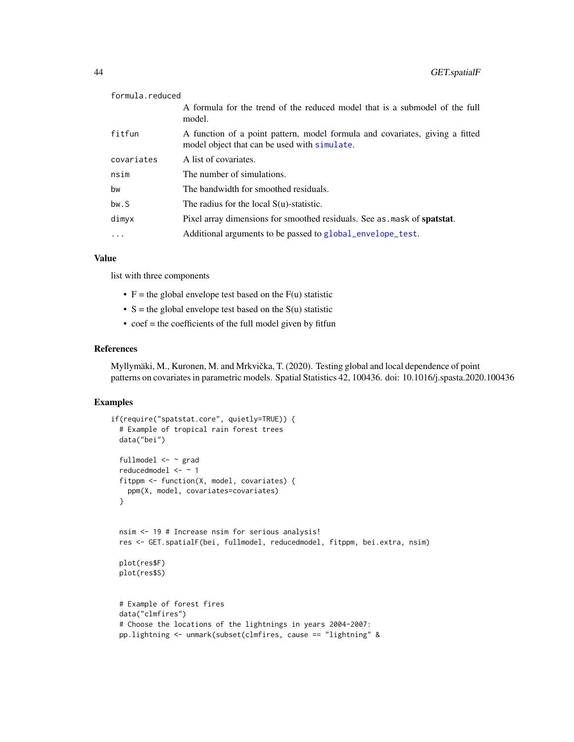| formula.reduced |                                                                                                                              |
|-----------------|------------------------------------------------------------------------------------------------------------------------------|
|                 | A formula for the trend of the reduced model that is a submodel of the full<br>model.                                        |
| fitfun          | A function of a point pattern, model formula and covariates, giving a fitted<br>model object that can be used with simulate. |
| covariates      | A list of covariates.                                                                                                        |
| nsim            | The number of simulations.                                                                                                   |
| bw              | The bandwidth for smoothed residuals.                                                                                        |
| bw.S            | The radius for the local $S(u)$ -statistic.                                                                                  |
| dimyx           | Pixel array dimensions for smoothed residuals. See as mask of <b>spatstat</b> .                                              |
| $\ddots$ .      | Additional arguments to be passed to global_envelope_test.                                                                   |
|                 |                                                                                                                              |

## Value

list with three components

- $F =$  the global envelope test based on the  $F(u)$  statistic
- $S =$  the global envelope test based on the  $S(u)$  statistic
- $\bullet$  coef = the coefficients of the full model given by fitfun

#### References

Myllymäki, M., Kuronen, M. and Mrkvička, T. (2020). Testing global and local dependence of point patterns on covariates in parametric models. Spatial Statistics 42, 100436. doi: 10.1016/j.spasta.2020.100436

```
if(require("spatstat.core", quietly=TRUE)) {
 # Example of tropical rain forest trees
 data("bei")
 fullmodel <- ~ grad
 reducedmodel <- ~ 1
 fitppm <- function(X, model, covariates) {
   ppm(X, model, covariates=covariates)
 }
 nsim <- 19 # Increase nsim for serious analysis!
 res <- GET.spatialF(bei, fullmodel, reducedmodel, fitppm, bei.extra, nsim)
 plot(res$F)
 plot(res$S)
 # Example of forest fires
 data("clmfires")
 # Choose the locations of the lightnings in years 2004-2007:
 pp.lightning <- unmark(subset(clmfires, cause == "lightning" &
```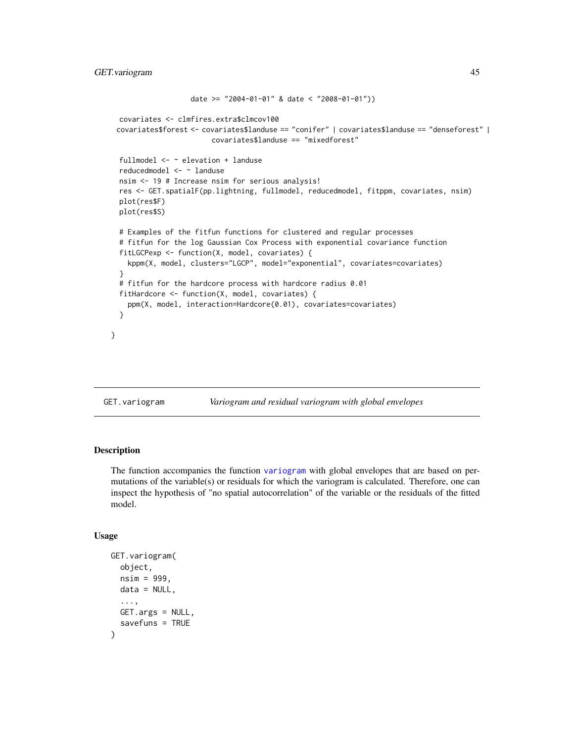```
date >= "2004-01-01" & date < "2008-01-01"))
covariates <- clmfires.extra$clmcov100
covariates$forest <- covariates$landuse == "conifer" | covariates$landuse == "denseforest" |
                      covariates$landuse == "mixedforest"
fullmodel <- ~ elevation + landuse
reducedmodel <- ~ landuse
nsim <- 19 # Increase nsim for serious analysis!
res <- GET.spatialF(pp.lightning, fullmodel, reducedmodel, fitppm, covariates, nsim)
plot(res$F)
plot(res$S)
# Examples of the fitfun functions for clustered and regular processes
# fitfun for the log Gaussian Cox Process with exponential covariance function
fitLGCPexp <- function(X, model, covariates) {
  kppm(X, model, clusters="LGCP", model="exponential", covariates=covariates)
}
# fitfun for the hardcore process with hardcore radius 0.01
fitHardcore <- function(X, model, covariates) {
  ppm(X, model, interaction=Hardcore(0.01), covariates=covariates)
}
```
GET.variogram *Variogram and residual variogram with global envelopes*

### Description

}

The function accompanies the function [variogram](#page-0-0) with global envelopes that are based on permutations of the variable(s) or residuals for which the variogram is calculated. Therefore, one can inspect the hypothesis of "no spatial autocorrelation" of the variable or the residuals of the fitted model.

#### Usage

```
GET.variogram(
  object,
  nsim = 999,
 data = NULL,...,
 GET.args = NULL,
  savefuns = TRUE
)
```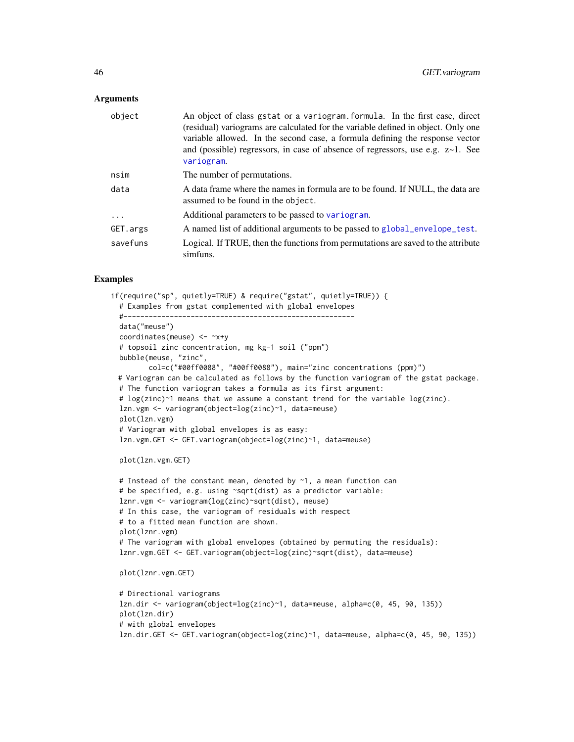#### **Arguments**

| object   | An object of class gstat or a variogram. formula. In the first case, direct<br>(residual) variograms are calculated for the variable defined in object. Only one<br>variable allowed. In the second case, a formula defining the response vector<br>and (possible) regressors, in case of absence of regressors, use e.g. $z \sim 1$ . See<br>variogram. |
|----------|----------------------------------------------------------------------------------------------------------------------------------------------------------------------------------------------------------------------------------------------------------------------------------------------------------------------------------------------------------|
| nsim     | The number of permutations.                                                                                                                                                                                                                                                                                                                              |
| data     | A data frame where the names in formula are to be found. If NULL, the data are<br>assumed to be found in the object.                                                                                                                                                                                                                                     |
| .        | Additional parameters to be passed to variogram.                                                                                                                                                                                                                                                                                                         |
| GET.args | A named list of additional arguments to be passed to global_envelope_test.                                                                                                                                                                                                                                                                               |
| savefuns | Logical. If TRUE, then the functions from permutations are saved to the attribute<br>simfuns.                                                                                                                                                                                                                                                            |

```
if(require("sp", quietly=TRUE) & require("gstat", quietly=TRUE)) {
  # Examples from gstat complemented with global envelopes
 #-------------------------------------------------------
 data("meuse")
 coordinates(meuse) <- ~x+y
 # topsoil zinc concentration, mg kg-1 soil ("ppm")
 bubble(meuse, "zinc",
        col=c("#00ff0088", "#00ff0088"), main="zinc concentrations (ppm)")
 # Variogram can be calculated as follows by the function variogram of the gstat package.
 # The function variogram takes a formula as its first argument:
 # log(zinc)~1 means that we assume a constant trend for the variable log(zinc).
 lzn.vgm <- variogram(object=log(zinc)~1, data=meuse)
 plot(lzn.vgm)
 # Variogram with global envelopes is as easy:
 lzn.vgm.GET <- GET.variogram(object=log(zinc)~1, data=meuse)
 plot(lzn.vgm.GET)
 # Instead of the constant mean, denoted by ~1, a mean function can
 # be specified, e.g. using ~sqrt(dist) as a predictor variable:
 lznr.vgm <- variogram(log(zinc)~sqrt(dist), meuse)
 # In this case, the variogram of residuals with respect
 # to a fitted mean function are shown.
 plot(lznr.vgm)
 # The variogram with global envelopes (obtained by permuting the residuals):
 lznr.vgm.GET <- GET.variogram(object=log(zinc)~sqrt(dist), data=meuse)
 plot(lznr.vgm.GET)
 # Directional variograms
 lzn.dir <- variogram(object=log(zinc)~1, data=meuse, alpha=c(0, 45, 90, 135))
 plot(lzn.dir)
 # with global envelopes
 lzn.dir.GET <- GET.variogram(object=log(zinc)~1, data=meuse, alpha=c(0, 45, 90, 135))
```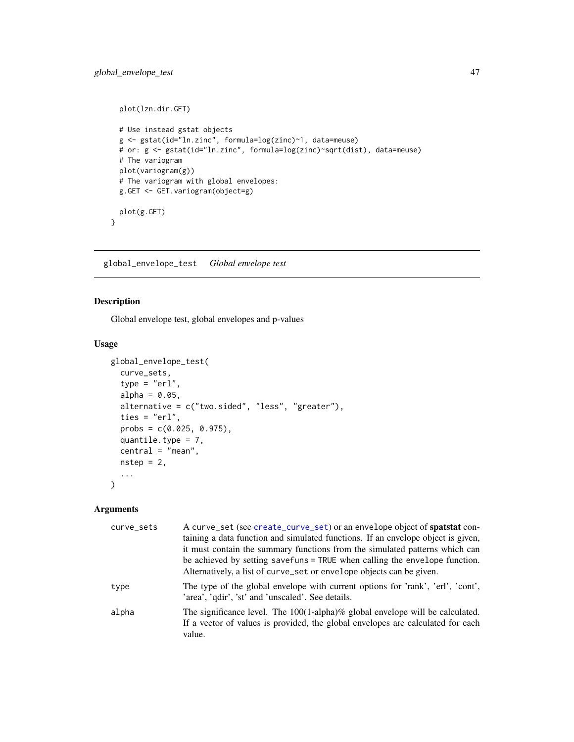```
plot(lzn.dir.GET)
 # Use instead gstat objects
 g <- gstat(id="ln.zinc", formula=log(zinc)~1, data=meuse)
 # or: g <- gstat(id="ln.zinc", formula=log(zinc)~sqrt(dist), data=meuse)
 # The variogram
 plot(variogram(g))
 # The variogram with global envelopes:
 g.GET <- GET.variogram(object=g)
 plot(g.GET)
}
```
<span id="page-46-0"></span>global\_envelope\_test *Global envelope test*

### Description

Global envelope test, global envelopes and p-values

## Usage

```
global_envelope_test(
  curve_sets,
  type = "er1",alpha = 0.05,
  alternative = c("two.sided", "less", "greater"),
  ties = "erl",
 probs = c(0.025, 0.975),
  quantile.type = 7,
  central = "mean",
 nstep = 2,
  ...
)
```

| curve_sets | A curve_set (see create_curve_set) or an envelope object of spatstat con-<br>taining a data function and simulated functions. If an envelope object is given,<br>it must contain the summary functions from the simulated patterns which can<br>be achieved by setting savefuns = TRUE when calling the envelope function.<br>Alternatively, a list of curve_set or envelope objects can be given. |
|------------|----------------------------------------------------------------------------------------------------------------------------------------------------------------------------------------------------------------------------------------------------------------------------------------------------------------------------------------------------------------------------------------------------|
| type       | The type of the global envelope with current options for 'rank', 'erl', 'cont',<br>'area', 'qdir', 'st' and 'unscaled'. See details.                                                                                                                                                                                                                                                               |
| alpha      | The significance level. The 100(1-alpha)% global envelope will be calculated.<br>If a vector of values is provided, the global envelopes are calculated for each<br>value.                                                                                                                                                                                                                         |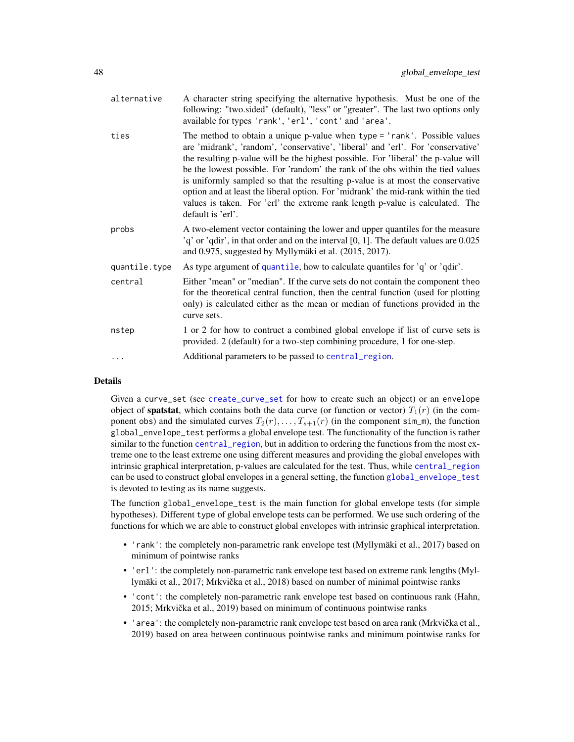| alternative   | A character string specifying the alternative hypothesis. Must be one of the<br>following: "two.sided" (default), "less" or "greater". The last two options only<br>available for types 'rank', 'erl', 'cont' and 'area'.                                                                                                                                                                                                                                                                                                                                                                                            |
|---------------|----------------------------------------------------------------------------------------------------------------------------------------------------------------------------------------------------------------------------------------------------------------------------------------------------------------------------------------------------------------------------------------------------------------------------------------------------------------------------------------------------------------------------------------------------------------------------------------------------------------------|
| ties          | The method to obtain a unique p-value when type = 'rank'. Possible values<br>are 'midrank', 'random', 'conservative', 'liberal' and 'erl'. For 'conservative'<br>the resulting p-value will be the highest possible. For 'liberal' the p-value will<br>be the lowest possible. For 'random' the rank of the obs within the tied values<br>is uniformly sampled so that the resulting p-value is at most the conservative<br>option and at least the liberal option. For 'midrank' the mid-rank within the tied<br>values is taken. For 'erl' the extreme rank length p-value is calculated. The<br>default is 'erl'. |
| probs         | A two-element vector containing the lower and upper quantiles for the measure<br>$'q'$ or 'qdir', in that order and on the interval [0, 1]. The default values are $0.025$<br>and 0.975, suggested by Myllymäki et al. (2015, 2017).                                                                                                                                                                                                                                                                                                                                                                                 |
| quantile.type | As type argument of quantile, how to calculate quantiles for 'q' or 'qdir'.                                                                                                                                                                                                                                                                                                                                                                                                                                                                                                                                          |
| central       | Either "mean" or "median". If the curve sets do not contain the component theo<br>for the theoretical central function, then the central function (used for plotting<br>only) is calculated either as the mean or median of functions provided in the<br>curve sets.                                                                                                                                                                                                                                                                                                                                                 |
| nstep         | 1 or 2 for how to contruct a combined global envelope if list of curve sets is<br>provided. 2 (default) for a two-step combining procedure, 1 for one-step.                                                                                                                                                                                                                                                                                                                                                                                                                                                          |
|               | Additional parameters to be passed to central_region.                                                                                                                                                                                                                                                                                                                                                                                                                                                                                                                                                                |

## Details

Given a curve\_set (see [create\\_curve\\_set](#page-16-0) for how to create such an object) or an envelope object of **spatstat**, which contains both the data curve (or function or vector)  $T_1(r)$  (in the component obs) and the simulated curves  $T_2(r), \ldots, T_{s+1}(r)$  (in the component sim\_m), the function global\_envelope\_test performs a global envelope test. The functionality of the function is rather similar to the function [central\\_region](#page-8-0), but in addition to ordering the functions from the most extreme one to the least extreme one using different measures and providing the global envelopes with intrinsic graphical interpretation, p-values are calculated for the test. Thus, while [central\\_region](#page-8-0) can be used to construct global envelopes in a general setting, the function [global\\_envelope\\_test](#page-46-0) is devoted to testing as its name suggests.

The function global\_envelope\_test is the main function for global envelope tests (for simple hypotheses). Different type of global envelope tests can be performed. We use such ordering of the functions for which we are able to construct global envelopes with intrinsic graphical interpretation.

- 'rank': the completely non-parametric rank envelope test (Myllymäki et al., 2017) based on minimum of pointwise ranks
- 'erl': the completely non-parametric rank envelope test based on extreme rank lengths (Myllymäki et al., 2017; Mrkvička et al., 2018) based on number of minimal pointwise ranks
- 'cont': the completely non-parametric rank envelope test based on continuous rank (Hahn, 2015; Mrkvička et al., 2019) based on minimum of continuous pointwise ranks
- 'area': the completely non-parametric rank envelope test based on area rank (Mrkvička et al., 2019) based on area between continuous pointwise ranks and minimum pointwise ranks for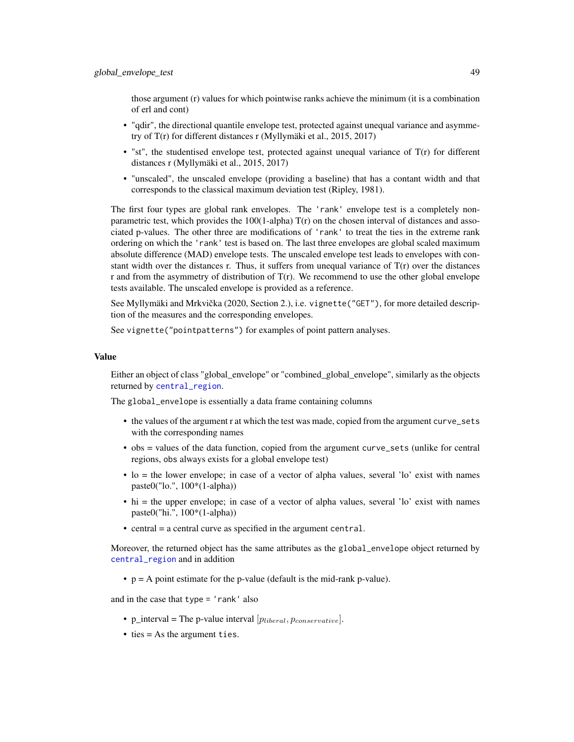those argument (r) values for which pointwise ranks achieve the minimum (it is a combination of erl and cont)

- "qdir", the directional quantile envelope test, protected against unequal variance and asymmetry of T(r) for different distances r (Myllymäki et al., 2015, 2017)
- "st", the studentised envelope test, protected against unequal variance of  $T(r)$  for different distances r (Myllymäki et al., 2015, 2017)
- "unscaled", the unscaled envelope (providing a baseline) that has a contant width and that corresponds to the classical maximum deviation test (Ripley, 1981).

The first four types are global rank envelopes. The 'rank' envelope test is a completely nonparametric test, which provides the  $100(1$ -alpha)  $T(r)$  on the chosen interval of distances and associated p-values. The other three are modifications of 'rank' to treat the ties in the extreme rank ordering on which the 'rank' test is based on. The last three envelopes are global scaled maximum absolute difference (MAD) envelope tests. The unscaled envelope test leads to envelopes with constant width over the distances r. Thus, it suffers from unequal variance of  $T(r)$  over the distances r and from the asymmetry of distribution of  $T(r)$ . We recommend to use the other global envelope tests available. The unscaled envelope is provided as a reference.

See Myllymäki and Mrkvička (2020, Section 2.), i.e. vignette ("GET"), for more detailed description of the measures and the corresponding envelopes.

See vignette("pointpatterns") for examples of point pattern analyses.

#### Value

Either an object of class "global\_envelope" or "combined\_global\_envelope", similarly as the objects returned by [central\\_region](#page-8-0).

The global\_envelope is essentially a data frame containing columns

- the values of the argument r at which the test was made, copied from the argument curve\_sets with the corresponding names
- obs = values of the data function, copied from the argument curve\_sets (unlike for central regions, obs always exists for a global envelope test)
- lo = the lower envelope; in case of a vector of alpha values, several 'lo' exist with names paste0("lo.", 100\*(1-alpha))
- hi = the upper envelope; in case of a vector of alpha values, several 'lo' exist with names paste0("hi.", 100\*(1-alpha))
- central = a central curve as specified in the argument central.

Moreover, the returned object has the same attributes as the global\_envelope object returned by [central\\_region](#page-8-0) and in addition

•  $p = A$  point estimate for the p-value (default is the mid-rank p-value).

and in the case that type = 'rank' also

- p\_interval = The p-value interval  $[p_{liberal}, p_{conservative}]$ .
- ties = As the argument ties.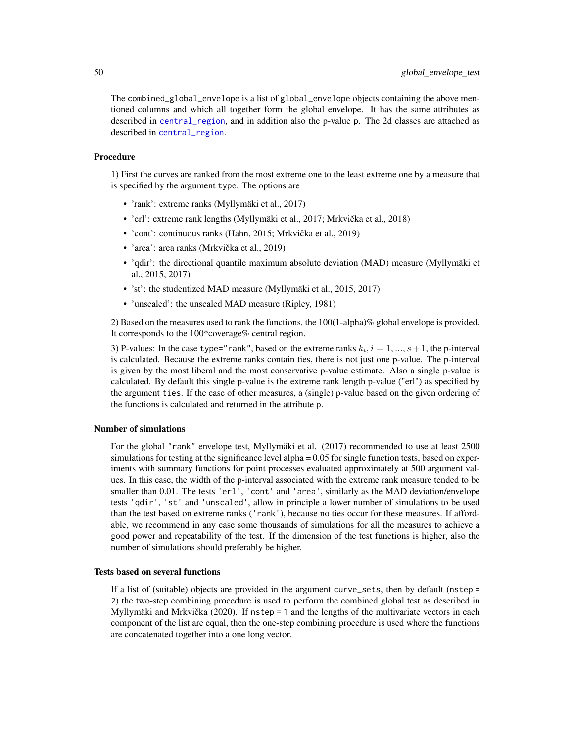The combined\_global\_envelope is a list of global\_envelope objects containing the above mentioned columns and which all together form the global envelope. It has the same attributes as described in [central\\_region](#page-8-0), and in addition also the p-value p. The 2d classes are attached as described in [central\\_region](#page-8-0).

#### Procedure

1) First the curves are ranked from the most extreme one to the least extreme one by a measure that is specified by the argument type. The options are

- 'rank': extreme ranks (Myllymäki et al., 2017)
- 'erl': extreme rank lengths (Myllymäki et al., 2017; Mrkvička et al., 2018)
- 'cont': continuous ranks (Hahn, 2015; Mrkvička et al., 2019)
- 'area': area ranks (Mrkvička et al., 2019)
- 'qdir': the directional quantile maximum absolute deviation (MAD) measure (Myllymäki et al., 2015, 2017)
- 'st': the studentized MAD measure (Myllymäki et al., 2015, 2017)
- 'unscaled': the unscaled MAD measure (Ripley, 1981)

2) Based on the measures used to rank the functions, the 100(1-alpha)% global envelope is provided. It corresponds to the 100\*coverage% central region.

3) P-values: In the case type="rank", based on the extreme ranks  $k_i$ ,  $i = 1, ..., s+1$ , the p-interval is calculated. Because the extreme ranks contain ties, there is not just one p-value. The p-interval is given by the most liberal and the most conservative p-value estimate. Also a single p-value is calculated. By default this single p-value is the extreme rank length p-value ("erl") as specified by the argument ties. If the case of other measures, a (single) p-value based on the given ordering of the functions is calculated and returned in the attribute p.

## Number of simulations

For the global "rank" envelope test, Myllymäki et al. (2017) recommended to use at least 2500 simulations for testing at the significance level alpha = 0.05 for single function tests, based on experiments with summary functions for point processes evaluated approximately at 500 argument values. In this case, the width of the p-interval associated with the extreme rank measure tended to be smaller than 0.01. The tests 'erl', 'cont' and 'area', similarly as the MAD deviation/envelope tests 'qdir', 'st' and 'unscaled', allow in principle a lower number of simulations to be used than the test based on extreme ranks ('rank'), because no ties occur for these measures. If affordable, we recommend in any case some thousands of simulations for all the measures to achieve a good power and repeatability of the test. If the dimension of the test functions is higher, also the number of simulations should preferably be higher.

### Tests based on several functions

If a list of (suitable) objects are provided in the argument curve\_sets, then by default (nstep = 2) the two-step combining procedure is used to perform the combined global test as described in Myllymäki and Mrkvička  $(2020)$ . If  $nstep = 1$  and the lengths of the multivariate vectors in each component of the list are equal, then the one-step combining procedure is used where the functions are concatenated together into a one long vector.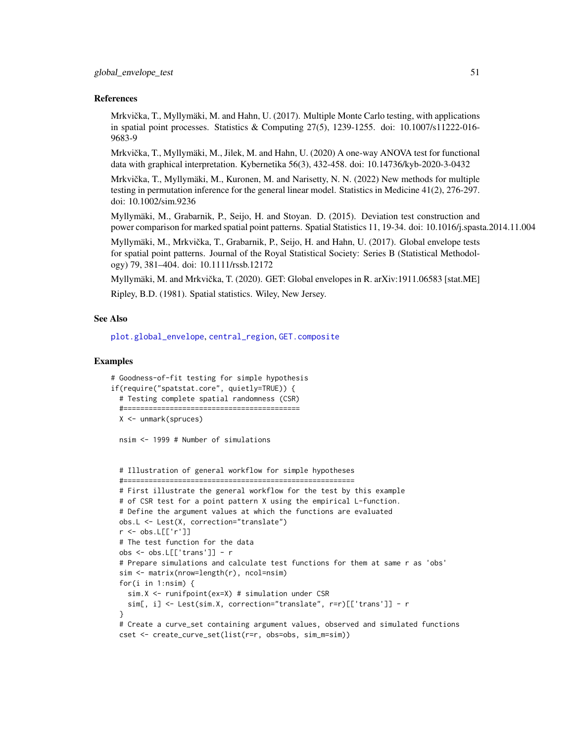#### References

Mrkvička, T., Myllymäki, M. and Hahn, U. (2017). Multiple Monte Carlo testing, with applications in spatial point processes. Statistics & Computing 27(5), 1239-1255. doi: 10.1007/s11222-016- 9683-9

Mrkvička, T., Myllymäki, M., Jilek, M. and Hahn, U. (2020) A one-way ANOVA test for functional data with graphical interpretation. Kybernetika 56(3), 432-458. doi: 10.14736/kyb-2020-3-0432

Mrkvička, T., Myllymäki, M., Kuronen, M. and Narisetty, N. N. (2022) New methods for multiple testing in permutation inference for the general linear model. Statistics in Medicine 41(2), 276-297. doi: 10.1002/sim.9236

Myllymäki, M., Grabarnik, P., Seijo, H. and Stoyan. D. (2015). Deviation test construction and power comparison for marked spatial point patterns. Spatial Statistics 11, 19-34. doi: 10.1016/j.spasta.2014.11.004

Myllymäki, M., Mrkvicka, T., Grabarnik, P., Seijo, H. and Hahn, U. (2017). Global envelope tests ˇ for spatial point patterns. Journal of the Royal Statistical Society: Series B (Statistical Methodology) 79, 381–404. doi: 10.1111/rssb.12172

Myllymäki, M. and Mrkvička, T. (2020). GET: Global envelopes in R. arXiv:1911.06583 [stat.ME]

Ripley, B.D. (1981). Spatial statistics. Wiley, New Jersey.

#### See Also

[plot.global\\_envelope](#page-69-0), [central\\_region](#page-8-0), [GET.composite](#page-35-0)

### Examples

```
# Goodness-of-fit testing for simple hypothesis
if(require("spatstat.core", quietly=TRUE)) {
 # Testing complete spatial randomness (CSR)
 #==========================================
 X <- unmark(spruces)
```
nsim <- 1999 # Number of simulations

# Illustration of general workflow for simple hypotheses

```
#=======================================================
# First illustrate the general workflow for the test by this example
# of CSR test for a point pattern X using the empirical L-function.
# Define the argument values at which the functions are evaluated
obs.L <- Lest(X, correction="translate")
r <- obs.L[['r']]
# The test function for the data
obs <- obs.L[['trans']] - r
# Prepare simulations and calculate test functions for them at same r as 'obs'
sim <- matrix(nrow=length(r), ncol=nsim)
for(i in 1:nsim) {
  sim.X <- runifpoint(ex=X) # simulation under CSR
  sim[, i] <- Lest(sim.X, correction="translate", r=r)[['trans']] - r
}
# Create a curve_set containing argument values, observed and simulated functions
cset <- create_curve_set(list(r=r, obs=obs, sim_m=sim))
```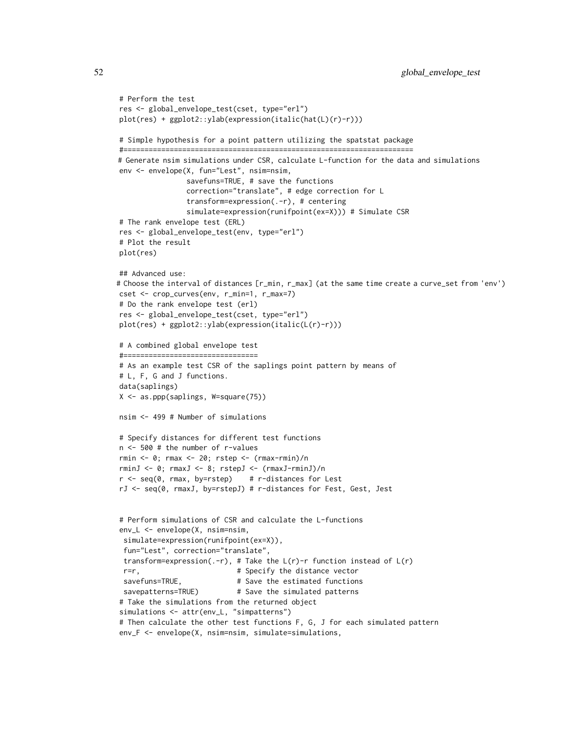```
# Perform the test
res <- global_envelope_test(cset, type="erl")
plot(res) + ggplot2::ylab(expression(italic(hat(L)(r)-r)))
# Simple hypothesis for a point pattern utilizing the spatstat package
#=====================================================================
# Generate nsim simulations under CSR, calculate L-function for the data and simulations
env <- envelope(X, fun="Lest", nsim=nsim,
                savefuns=TRUE, # save the functions
                correction="translate", # edge correction for L
                transform=expression(.-r), # centering
                simulate=expression(runifpoint(ex=X))) # Simulate CSR
# The rank envelope test (ERL)
res <- global_envelope_test(env, type="erl")
# Plot the result
plot(res)
## Advanced use:
# Choose the interval of distances [r_min, r_max] (at the same time create a curve_set from 'env')
cset <- crop_curves(env, r_min=1, r_max=7)
# Do the rank envelope test (erl)
res <- global_envelope_test(cset, type="erl")
plot(res) + ggplot2::ylab(expression(italic(L(r)-r)))
# A combined global envelope test
#================================
# As an example test CSR of the saplings point pattern by means of
# L, F, G and J functions.
data(saplings)
X <- as.ppp(saplings, W=square(75))
nsim <- 499 # Number of simulations
# Specify distances for different test functions
n <- 500 # the number of r-values
rmin <- 0; rmax <- 20; rstep <- (rmax-rmin)/n
rminJ <- 0; rmaxJ <- 8; rstepJ <- (rmaxJ-rminJ)/n
r < - seq(0, rmax, by=rstep) # r-distances for Lest
rJ <- seq(0, rmaxJ, by=rstepJ) # r-distances for Fest, Gest, Jest
# Perform simulations of CSR and calculate the L-functions
env_L <- envelope(X, nsim=nsim,
 simulate=expression(runifpoint(ex=X)),
 fun="Lest", correction="translate",
 transform=expression(.-r), # Take the L(r)-r function instead of L(r)r=r, \qquad # Specify the distance vector
 savefuns=TRUE, # Save the estimated functions
 savepatterns=TRUE) # Save the simulated patterns
# Take the simulations from the returned object
simulations <- attr(env_L, "simpatterns")
# Then calculate the other test functions F, G, J for each simulated pattern
env_F <- envelope(X, nsim=nsim, simulate=simulations,
```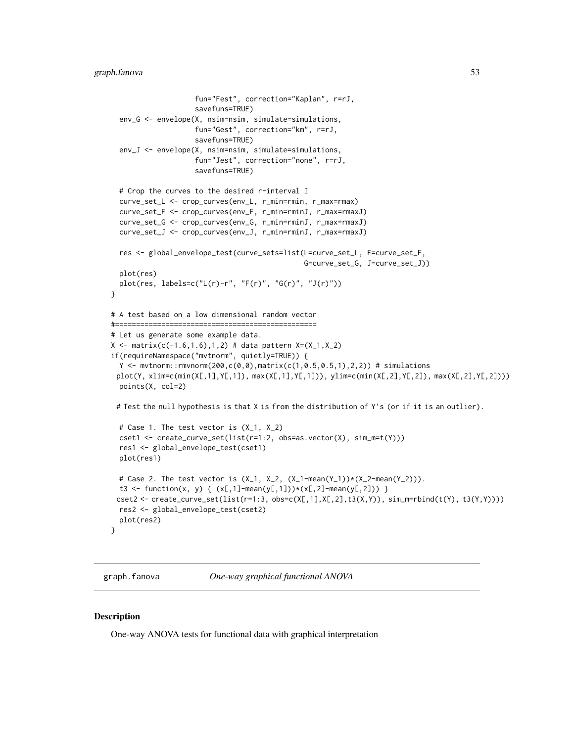```
fun="Fest", correction="Kaplan", r=rJ,
                    savefuns=TRUE)
 env_G <- envelope(X, nsim=nsim, simulate=simulations,
                    fun="Gest", correction="km", r=rJ,
                    savefuns=TRUE)
 env_J <- envelope(X, nsim=nsim, simulate=simulations,
                    fun="Jest", correction="none", r=rJ,
                    savefuns=TRUE)
 # Crop the curves to the desired r-interval I
 curve_set_L <- crop_curves(env_L, r_min=rmin, r_max=rmax)
 curve_set_F <- crop_curves(env_F, r_min=rminJ, r_max=rmaxJ)
 curve_set_G <- crop_curves(env_G, r_min=rminJ, r_max=rmaxJ)
 curve_set_J <- crop_curves(env_J, r_min=rminJ, r_max=rmaxJ)
 res <- global_envelope_test(curve_sets=list(L=curve_set_L, F=curve_set_F,
                                               G=curve_set_G, J=curve_set_J))
 plot(res)
 plot(res, labels=c("L(r)-r", "F(r)", "G(r)", "J(r)"))
}
# A test based on a low dimensional random vector
#================================================
# Let us generate some example data.
X \leq matrix(c(-1.6,1.6),1,2) # data pattern X=(X_1,X_2)
if(requireNamespace("mvtnorm", quietly=TRUE)) {
 Y <- mvtnorm::rmvnorm(200,c(0,0),matrix(c(1,0.5,0.5,1),2,2)) # simulations
 plot(Y, xlim=c(min(X[,1],Y[,1]), max(X[,1],Y[,1])), ylim=c(min(X[,2],Y[,2]), max(X[,2],Y[,2])))
 points(X, col=2)
 # Test the null hypothesis is that X is from the distribution of Y's (or if it is an outlier).
 # Case 1. The test vector is (X_1, X_2)
 cset1 <- create_curve_set(list(r=1:2, obs=as.vector(X), sim_m=t(Y)))
 res1 <- global_envelope_test(cset1)
 plot(res1)
 # Case 2. The test vector is (X_1, X_2, (X_1-mean(Y_1))*(X_2-mean(Y_2))).
 t3 <- function(x, y) { (x[,1]-mean(y[,1]))*(x[,2]-mean(y[,2])) }
 cset2 <- create_curve_set(list(r=1:3, obs=c(X[,1],X[,2],t3(X,Y)), sim_m=rbind(t(Y), t3(Y,Y))))
 res2 <- global_envelope_test(cset2)
 plot(res2)
}
```
<span id="page-52-0"></span>graph.fanova *One-way graphical functional ANOVA*

#### Description

One-way ANOVA tests for functional data with graphical interpretation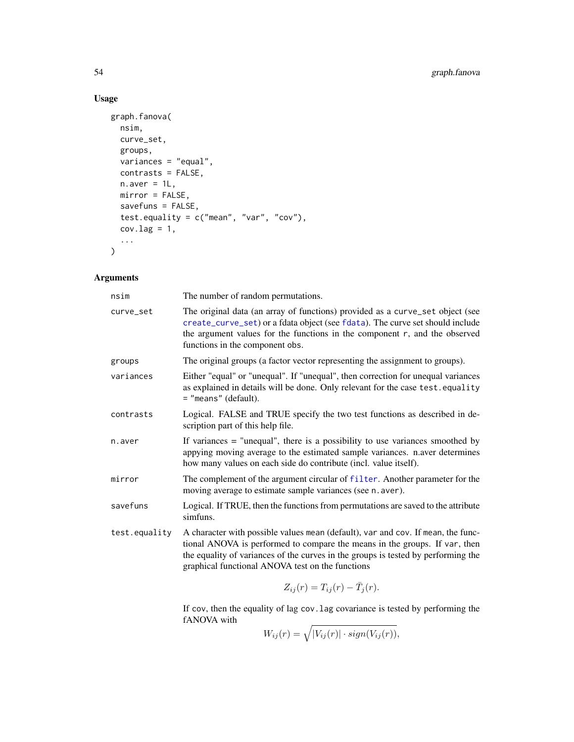# Usage

```
graph.fanova(
  nsim,
  curve_set,
  groups,
  variances = "equal",
  contrasts = FALSE,
  n.aver = 1L,mirror = FALSE,
  savefuns = FALSE,
  test.equality = c("mean", "var", "cov"),
  cov.lang = 1,...
\mathcal{L}
```
## Arguments

| nsim          | The number of random permutations.                                                                                                                                                                                                                                                                      |
|---------------|---------------------------------------------------------------------------------------------------------------------------------------------------------------------------------------------------------------------------------------------------------------------------------------------------------|
| curve_set     | The original data (an array of functions) provided as a curve_set object (see<br>create_curve_set) or a fdata object (see fdata). The curve set should include<br>the argument values for the functions in the component r, and the observed<br>functions in the component obs.                         |
| groups        | The original groups (a factor vector representing the assignment to groups).                                                                                                                                                                                                                            |
| variances     | Either "equal" or "unequal". If "unequal", then correction for unequal variances<br>as explained in details will be done. Only relevant for the case test. equality<br>$=$ "means" (default).                                                                                                           |
| contrasts     | Logical. FALSE and TRUE specify the two test functions as described in de-<br>scription part of this help file.                                                                                                                                                                                         |
| n.aver        | If variances $=$ "unequal", there is a possibility to use variances smoothed by<br>appying moving average to the estimated sample variances. n.aver determines<br>how many values on each side do contribute (incl. value itself).                                                                      |
| mirror        | The complement of the argument circular of filter. Another parameter for the<br>moving average to estimate sample variances (see n. aver).                                                                                                                                                              |
| savefuns      | Logical. If TRUE, then the functions from permutations are saved to the attribute<br>simfuns.                                                                                                                                                                                                           |
| test.equality | A character with possible values mean (default), var and cov. If mean, the func-<br>tional ANOVA is performed to compare the means in the groups. If var, then<br>the equality of variances of the curves in the groups is tested by performing the<br>graphical functional ANOVA test on the functions |
|               | $\pi$ ( ) $\pi$ ( ) $\pi$ ( )                                                                                                                                                                                                                                                                           |

 $Z_{ij}(r) = T_{ij}(r) - \bar{T}_j(r).$ 

If cov, then the equality of lag cov.lag covariance is tested by performing the fANOVA with

 $W_{ij}(r) = \sqrt{|V_{ij}(r)| \cdot sign(V_{ij}(r))},$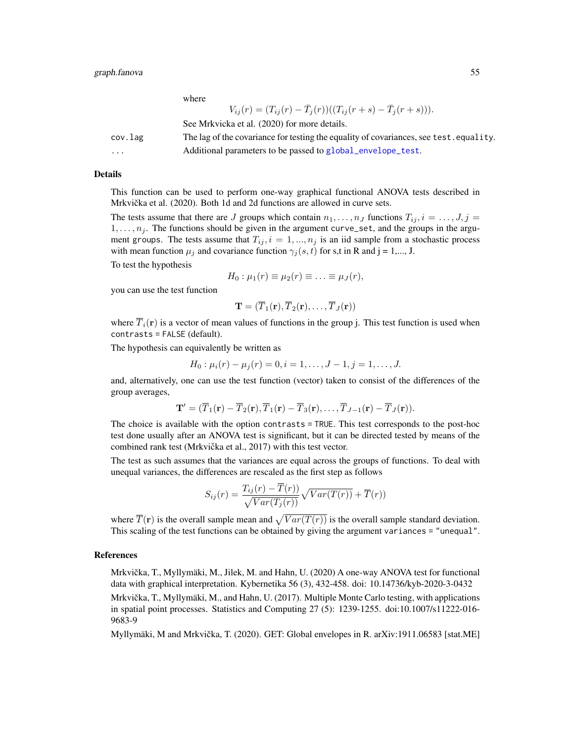where

|          | $V_{ij}(r) = (T_{ij}(r) - \bar{T}_j(r))((T_{ij}(r+s) - \bar{T}_j(r+s))).$              |
|----------|----------------------------------------------------------------------------------------|
|          | See Mrkvicka et al. (2020) for more details.                                           |
| cov.lag  | The lag of the covariance for testing the equality of covariances, see test. equality. |
| $\cdots$ | Additional parameters to be passed to global_envelope_test.                            |

#### Details

This function can be used to perform one-way graphical functional ANOVA tests described in Mrkvička et al. (2020). Both 1d and 2d functions are allowed in curve sets.

The tests assume that there are J groups which contain  $n_1, \ldots, n_J$  functions  $T_{ij}$ ,  $i = \ldots, J, j =$  $1, \ldots, n_j$ . The functions should be given in the argument curve\_set, and the groups in the argument groups. The tests assume that  $T_{ij}$ ,  $i = 1, ..., n_j$  is an iid sample from a stochastic process with mean function  $\mu_j$  and covariance function  $\gamma_j(s, t)$  for s,t in R and j = 1,..., J.

To test the hypothesis

$$
H_0: \mu_1(r) \equiv \mu_2(r) \equiv \ldots \equiv \mu_J(r),
$$

you can use the test function

$$
\mathbf{T}=(\overline{T}_1(\mathbf{r}),\overline{T}_2(\mathbf{r}),\ldots,\overline{T}_J(\mathbf{r}))
$$

where  $\overline{T}_i(\mathbf{r})$  is a vector of mean values of functions in the group j. This test function is used when contrasts = FALSE (default).

The hypothesis can equivalently be written as

$$
H_0: \mu_i(r) - \mu_j(r) = 0, i = 1, \dots, J-1, j = 1, \dots, J.
$$

and, alternatively, one can use the test function (vector) taken to consist of the differences of the group averages,

$$
\mathbf{T}' = (\overline{T}_1(\mathbf{r}) - \overline{T}_2(\mathbf{r}), \overline{T}_1(\mathbf{r}) - \overline{T}_3(\mathbf{r}), \dots, \overline{T}_{J-1}(\mathbf{r}) - \overline{T}_J(\mathbf{r})).
$$

The choice is available with the option contrasts = TRUE. This test corresponds to the post-hoc test done usually after an ANOVA test is significant, but it can be directed tested by means of the combined rank test (Mrkvička et al., 2017) with this test vector.

The test as such assumes that the variances are equal across the groups of functions. To deal with unequal variances, the differences are rescaled as the first step as follows

$$
S_{ij}(r) = \frac{T_{ij}(r) - \overline{T}(r)}{\sqrt{Var(T_j(r))}} \sqrt{Var(T(r))} + \overline{T}(r))
$$

where  $\overline{T}(\mathbf{r})$  is the overall sample mean and  $\sqrt{Var(T(r))}$  is the overall sample standard deviation. This scaling of the test functions can be obtained by giving the argument variances = "unequal".

### References

Mrkvička, T., Myllymäki, M., Jilek, M. and Hahn, U. (2020) A one-way ANOVA test for functional data with graphical interpretation. Kybernetika 56 (3), 432-458. doi: 10.14736/kyb-2020-3-0432 Mrkvička, T., Myllymäki, M., and Hahn, U. (2017). Multiple Monte Carlo testing, with applications in spatial point processes. Statistics and Computing 27 (5): 1239-1255. doi:10.1007/s11222-016- 9683-9

Myllymäki, M and Mrkvicka, T. (2020). GET: Global envelopes in R. arXiv:1911.06583 [stat.ME] ˇ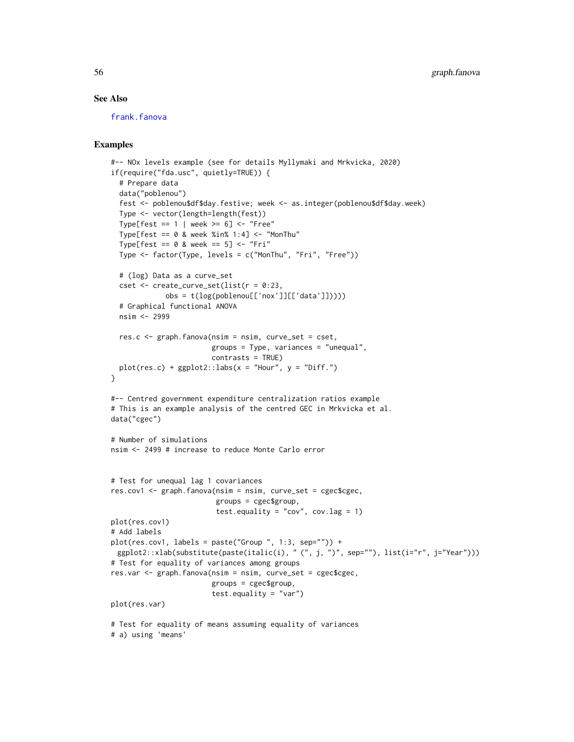## See Also

[frank.fanova](#page-29-0)

```
#-- NOx levels example (see for details Myllymaki and Mrkvicka, 2020)
if(require("fda.usc", quietly=TRUE)) {
  # Prepare data
  data("poblenou")
  fest <- poblenou$df$day.festive; week <- as.integer(poblenou$df$day.week)
  Type <- vector(length=length(fest))
  Type[fest == 1 | week >= 6] <- "Free"
  Type[fest == 0 & week %in% 1:4] <- "MonThu"
  Type[fest == 0 & week == 5] <- "Fri"
  Type <- factor(Type, levels = c("MonThu", "Fri", "Free"))
  # (log) Data as a curve_set
  cset \le create_curve_set(list(r = 0:23,
             obs = t(log(poblenou[['nox']][['data']]))))
  # Graphical functional ANOVA
  nsim <- 2999
  res.c \leq graph. fanova(nsim = nsim, curve_set = cset,
                        groups = Type, variances = "unequal",
                        contrasts = TRUE)
  plot(res.c) + ggplot2::labs(x = "Hour", y = "Diff.")}
#-- Centred government expenditure centralization ratios example
# This is an example analysis of the centred GEC in Mrkvicka et al.
data("cgec")
# Number of simulations
nsim <- 2499 # increase to reduce Monte Carlo error
# Test for unequal lag 1 covariances
res.cov1 <- graph.fanova(nsim = nsim, curve_set = cgec$cgec,
                         groups = cgec$group,
                         test.equality = "cov", cov.lang = 1)
plot(res.cov1)
# Add labels
plot(res.cov1, labels = paste("Group ", 1:3, sep="")) +
 ggplot2::xlab(substitute(paste(italic(i), " (", j, ")", sep=""), list(i="r", j="Year")))
# Test for equality of variances among groups
res.var <- graph.fanova(nsim = nsim, curve_set = cgec$cgec,
                        groups = cgec$group,
                        test.equality = "var")
plot(res.var)
# Test for equality of means assuming equality of variances
# a) using 'means'
```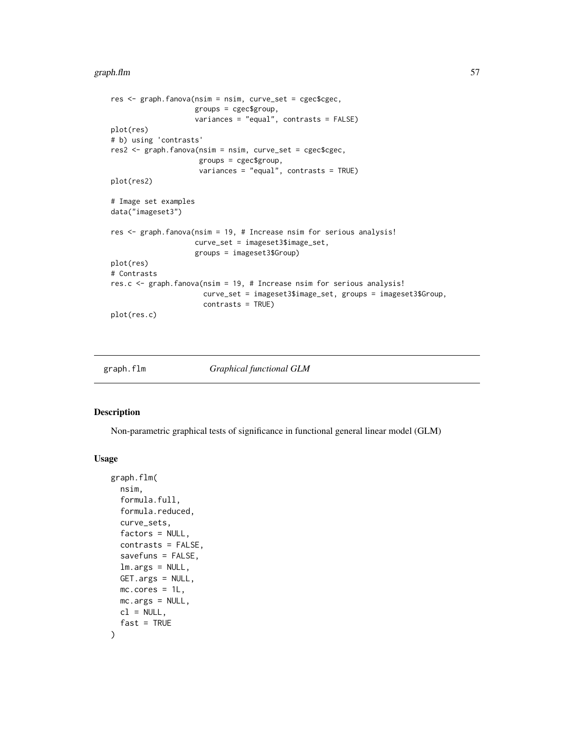#### graph.flm 57 (1999) and 57 (1999) and 57 (1999) and 58 (1999) and 57 (1999) and 57 (1999) and 57 (1999) and 57

```
res <- graph.fanova(nsim = nsim, curve_set = cgec$cgec,
                    groups = cgec$group,
                    variances = "equal", contrasts = FALSE)
plot(res)
# b) using 'contrasts'
res2 <- graph.fanova(nsim = nsim, curve_set = cgec$cgec,
                     groups = cgec$group,
                     variances = "equal", contrasts = TRUE)
plot(res2)
# Image set examples
data("imageset3")
res <- graph.fanova(nsim = 19, # Increase nsim for serious analysis!
                    curve_set = imageset3$image_set,
                    groups = imageset3$Group)
plot(res)
# Contrasts
res.c <- graph.fanova(nsim = 19, # Increase nsim for serious analysis!
                      curve_set = imageset3$image_set, groups = imageset3$Group,
                      contrasts = TRUE)
plot(res.c)
```

```
graph.flm Graphical functional GLM
```
### Description

Non-parametric graphical tests of significance in functional general linear model (GLM)

## Usage

```
graph.flm(
  nsim,
  formula.full,
  formula.reduced,
  curve_sets,
  factors = NULL,
  contrasts = FALSE,
  savefuns = FALSE,
  lm.args = NULL,
  GET.args = NULL,
 mc.cores = 1L,
 mc.args = NULL,
 cl = NULL,fast = TRUE)
```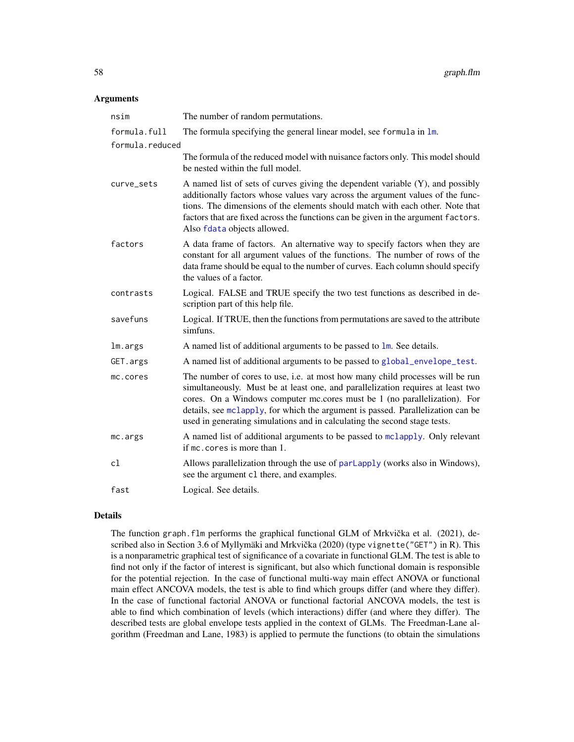#### **Arguments**

| nsim            | The number of random permutations.                                                                                                                                                                                                                                                                                                                                                                            |
|-----------------|---------------------------------------------------------------------------------------------------------------------------------------------------------------------------------------------------------------------------------------------------------------------------------------------------------------------------------------------------------------------------------------------------------------|
| formula.full    | The formula specifying the general linear model, see formula in lm.                                                                                                                                                                                                                                                                                                                                           |
| formula.reduced |                                                                                                                                                                                                                                                                                                                                                                                                               |
|                 | The formula of the reduced model with nuisance factors only. This model should<br>be nested within the full model.                                                                                                                                                                                                                                                                                            |
| curve_sets      | A named list of sets of curves giving the dependent variable (Y), and possibly<br>additionally factors whose values vary across the argument values of the func-<br>tions. The dimensions of the elements should match with each other. Note that<br>factors that are fixed across the functions can be given in the argument factors.<br>Also fdata objects allowed.                                         |
| factors         | A data frame of factors. An alternative way to specify factors when they are<br>constant for all argument values of the functions. The number of rows of the<br>data frame should be equal to the number of curves. Each column should specify<br>the values of a factor.                                                                                                                                     |
| contrasts       | Logical. FALSE and TRUE specify the two test functions as described in de-<br>scription part of this help file.                                                                                                                                                                                                                                                                                               |
| savefuns        | Logical. If TRUE, then the functions from permutations are saved to the attribute<br>simfuns.                                                                                                                                                                                                                                                                                                                 |
| lm.args         | A named list of additional arguments to be passed to $\text{lm}$ . See details.                                                                                                                                                                                                                                                                                                                               |
| GET.args        | A named list of additional arguments to be passed to global_envelope_test.                                                                                                                                                                                                                                                                                                                                    |
| mc.cores        | The number of cores to use, i.e. at most how many child processes will be run<br>simultaneously. Must be at least one, and parallelization requires at least two<br>cores. On a Windows computer mc.cores must be 1 (no parallelization). For<br>details, see mclapply, for which the argument is passed. Parallelization can be<br>used in generating simulations and in calculating the second stage tests. |
| mc.args         | A named list of additional arguments to be passed to mclapply. Only relevant<br>if mc. cores is more than 1.                                                                                                                                                                                                                                                                                                  |
| cl              | Allows parallelization through the use of parlapply (works also in Windows),<br>see the argument c1 there, and examples.                                                                                                                                                                                                                                                                                      |
| fast            | Logical. See details.                                                                                                                                                                                                                                                                                                                                                                                         |

## Details

The function graph. flm performs the graphical functional GLM of Mrkvička et al. (2021), described also in Section 3.6 of Myllymäki and Mrkvička (2020) (type vignette("GET") in R). This is a nonparametric graphical test of significance of a covariate in functional GLM. The test is able to find not only if the factor of interest is significant, but also which functional domain is responsible for the potential rejection. In the case of functional multi-way main effect ANOVA or functional main effect ANCOVA models, the test is able to find which groups differ (and where they differ). In the case of functional factorial ANOVA or functional factorial ANCOVA models, the test is able to find which combination of levels (which interactions) differ (and where they differ). The described tests are global envelope tests applied in the context of GLMs. The Freedman-Lane algorithm (Freedman and Lane, 1983) is applied to permute the functions (to obtain the simulations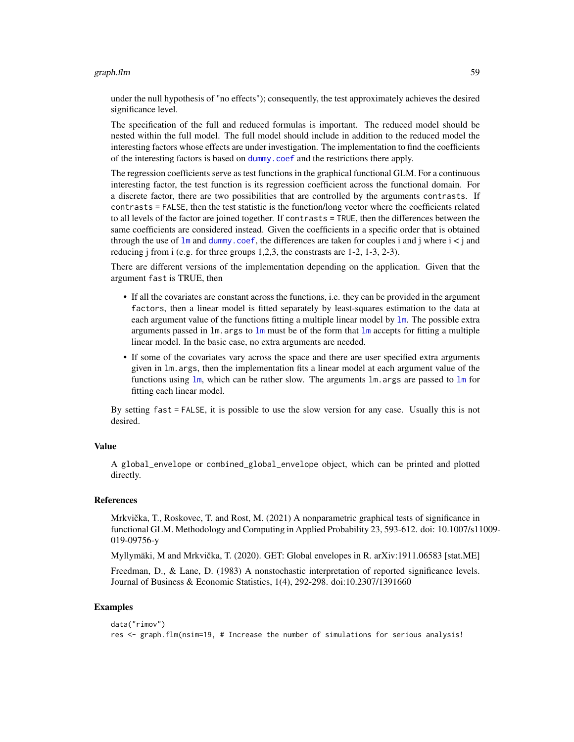#### graph.flm 59

under the null hypothesis of "no effects"); consequently, the test approximately achieves the desired significance level.

The specification of the full and reduced formulas is important. The reduced model should be nested within the full model. The full model should include in addition to the reduced model the interesting factors whose effects are under investigation. The implementation to find the coefficients of the interesting factors is based on [dummy.coef](#page-0-0) and the restrictions there apply.

The regression coefficients serve as test functions in the graphical functional GLM. For a continuous interesting factor, the test function is its regression coefficient across the functional domain. For a discrete factor, there are two possibilities that are controlled by the arguments contrasts. If contrasts = FALSE, then the test statistic is the function/long vector where the coefficients related to all levels of the factor are joined together. If contrasts = TRUE, then the differences between the same coefficients are considered instead. Given the coefficients in a specific order that is obtained through the use of  $\text{Im}$  and [dummy.coef](#page-0-0), the differences are taken for couples i and j where  $i < j$  and reducing j from i (e.g. for three groups 1,2,3, the constrasts are 1-2, 1-3, 2-3).

There are different versions of the implementation depending on the application. Given that the argument fast is TRUE, then

- If all the covariates are constant across the functions, i.e. they can be provided in the argument factors, then a linear model is fitted separately by least-squares estimation to the data at each argument value of the functions fitting a multiple linear model by  $\text{lm}$  $\text{lm}$  $\text{lm}$ . The possible extra arguments passed in  $\text{Im} \cdot \text{args}$  to  $\text{Im} \text{ must be of the form that } \text{Im} \text{ accepts}$  for fitting a multiple linear model. In the basic case, no extra arguments are needed.
- If some of the covariates vary across the space and there are user specified extra arguments given in lm.args, then the implementation fits a linear model at each argument value of the functions using [lm](#page-0-0), which can be rather slow. The arguments lm.args are passed to [lm](#page-0-0) for fitting each linear model.

By setting fast = FALSE, it is possible to use the slow version for any case. Usually this is not desired.

### Value

A global\_envelope or combined\_global\_envelope object, which can be printed and plotted directly.

# References

Mrkvička, T., Roskovec, T. and Rost, M. (2021) A nonparametric graphical tests of significance in functional GLM. Methodology and Computing in Applied Probability 23, 593-612. doi: 10.1007/s11009- 019-09756-y

Myllymäki, M and Mrkvicka, T. (2020). GET: Global envelopes in R. arXiv:1911.06583 [stat.ME] ˇ

Freedman, D., & Lane, D. (1983) A nonstochastic interpretation of reported significance levels. Journal of Business & Economic Statistics, 1(4), 292-298. doi:10.2307/1391660

```
data("rimov")
res <- graph.flm(nsim=19, # Increase the number of simulations for serious analysis!
```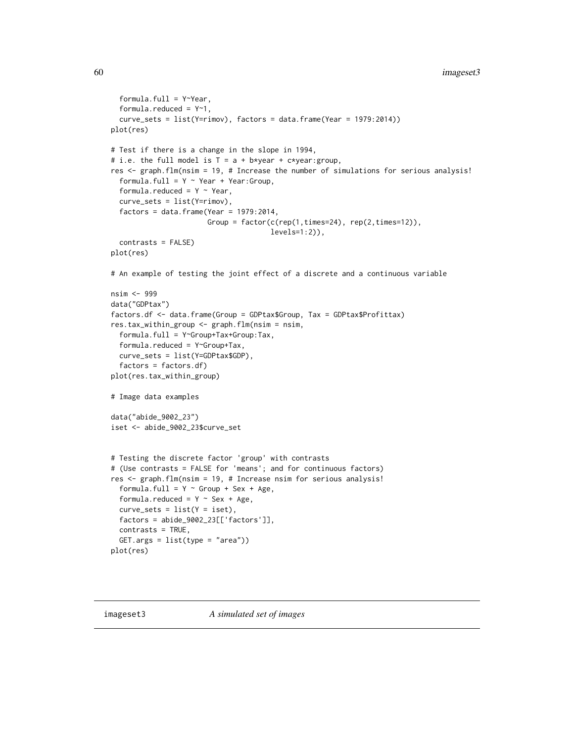```
formula.full = Y~Year,
 formula.reduced = Y~1,
 curve_sets = list(Y=rimov), factors = data.frame(Year = 1979:2014))
plot(res)
# Test if there is a change in the slope in 1994,
# i.e. the full model is T = a + b*year + c*year:group,res <- graph.flm(nsim = 19, # Increase the number of simulations for serious analysis!
 formula.full = Y \sim Year + Year:Groupformula.reduced = Y \sim Year,
 curve_sets = list(Y=rimov),
 factors = data.frame(Year = 1979:2014,Group = factor(c(rep(1,times=24), rep(2,times=12)),levels=1:2)),
 contrasts = FALSE)
plot(res)
# An example of testing the joint effect of a discrete and a continuous variable
nsim <- 999
data("GDPtax")
factors.df <- data.frame(Group = GDPtax$Group, Tax = GDPtax$Profittax)
res.tax_within_group <- graph.flm(nsim = nsim,
 formula.full = Y~Group+Tax+Group:Tax,
 formula.reduced = Y~Group+Tax,
 curve_sets = list(Y=GDPtax$GDP),
  factors = factors.df)
plot(res.tax_within_group)
# Image data examples
data("abide_9002_23")
iset <- abide_9002_23$curve_set
# Testing the discrete factor 'group' with contrasts
# (Use contrasts = FALSE for 'means'; and for continuous factors)
res <- graph.flm(nsim = 19, # Increase nsim for serious analysis!
 formula.full = Y \sim Group + Sex + Age,
 formula.reduced = Y \sim Sex + Age,
 curve\_sets = list(Y = iset),factors = abide_9002_23[['factors']],
 contrasts = TRUE,
 GET.args = list(type = "area"))
plot(res)
```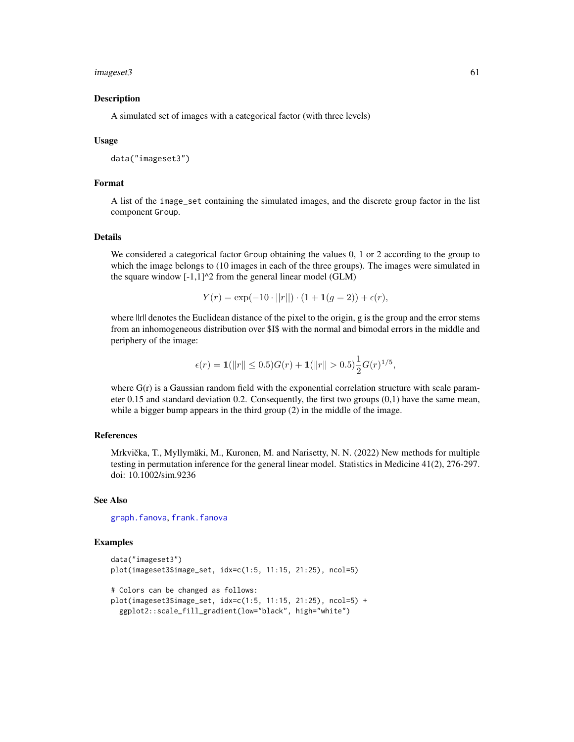#### imageset3 61

#### Description

A simulated set of images with a categorical factor (with three levels)

#### Usage

```
data("imageset3")
```
### Format

A list of the image\_set containing the simulated images, and the discrete group factor in the list component Group.

## Details

We considered a categorical factor Group obtaining the values 0, 1 or 2 according to the group to which the image belongs to (10 images in each of the three groups). The images were simulated in the square window  $[-1,1]^2$  from the general linear model (GLM)

$$
Y(r) = \exp(-10 \cdot ||r||) \cdot (1 + \mathbf{1}(g = 2)) + \epsilon(r),
$$

where  $\|$ rll denotes the Euclidean distance of the pixel to the origin, g is the group and the error stems from an inhomogeneous distribution over \$I\$ with the normal and bimodal errors in the middle and periphery of the image:

$$
\epsilon(r) = \mathbf{1}(\|r\| \le 0.5)G(r) + \mathbf{1}(\|r\| > 0.5)\frac{1}{2}G(r)^{1/5},
$$

where  $G(r)$  is a Gaussian random field with the exponential correlation structure with scale parameter 0.15 and standard deviation 0.2. Consequently, the first two groups (0,1) have the same mean, while a bigger bump appears in the third group (2) in the middle of the image.

### References

Mrkvička, T., Myllymäki, M., Kuronen, M. and Narisetty, N. N. (2022) New methods for multiple testing in permutation inference for the general linear model. Statistics in Medicine 41(2), 276-297. doi: 10.1002/sim.9236

## See Also

[graph.fanova](#page-52-0), [frank.fanova](#page-29-0)

```
data("imageset3")
plot(imageset3$image_set, idx=c(1:5, 11:15, 21:25), ncol=5)
# Colors can be changed as follows:
plot(imageset3$image_set, idx=c(1:5, 11:15, 21:25), ncol=5) +
 ggplot2::scale_fill_gradient(low="black", high="white")
```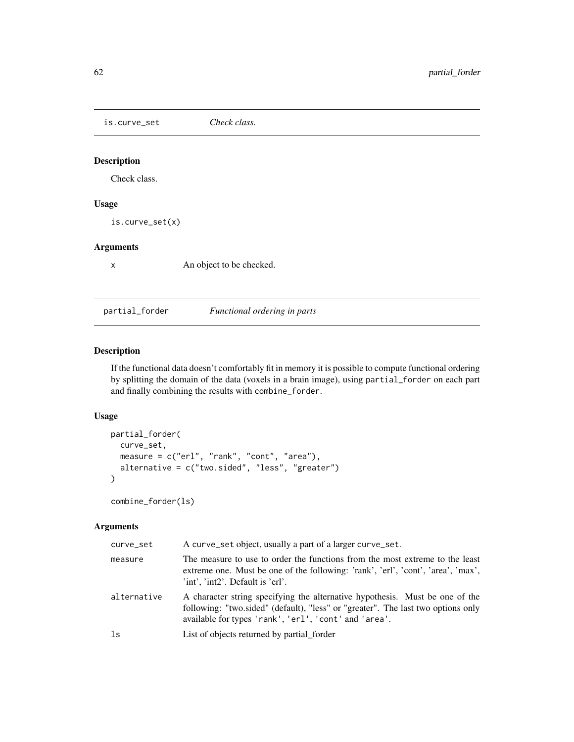is.curve\_set *Check class.*

## Description

Check class.

# Usage

is.curve\_set(x)

### Arguments

x An object to be checked.

partial\_forder *Functional ordering in parts*

# Description

If the functional data doesn't comfortably fit in memory it is possible to compute functional ordering by splitting the domain of the data (voxels in a brain image), using partial\_forder on each part and finally combining the results with combine\_forder.

## Usage

```
partial_forder(
 curve_set,
 measure = c("erl", "rank", "cont", "area"),
 alternative = c("two.sided", "less", "greater")
)
```
combine\_forder(ls)

| curve_set   | A curve_set object, usually a part of a larger curve_set.                                                                                                                                                                 |
|-------------|---------------------------------------------------------------------------------------------------------------------------------------------------------------------------------------------------------------------------|
| measure     | The measure to use to order the functions from the most extreme to the least<br>extreme one. Must be one of the following: 'rank', 'erl', 'cont', 'area', 'max',<br>'int', 'int2'. Default is 'erl'.                      |
| alternative | A character string specifying the alternative hypothesis. Must be one of the<br>following: "two.sided" (default), "less" or "greater". The last two options only<br>available for types 'rank', 'erl', 'cont' and 'area'. |
| 1s          | List of objects returned by partial_forder                                                                                                                                                                                |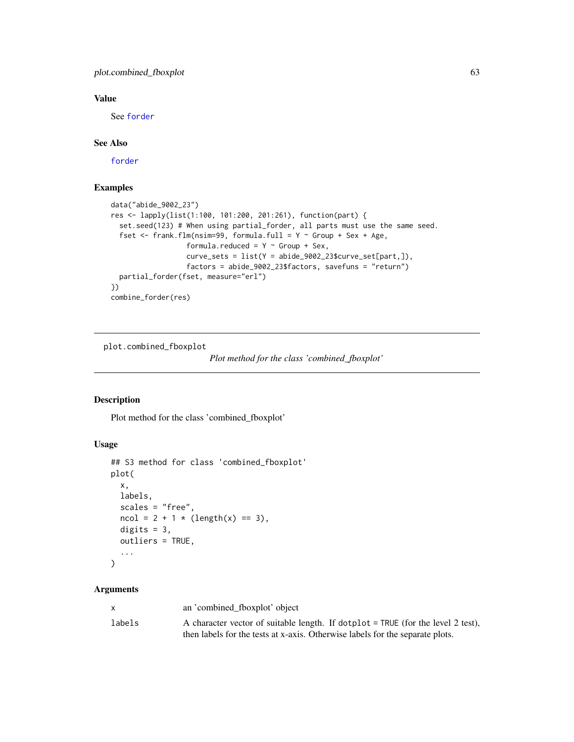## plot.combined\_fboxplot 63

# Value

See [forder](#page-26-0)

## See Also

[forder](#page-26-0)

### Examples

```
data("abide_9002_23")
res <- lapply(list(1:100, 101:200, 201:261), function(part) {
  set.seed(123) # When using partial_forder, all parts must use the same seed.
  fset \leq frank.flm(nsim=99, formula.full = Y \sim Group + Sex + Age,
                  formula.reduced = Y \sim Group + Sex,
                  curve_sets = list(Y = abide_9002_23$curve_set[part,]),
                  factors = abide_9002_23$factors, savefuns = "return")
  partial_forder(fset, measure="erl")
})
combine_forder(res)
```
plot.combined\_fboxplot

*Plot method for the class 'combined\_fboxplot'*

## Description

Plot method for the class 'combined\_fboxplot'

### Usage

```
## S3 method for class 'combined_fboxplot'
plot(
  x,
 labels,
  scales = "free",
 ncol = 2 + 1 * (length(x) == 3),digits = 3,
  outliers = TRUE,
  ...
)
```

|        | an 'combined_fboxplot' object                                                      |
|--------|------------------------------------------------------------------------------------|
| labels | A character vector of suitable length. If dotplot $=$ TRUE (for the level 2 test), |
|        | then labels for the tests at x-axis. Otherwise labels for the separate plots.      |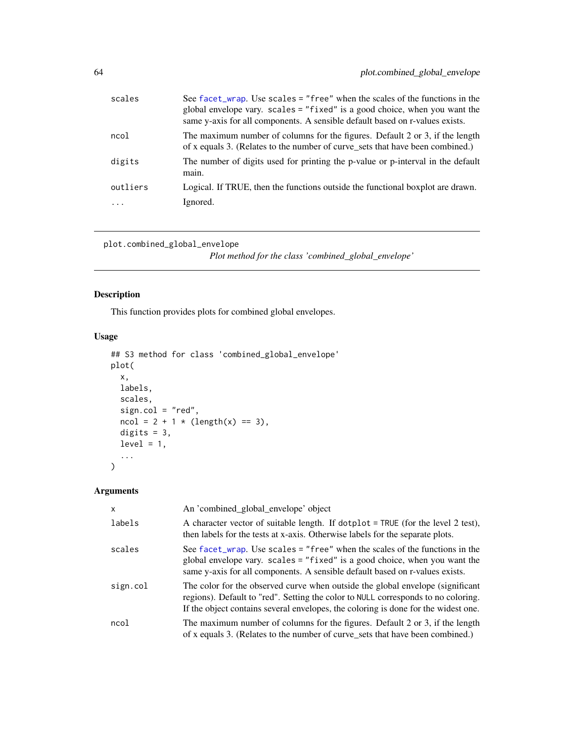| scales   | See facet_wrap. Use scales = "free" when the scales of the functions in the<br>global envelope vary. scales = "fixed" is a good choice, when you want the<br>same y-axis for all components. A sensible default based on r-values exists. |
|----------|-------------------------------------------------------------------------------------------------------------------------------------------------------------------------------------------------------------------------------------------|
| ncol     | The maximum number of columns for the figures. Default 2 or 3, if the length<br>of x equals 3. (Relates to the number of curve_sets that have been combined.)                                                                             |
| digits   | The number of digits used for printing the p-value or p-interval in the default<br>main.                                                                                                                                                  |
| outliers | Logical. If TRUE, then the functions outside the functional boxplot are drawn.                                                                                                                                                            |
|          | Ignored.                                                                                                                                                                                                                                  |
|          |                                                                                                                                                                                                                                           |

```
plot.combined_global_envelope
```
*Plot method for the class 'combined\_global\_envelope'*

# Description

This function provides plots for combined global envelopes.

## Usage

```
## S3 method for class 'combined_global_envelope'
plot(
 x,
 labels,
 scales,
 sign.col = "red",ncol = 2 + 1 * (length(x) == 3),digits = 3,
 level = 1,...
\mathcal{L}
```

| X        | An 'combined_global_envelope' object                                                                                                                                                                                                                      |
|----------|-----------------------------------------------------------------------------------------------------------------------------------------------------------------------------------------------------------------------------------------------------------|
| labels   | A character vector of suitable length. If dotplot = TRUE (for the level 2 test),<br>then labels for the tests at x-axis. Otherwise labels for the separate plots.                                                                                         |
| scales   | See facet_wrap. Use scales = "free" when the scales of the functions in the<br>global envelope vary. scales = "fixed" is a good choice, when you want the<br>same y-axis for all components. A sensible default based on r-values exists.                 |
| sign.col | The color for the observed curve when outside the global envelope (significant<br>regions). Default to "red". Setting the color to NULL corresponds to no coloring.<br>If the object contains several envelopes, the coloring is done for the widest one. |
| ncol     | The maximum number of columns for the figures. Default 2 or 3, if the length<br>of x equals 3. (Relates to the number of curve_sets that have been combined.)                                                                                             |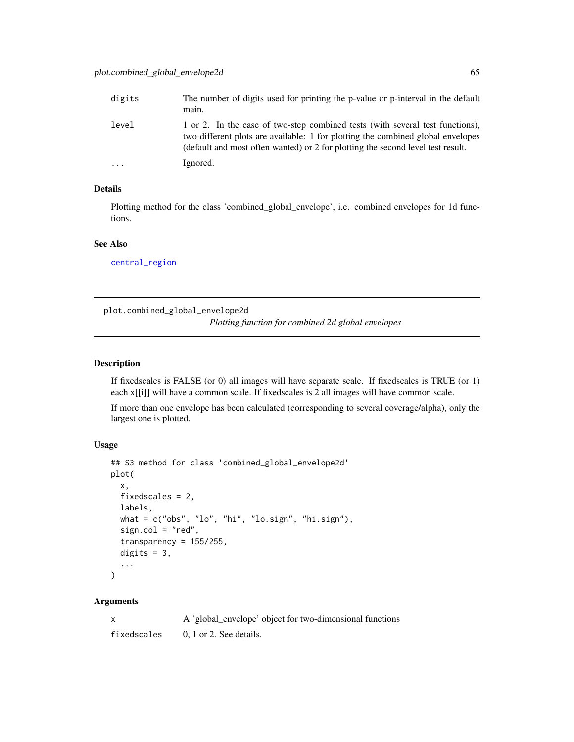| digits   | The number of digits used for printing the p-value or p-interval in the default<br>main.                                                                                                                                                            |
|----------|-----------------------------------------------------------------------------------------------------------------------------------------------------------------------------------------------------------------------------------------------------|
| level    | 1 or 2. In the case of two-step combined tests (with several test functions),<br>two different plots are available: 1 for plotting the combined global envelopes<br>(default and most often wanted) or 2 for plotting the second level test result. |
| $\cdots$ | Ignored.                                                                                                                                                                                                                                            |

# Details

Plotting method for the class 'combined\_global\_envelope', i.e. combined envelopes for 1d functions.

## See Also

[central\\_region](#page-8-0)

plot.combined\_global\_envelope2d

*Plotting function for combined 2d global envelopes*

## Description

If fixedscales is FALSE (or 0) all images will have separate scale. If fixedscales is TRUE (or 1) each x[[i]] will have a common scale. If fixedscales is 2 all images will have common scale.

If more than one envelope has been calculated (corresponding to several coverage/alpha), only the largest one is plotted.

#### Usage

```
## S3 method for class 'combined_global_envelope2d'
plot(
  x,
  fixedscales = 2,
  labels,
  what = c("obs", "lo", "hi", "lo.sign", "hi.sign"),sign.col = "red",
  transparency = 155/255,
  digits = 3,
  ...
)
```
### Arguments

x A 'global\_envelope' object for two-dimensional functions fixedscales 0, 1 or 2. See details.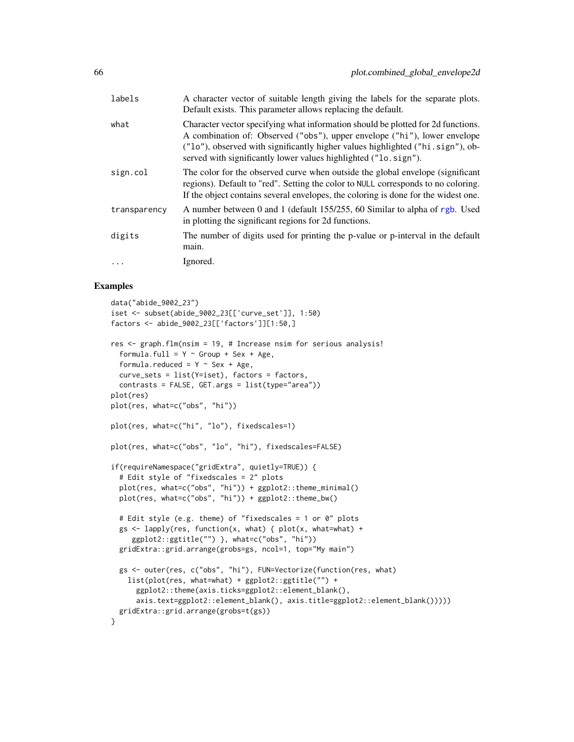| labels       | A character vector of suitable length giving the labels for the separate plots.<br>Default exists. This parameter allows replacing the default.                                                                                                                                                                     |
|--------------|---------------------------------------------------------------------------------------------------------------------------------------------------------------------------------------------------------------------------------------------------------------------------------------------------------------------|
| what         | Character vector specifying what information should be plotted for 2d functions.<br>A combination of: Observed ("obs"), upper envelope ("hi"), lower envelope<br>("lo"), observed with significantly higher values highlighted ("hi.sign"), ob-<br>served with significantly lower values highlighted ("lo. sign"). |
| sign.col     | The color for the observed curve when outside the global envelope (significant<br>regions). Default to "red". Setting the color to NULL corresponds to no coloring.<br>If the object contains several envelopes, the coloring is done for the widest one.                                                           |
| transparency | A number between 0 and 1 (default 155/255, 60 Similar to alpha of rgb. Used<br>in plotting the significant regions for 2d functions.                                                                                                                                                                                |
| digits       | The number of digits used for printing the p-value or p-interval in the default<br>main.                                                                                                                                                                                                                            |
| $\ddotsc$    | Ignored.                                                                                                                                                                                                                                                                                                            |

```
data("abide_9002_23")
iset <- subset(abide_9002_23[['curve_set']], 1:50)
factors <- abide_9002_23[['factors']][1:50,]
res \leq graph.flm(nsim = 19, # Increase nsim for serious analysis!
  formula.full = Y \sim Group + Sex + Age,
  formula.reduced = Y \sim Sex + Age,
  curve_sets = list(Y=iset), factors = factors,
  contrasts = FALSE, GET.args = list(type="area"))
plot(res)
plot(res, what=c("obs", "hi"))
plot(res, what=c("hi", "lo"), fixedscales=1)
plot(res, what=c("obs", "lo", "hi"), fixedscales=FALSE)
if(requireNamespace("gridExtra", quietly=TRUE)) {
  # Edit style of "fixedscales = 2" plots
  plot(res, what=c("obs", "hi")) + ggplot2::theme_minimal()
  plot(res, what=c("obs", "hi")) + ggplot2::theme_bw()
  # Edit style (e.g. theme) of "fixedscales = 1 or 0" plots
  gs \le lapply(res, function(x, what) { plot(x, what=what) +
     ggplot2::ggtitle("") }, what=c("obs", "hi"))
  gridExtra::grid.arrange(grobs=gs, ncol=1, top="My main")
  gs <- outer(res, c("obs", "hi"), FUN=Vectorize(function(res, what)
   list(plot(res, what=what) + ggplot2::ggtitle("") +
      ggplot2::theme(axis.ticks=ggplot2::element_blank(),
      axis.text=ggplot2::element_blank(), axis.title=ggplot2::element_blank()))))
  gridExtra::grid.arrange(grobs=t(gs))
}
```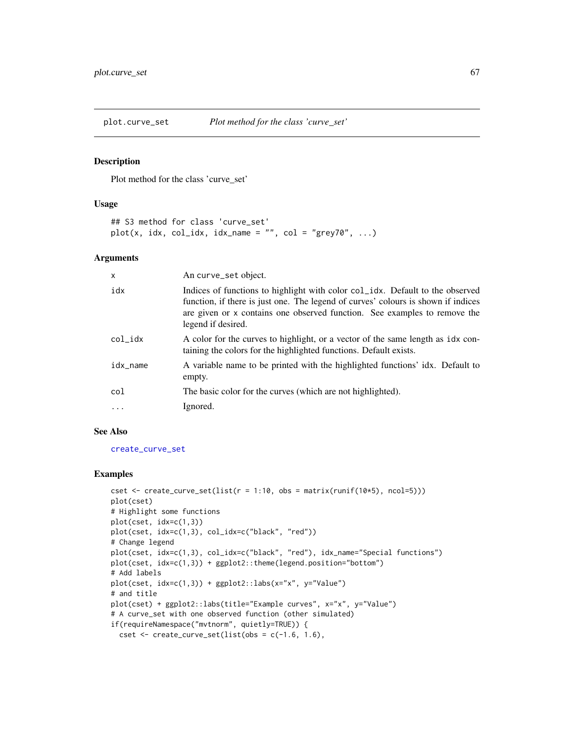#### Description

Plot method for the class 'curve\_set'

#### Usage

```
## S3 method for class 'curve_set'
plot(x, idx, col_idx, idx_name = "", col = "grey70", ...)
```
## Arguments

| X        | An curve_set object.                                                                                                                                                                                                                                                  |
|----------|-----------------------------------------------------------------------------------------------------------------------------------------------------------------------------------------------------------------------------------------------------------------------|
| idx      | Indices of functions to highlight with color col_idx. Default to the observed<br>function, if there is just one. The legend of curves' colours is shown if indices<br>are given or x contains one observed function. See examples to remove the<br>legend if desired. |
| col_idx  | A color for the curves to highlight, or a vector of the same length as idx con-<br>taining the colors for the highlighted functions. Default exists.                                                                                                                  |
| idx_name | A variable name to be printed with the highlighted functions' idx. Default to<br>empty.                                                                                                                                                                               |
| col      | The basic color for the curves (which are not highlighted).                                                                                                                                                                                                           |
| .        | Ignored.                                                                                                                                                                                                                                                              |

#### See Also

[create\\_curve\\_set](#page-16-0)

```
cset \le create_curve_set(list(r = 1:10, obs = matrix(runif(10*5), ncol=5)))
plot(cset)
# Highlight some functions
plot(cset, idx=c(1,3))
plot(cset, idx=c(1,3), col_idx=c("black", "red"))
# Change legend
plot(cset, idx=c(1,3), col_idx=c("black", "red"), idx_name="Special functions")
plot(cset, idx=c(1,3)) + ggplot2::theme(legend.position="bottom")
# Add labels
plot(cset, idx=c(1,3)) + ggplot2::labs(x="x", y="Value")
# and title
plot(cset) + ggplot2::labs(title="Example curves", x="x", y="Value")
# A curve_set with one observed function (other simulated)
if(requireNamespace("mvtnorm", quietly=TRUE)) {
 cset \le create_curve_set(list(obs = c(-1.6, 1.6),
```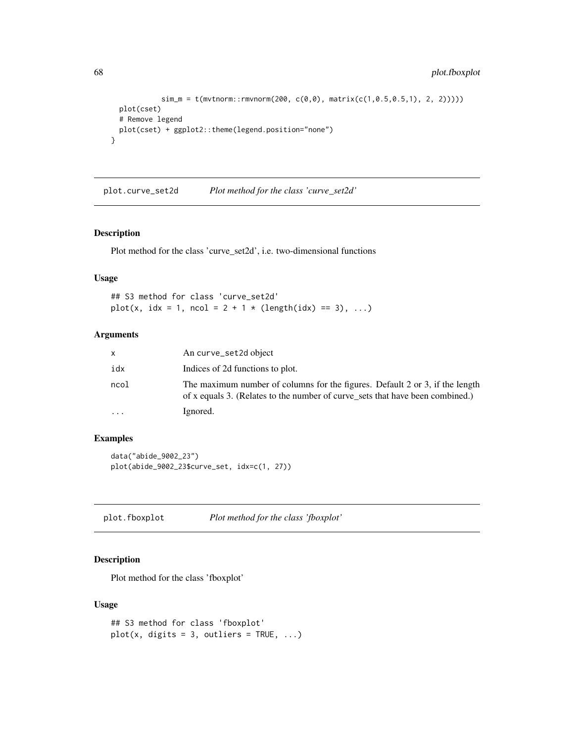```
sim_m = t(mvtnorm::rmvnorm(200, c(0,0), matrix(c(1,0.5,0.5,1), 2, 2))))plot(cset)
 # Remove legend
 plot(cset) + ggplot2::theme(legend.position="none")
}
```
plot.curve\_set2d *Plot method for the class 'curve\_set2d'*

## Description

Plot method for the class 'curve\_set2d', i.e. two-dimensional functions

## Usage

```
## S3 method for class 'curve_set2d'
plot(x, idx = 1, ncol = 2 + 1 * (length(idx) == 3), ...)
```
### Arguments

| x         | An curve_set2d object                                                                                                                                         |
|-----------|---------------------------------------------------------------------------------------------------------------------------------------------------------------|
| idx       | Indices of 2d functions to plot.                                                                                                                              |
| ncol      | The maximum number of columns for the figures. Default 2 or 3, if the length<br>of x equals 3. (Relates to the number of curve sets that have been combined.) |
| $\ddotsc$ | Ignored.                                                                                                                                                      |

## Examples

data("abide\_9002\_23") plot(abide\_9002\_23\$curve\_set, idx=c(1, 27))

plot.fboxplot *Plot method for the class 'fboxplot'*

## Description

Plot method for the class 'fboxplot'

## Usage

```
## S3 method for class 'fboxplot'
plot(x, digits = 3, outliers = TRUE, ...)
```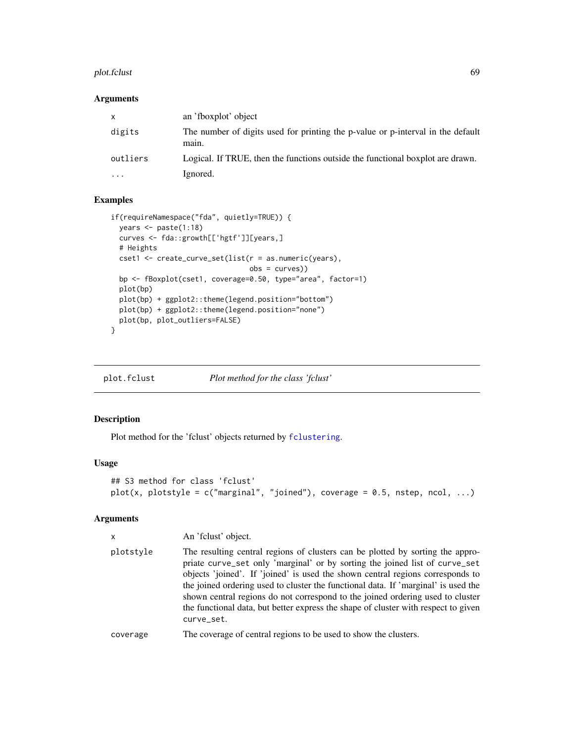#### plot.fclust 69 and 50 and 50 and 50 and 50 and 50 and 50 and 50 and 50 and 50 and 50 and 50 and 50 and 50 and 50

## Arguments

| X         | an 'fboxplot' object                                                                     |
|-----------|------------------------------------------------------------------------------------------|
| digits    | The number of digits used for printing the p-value or p-interval in the default<br>main. |
| outliers  | Logical. If TRUE, then the functions outside the functional boxplot are drawn.           |
| $\ddotsc$ | Ignored.                                                                                 |

## Examples

```
if(requireNamespace("fda", quietly=TRUE)) {
  years <- paste(1:18)
  curves <- fda::growth[['hgtf']][years,]
  # Heights
 cset1 <- create_curve_set(list(r = as.numeric(years),
                                 obs = curves))
  bp <- fBoxplot(cset1, coverage=0.50, type="area", factor=1)
  plot(bp)
  plot(bp) + ggplot2::theme(legend.position="bottom")
  plot(bp) + ggplot2::theme(legend.position="none")
  plot(bp, plot_outliers=FALSE)
}
```
plot.fclust *Plot method for the class 'fclust'*

## Description

Plot method for the 'fclust' objects returned by [fclustering](#page-24-0).

## Usage

```
## S3 method for class 'fclust'
plot(x, plotstyle = c("marginal", "joined"), coverage = 0.5, nstep, ncol, ...)
```

| $\mathsf{x}$ | An 'fclust' object.                                                                                                                                                                                                                                                                                                                                                                                                                                                                                                         |
|--------------|-----------------------------------------------------------------------------------------------------------------------------------------------------------------------------------------------------------------------------------------------------------------------------------------------------------------------------------------------------------------------------------------------------------------------------------------------------------------------------------------------------------------------------|
| plotstyle    | The resulting central regions of clusters can be plotted by sorting the appro-<br>priate curve_set only 'marginal' or by sorting the joined list of curve_set<br>objects 'joined'. If 'joined' is used the shown central regions corresponds to<br>the joined ordering used to cluster the functional data. If 'marginal' is used the<br>shown central regions do not correspond to the joined ordering used to cluster<br>the functional data, but better express the shape of cluster with respect to given<br>curve_set. |
| coverage     | The coverage of central regions to be used to show the clusters.                                                                                                                                                                                                                                                                                                                                                                                                                                                            |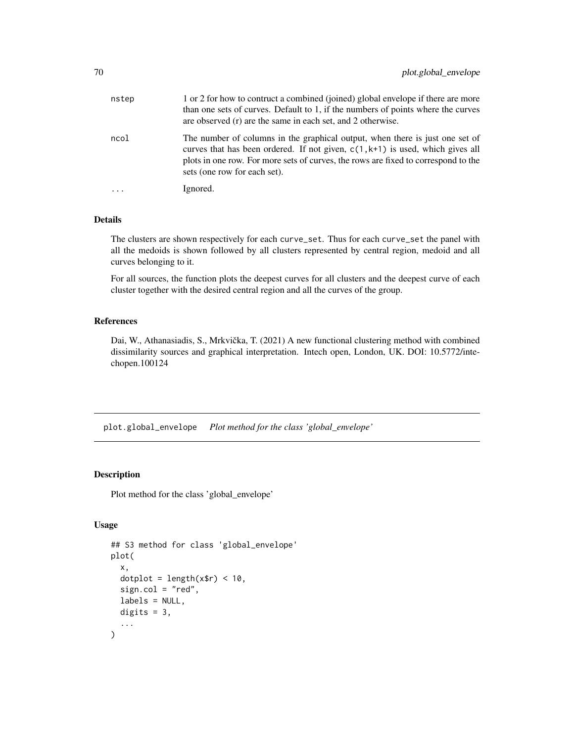| nstep                   | 1 or 2 for how to contruct a combined (joined) global envelope if there are more<br>than one sets of curves. Default to 1, if the numbers of points where the curves<br>are observed (r) are the same in each set, and 2 otherwise.                                                    |
|-------------------------|----------------------------------------------------------------------------------------------------------------------------------------------------------------------------------------------------------------------------------------------------------------------------------------|
| ncol                    | The number of columns in the graphical output, when there is just one set of<br>curves that has been ordered. If not given, $c(1, k+1)$ is used, which gives all<br>plots in one row. For more sets of curves, the rows are fixed to correspond to the<br>sets (one row for each set). |
| $\cdot$ $\cdot$ $\cdot$ | Ignored.                                                                                                                                                                                                                                                                               |

### Details

The clusters are shown respectively for each curve\_set. Thus for each curve\_set the panel with all the medoids is shown followed by all clusters represented by central region, medoid and all curves belonging to it.

For all sources, the function plots the deepest curves for all clusters and the deepest curve of each cluster together with the desired central region and all the curves of the group.

## References

Dai, W., Athanasiadis, S., Mrkvička, T. (2021) A new functional clustering method with combined dissimilarity sources and graphical interpretation. Intech open, London, UK. DOI: 10.5772/intechopen.100124

<span id="page-69-0"></span>plot.global\_envelope *Plot method for the class 'global\_envelope'*

## Description

Plot method for the class 'global\_envelope'

## Usage

```
## S3 method for class 'global_envelope'
plot(
  x,
  dotplot = length(x$r) < 10,
  sign.col = "red",labels = NULL,
 digits = 3,
  ...
)
```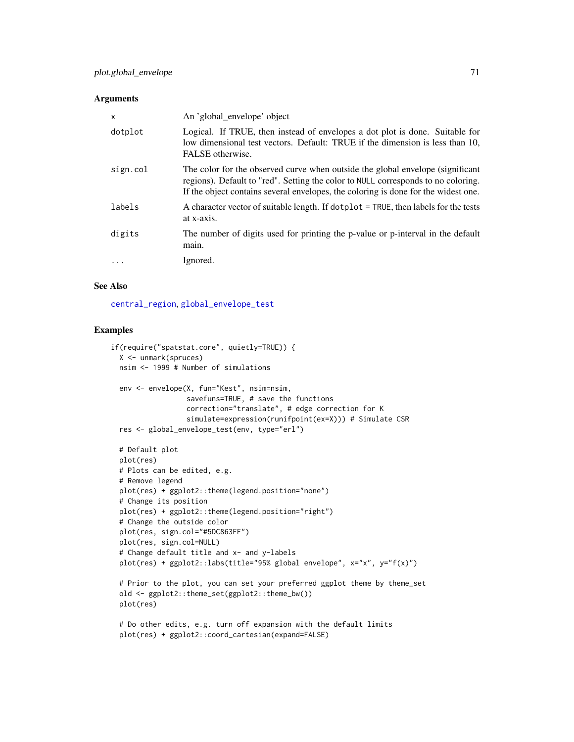#### **Arguments**

| $\times$  | An 'global_envelope' object                                                                                                                                                                                                                               |
|-----------|-----------------------------------------------------------------------------------------------------------------------------------------------------------------------------------------------------------------------------------------------------------|
| dotplot   | Logical. If TRUE, then instead of envelopes a dot plot is done. Suitable for<br>low dimensional test vectors. Default: TRUE if the dimension is less than 10,<br>FALSE otherwise.                                                                         |
| sign.col  | The color for the observed curve when outside the global envelope (significant<br>regions). Default to "red". Setting the color to NULL corresponds to no coloring.<br>If the object contains several envelopes, the coloring is done for the widest one. |
| labels    | A character vector of suitable length. If dotplot = TRUE, then labels for the tests<br>at x-axis.                                                                                                                                                         |
| digits    | The number of digits used for printing the p-value or p-interval in the default<br>main.                                                                                                                                                                  |
| $\ddotsc$ | Ignored.                                                                                                                                                                                                                                                  |

#### See Also

[central\\_region](#page-8-0), [global\\_envelope\\_test](#page-46-0)

```
if(require("spatstat.core", quietly=TRUE)) {
 X <- unmark(spruces)
 nsim <- 1999 # Number of simulations
 env <- envelope(X, fun="Kest", nsim=nsim,
                  savefuns=TRUE, # save the functions
                 correction="translate", # edge correction for K
                 simulate=expression(runifpoint(ex=X))) # Simulate CSR
 res <- global_envelope_test(env, type="erl")
 # Default plot
 plot(res)
 # Plots can be edited, e.g.
 # Remove legend
 plot(res) + ggplot2::theme(legend.position="none")
 # Change its position
 plot(res) + ggplot2::theme(legend.position="right")
 # Change the outside color
 plot(res, sign.col="#5DC863FF")
 plot(res, sign.col=NULL)
 # Change default title and x- and y-labels
 plot(res) + ggplot2::labs(title="95% global envelope", x="x", y="f(x)")
 # Prior to the plot, you can set your preferred ggplot theme by theme_set
 old <- ggplot2::theme_set(ggplot2::theme_bw())
 plot(res)
 # Do other edits, e.g. turn off expansion with the default limits
```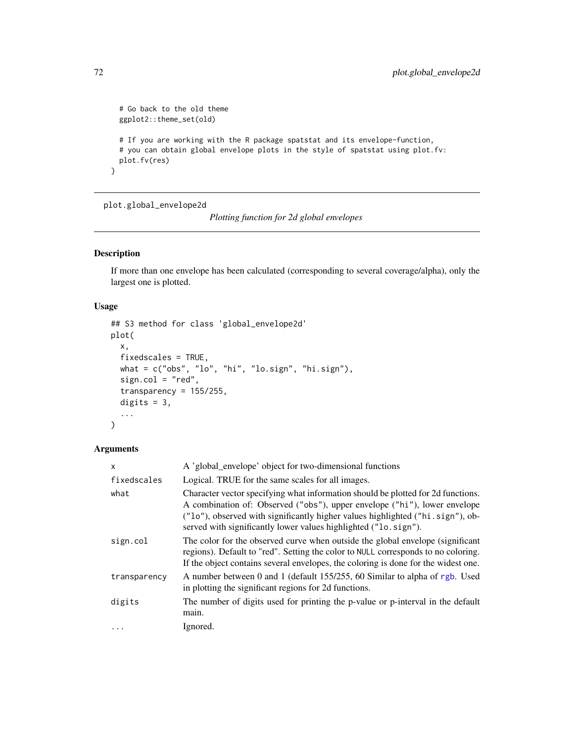```
# Go back to the old theme
 ggplot2::theme_set(old)
 # If you are working with the R package spatstat and its envelope-function,
 # you can obtain global envelope plots in the style of spatstat using plot.fv:
 plot.fv(res)
}
```
plot.global\_envelope2d

*Plotting function for 2d global envelopes*

# Description

If more than one envelope has been calculated (corresponding to several coverage/alpha), only the largest one is plotted.

## Usage

```
## S3 method for class 'global_envelope2d'
plot(
  x,
  fixedscales = TRUE,
 what = c("obs", "lo", "hi", "lo.sign", "hi.sign"),
  sign.col = "red",transparency = 155/255,
  digits = 3,
  ...
)
```

| A 'global_envelope' object for two-dimensional functions                                                                                                                                                                                                                                                           |
|--------------------------------------------------------------------------------------------------------------------------------------------------------------------------------------------------------------------------------------------------------------------------------------------------------------------|
| Logical. TRUE for the same scales for all images.                                                                                                                                                                                                                                                                  |
| Character vector specifying what information should be plotted for 2d functions.<br>A combination of: Observed ("obs"), upper envelope ("hi"), lower envelope<br>("lo"), observed with significantly higher values highlighted ("hi.sign"), ob-<br>served with significantly lower values highlighted ("lo.sign"). |
| The color for the observed curve when outside the global envelope (significant<br>regions). Default to "red". Setting the color to NULL corresponds to no coloring.<br>If the object contains several envelopes, the coloring is done for the widest one.                                                          |
| A number between 0 and 1 (default 155/255, 60 Similar to alpha of rgb. Used<br>in plotting the significant regions for 2d functions.                                                                                                                                                                               |
| The number of digits used for printing the p-value or p-interval in the default<br>main.                                                                                                                                                                                                                           |
| Ignored.                                                                                                                                                                                                                                                                                                           |
|                                                                                                                                                                                                                                                                                                                    |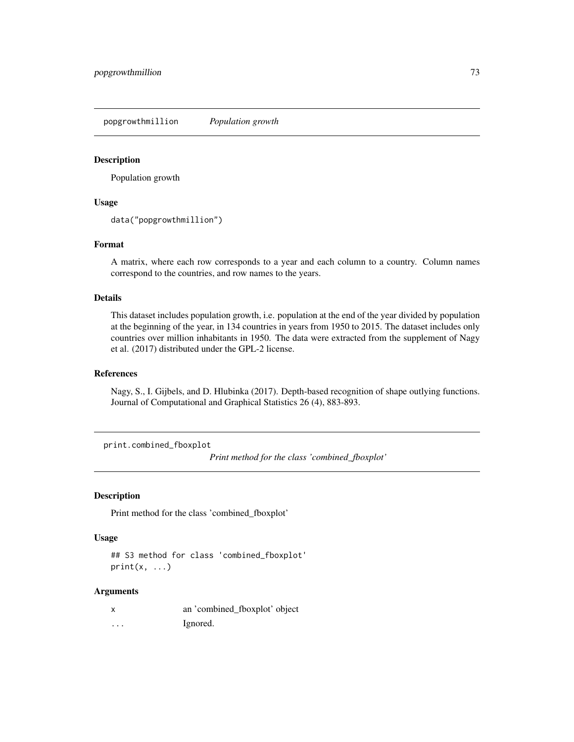<span id="page-72-0"></span>popgrowthmillion *Population growth*

#### Description

Population growth

## Usage

data("popgrowthmillion")

## Format

A matrix, where each row corresponds to a year and each column to a country. Column names correspond to the countries, and row names to the years.

#### Details

This dataset includes population growth, i.e. population at the end of the year divided by population at the beginning of the year, in 134 countries in years from 1950 to 2015. The dataset includes only countries over million inhabitants in 1950. The data were extracted from the supplement of Nagy et al. (2017) distributed under the GPL-2 license.

#### References

Nagy, S., I. Gijbels, and D. Hlubinka (2017). Depth-based recognition of shape outlying functions. Journal of Computational and Graphical Statistics 26 (4), 883-893.

print.combined\_fboxplot

*Print method for the class 'combined\_fboxplot'*

## Description

Print method for the class 'combined\_fboxplot'

### Usage

## S3 method for class 'combined\_fboxplot'  $print(x, \ldots)$ 

#### Arguments

|          | an 'combined_fboxplot' object |
|----------|-------------------------------|
| $\cdots$ | Ignored.                      |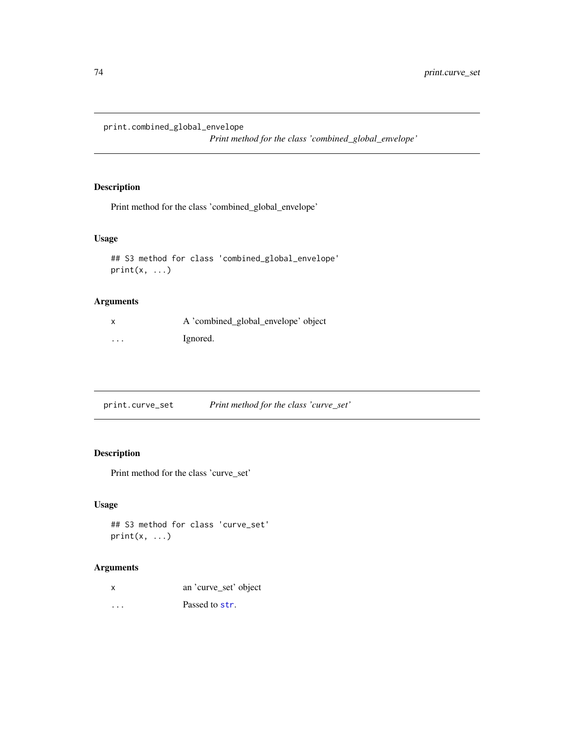<span id="page-73-0"></span>print.combined\_global\_envelope

*Print method for the class 'combined\_global\_envelope'*

# Description

Print method for the class 'combined\_global\_envelope'

## Usage

```
## S3 method for class 'combined_global_envelope'
print(x, \ldots)
```
## Arguments

|          | A 'combined_global_envelope' object |
|----------|-------------------------------------|
| $\cdots$ | Ignored.                            |

|  | print.curve_set | Print method for the class 'curve_set' |  |
|--|-----------------|----------------------------------------|--|
|--|-----------------|----------------------------------------|--|

## Description

Print method for the class 'curve\_set'

## Usage

## S3 method for class 'curve\_set'  $print(x, \ldots)$ 

# Arguments

... Passed to [str](#page-0-0).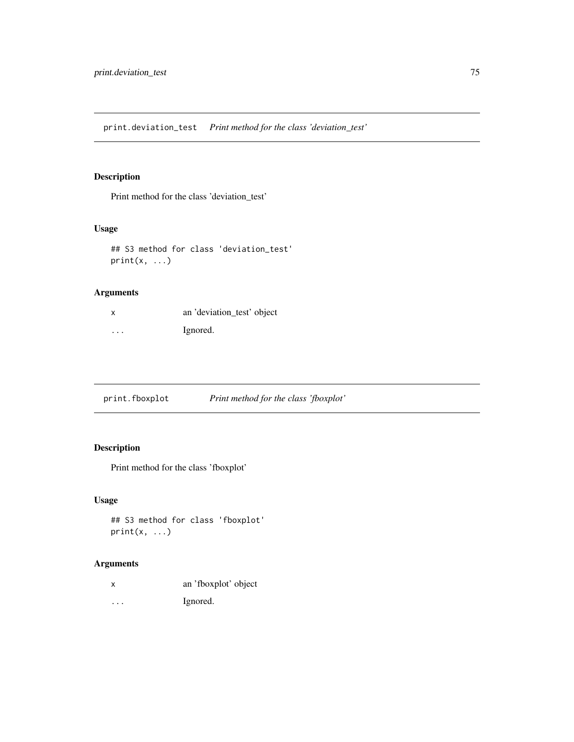<span id="page-74-0"></span>print.deviation\_test *Print method for the class 'deviation\_test'*

# Description

Print method for the class 'deviation\_test'

## Usage

```
## S3 method for class 'deviation_test'
print(x, \ldots)
```
## Arguments

| X | an 'deviation_test' object |
|---|----------------------------|
| . | Ignored.                   |

print.fboxplot *Print method for the class 'fboxplot'*

# Description

Print method for the class 'fboxplot'

# Usage

```
## S3 method for class 'fboxplot'
print(x, \ldots)
```
## Arguments

| an 'fboxplot' object |
|----------------------|
|                      |

... Ignored.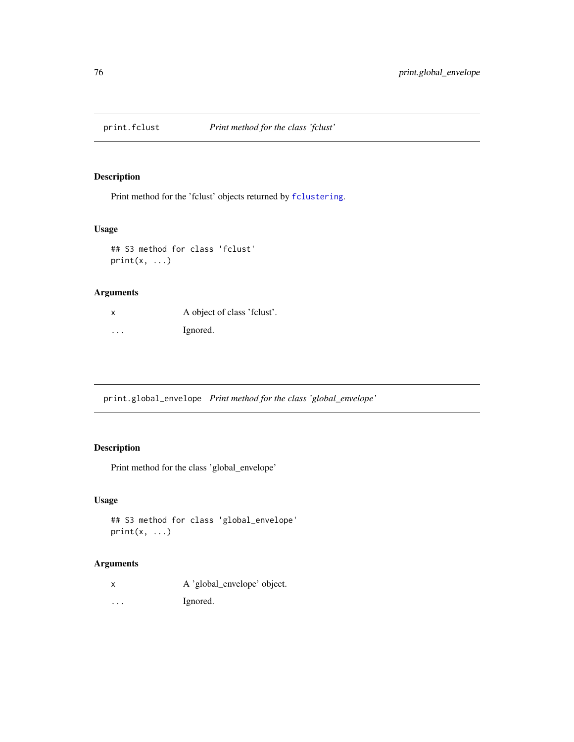<span id="page-75-0"></span>

# Description

Print method for the 'fclust' objects returned by [fclustering](#page-24-0).

## Usage

```
## S3 method for class 'fclust'
print(x, \ldots)
```
## Arguments

| X       | A object of class 'felust'. |
|---------|-----------------------------|
| $\cdot$ | Ignored.                    |

print.global\_envelope *Print method for the class 'global\_envelope'*

# Description

Print method for the class 'global\_envelope'

# Usage

```
## S3 method for class 'global_envelope'
print(x, \ldots)
```
## Arguments

|  |  | A 'global_envelope' object. |  |
|--|--|-----------------------------|--|
|  |  |                             |  |

... Ignored.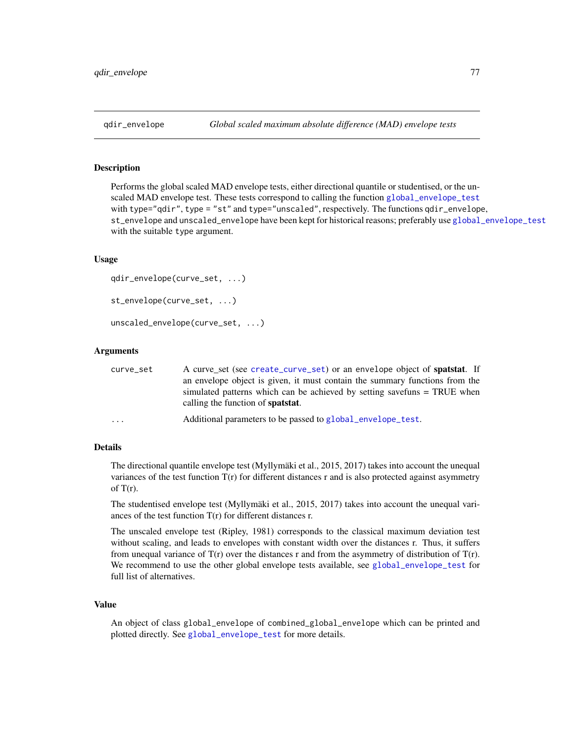<span id="page-76-0"></span>

# **Description**

Performs the global scaled MAD envelope tests, either directional quantile or studentised, or the unscaled MAD envelope test. These tests correspond to calling the function [global\\_envelope\\_test](#page-46-0) with type="qdir", type = "st" and type="unscaled", respectively. The functions qdir\_envelope, st\_envelope and unscaled\_envelope have been kept for historical reasons; preferably use [global\\_envelope\\_test](#page-46-0) with the suitable type argument.

#### Usage

```
qdir_envelope(curve_set, ...)
st_envelope(curve_set, ...)
unscaled_envelope(curve_set, ...)
```
#### Arguments

| curve_set | A curve_set (see create_curve_set) or an envelope object of <b>spatstat</b> . If                                      |
|-----------|-----------------------------------------------------------------------------------------------------------------------|
|           | an envelope object is given, it must contain the summary functions from the                                           |
|           | simulated patterns which can be achieved by setting savefuns = TRUE when<br>calling the function of <b>spatstat</b> . |
| $\ddotsc$ | Additional parameters to be passed to global_envelope_test.                                                           |

#### Details

The directional quantile envelope test (Myllymäki et al., 2015, 2017) takes into account the unequal variances of the test function  $T(r)$  for different distances r and is also protected against asymmetry of  $T(r)$ .

The studentised envelope test (Myllymäki et al., 2015, 2017) takes into account the unequal variances of the test function T(r) for different distances r.

The unscaled envelope test (Ripley, 1981) corresponds to the classical maximum deviation test without scaling, and leads to envelopes with constant width over the distances r. Thus, it suffers from unequal variance of  $T(r)$  over the distances r and from the asymmetry of distribution of  $T(r)$ . We recommend to use the other global envelope tests available, see [global\\_envelope\\_test](#page-46-0) for full list of alternatives.

## Value

An object of class global\_envelope of combined\_global\_envelope which can be printed and plotted directly. See [global\\_envelope\\_test](#page-46-0) for more details.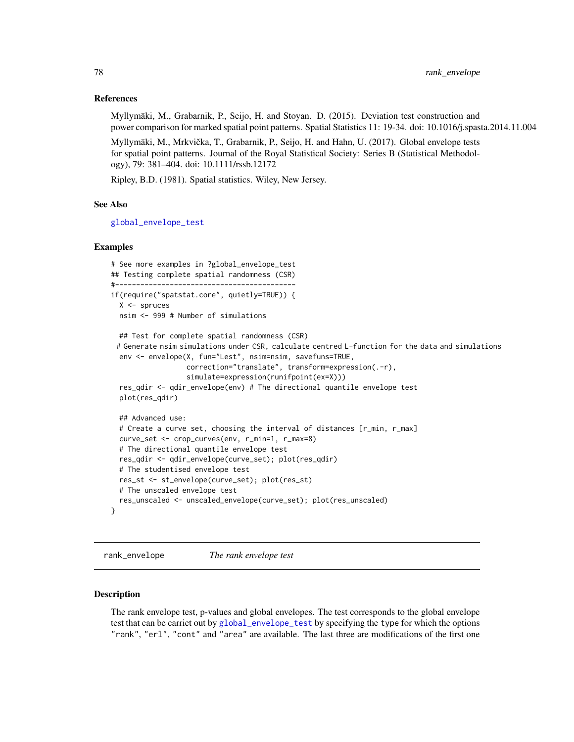## References

Myllymäki, M., Grabarnik, P., Seijo, H. and Stoyan. D. (2015). Deviation test construction and power comparison for marked spatial point patterns. Spatial Statistics 11: 19-34. doi: 10.1016/j.spasta.2014.11.004

Myllymäki, M., Mrkvicka, T., Grabarnik, P., Seijo, H. and Hahn, U. (2017). Global envelope tests ˇ for spatial point patterns. Journal of the Royal Statistical Society: Series B (Statistical Methodology), 79: 381–404. doi: 10.1111/rssb.12172

Ripley, B.D. (1981). Spatial statistics. Wiley, New Jersey.

## See Also

[global\\_envelope\\_test](#page-46-0)

#### Examples

```
# See more examples in ?global_envelope_test
## Testing complete spatial randomness (CSR)
#-------------------------------------------
if(require("spatstat.core", quietly=TRUE)) {
 X <- spruces
 nsim <- 999 # Number of simulations
 ## Test for complete spatial randomness (CSR)
 # Generate nsim simulations under CSR, calculate centred L-function for the data and simulations
 env <- envelope(X, fun="Lest", nsim=nsim, savefuns=TRUE,
                  correction="translate", transform=expression(.-r),
                  simulate=expression(runifpoint(ex=X)))
 res_qdir <- qdir_envelope(env) # The directional quantile envelope test
 plot(res_qdir)
 ## Advanced use:
 # Create a curve set, choosing the interval of distances [r_min, r_max]
 curve_set <- crop_curves(env, r_min=1, r_max=8)
 # The directional quantile envelope test
 res_qdir <- qdir_envelope(curve_set); plot(res_qdir)
 # The studentised envelope test
 res_st <- st_envelope(curve_set); plot(res_st)
 # The unscaled envelope test
 res_unscaled <- unscaled_envelope(curve_set); plot(res_unscaled)
}
```
rank\_envelope *The rank envelope test*

#### **Description**

The rank envelope test, p-values and global envelopes. The test corresponds to the global envelope test that can be carriet out by [global\\_envelope\\_test](#page-46-0) by specifying the type for which the options "rank", "erl", "cont" and "area" are available. The last three are modifications of the first one

<span id="page-77-0"></span>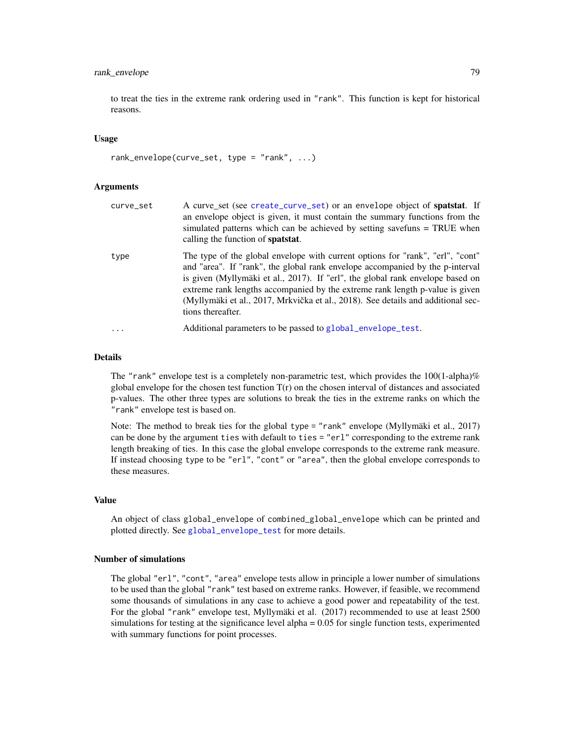## <span id="page-78-0"></span>rank\_envelope 79

to treat the ties in the extreme rank ordering used in "rank". This function is kept for historical reasons.

#### Usage

rank\_envelope(curve\_set, type = "rank", ...)

#### Arguments

| curve_set | A curve_set (see create_curve_set) or an envelope object of spatstat. If<br>an envelope object is given, it must contain the summary functions from the<br>simulated patterns which can be achieved by setting savefuns = TRUE when<br>calling the function of <b>spatstat</b> .                                                                                                                                                           |
|-----------|--------------------------------------------------------------------------------------------------------------------------------------------------------------------------------------------------------------------------------------------------------------------------------------------------------------------------------------------------------------------------------------------------------------------------------------------|
| type      | The type of the global envelope with current options for "rank", "erl", "cont"<br>and "area". If "rank", the global rank envelope accompanied by the p-interval<br>is given (Myllymäki et al., 2017). If "erl", the global rank envelope based on<br>extreme rank lengths accompanied by the extreme rank length p-value is given<br>(Myllymäki et al., 2017, Mrkvička et al., 2018). See details and additional sec-<br>tions thereafter. |
| $\cdots$  | Additional parameters to be passed to global_envelope_test.                                                                                                                                                                                                                                                                                                                                                                                |

#### Details

The "rank" envelope test is a completely non-parametric test, which provides the  $100(1-\text{alpha})\%$ global envelope for the chosen test function  $T(r)$  on the chosen interval of distances and associated p-values. The other three types are solutions to break the ties in the extreme ranks on which the "rank" envelope test is based on.

Note: The method to break ties for the global type = "rank" envelope (Myllymäki et al., 2017) can be done by the argument ties with default to ties = "erl" corresponding to the extreme rank length breaking of ties. In this case the global envelope corresponds to the extreme rank measure. If instead choosing type to be "erl", "cont" or "area", then the global envelope corresponds to these measures.

## Value

An object of class global\_envelope of combined\_global\_envelope which can be printed and plotted directly. See [global\\_envelope\\_test](#page-46-0) for more details.

#### Number of simulations

The global "erl", "cont", "area" envelope tests allow in principle a lower number of simulations to be used than the global "rank" test based on extreme ranks. However, if feasible, we recommend some thousands of simulations in any case to achieve a good power and repeatability of the test. For the global "rank" envelope test, Myllymäki et al. (2017) recommended to use at least 2500 simulations for testing at the significance level alpha = 0.05 for single function tests, experimented with summary functions for point processes.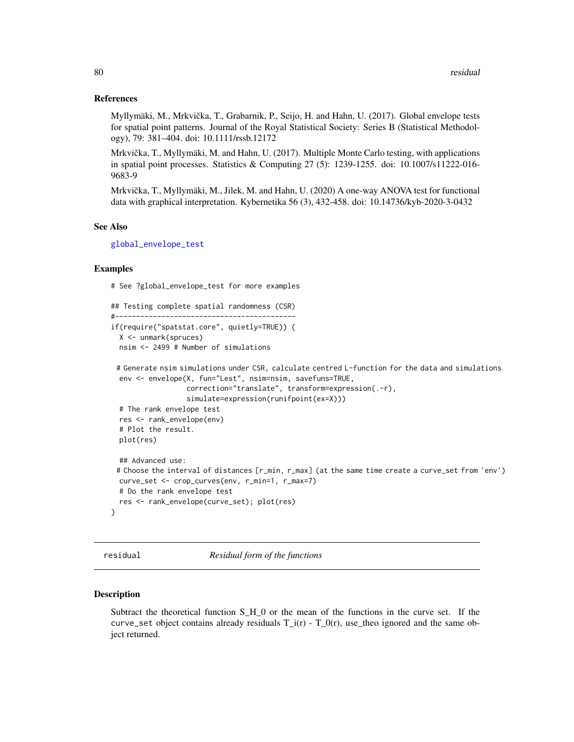#### <span id="page-79-0"></span>References

Myllymäki, M., Mrkvička, T., Grabarnik, P., Seijo, H. and Hahn, U. (2017). Global envelope tests for spatial point patterns. Journal of the Royal Statistical Society: Series B (Statistical Methodology), 79: 381–404. doi: 10.1111/rssb.12172

Mrkvička, T., Myllymäki, M. and Hahn, U. (2017). Multiple Monte Carlo testing, with applications in spatial point processes. Statistics & Computing 27 (5): 1239-1255. doi: 10.1007/s11222-016- 9683-9

Mrkvička, T., Myllymäki, M., Jilek, M. and Hahn, U. (2020) A one-way ANOVA test for functional data with graphical interpretation. Kybernetika 56 (3), 432-458. doi: 10.14736/kyb-2020-3-0432

## See Also

[global\\_envelope\\_test](#page-46-0)

## Examples

# See ?global\_envelope\_test for more examples

```
## Testing complete spatial randomness (CSR)
#-------------------------------------------
if(require("spatstat.core", quietly=TRUE)) {
 X <- unmark(spruces)
 nsim <- 2499 # Number of simulations
```

```
# Generate nsim simulations under CSR, calculate centred L-function for the data and simulations
 env <- envelope(X, fun="Lest", nsim=nsim, savefuns=TRUE,
                  correction="translate", transform=expression(.-r),
                  simulate=expression(runifpoint(ex=X)))
 # The rank envelope test
 res <- rank_envelope(env)
 # Plot the result.
 plot(res)
 ## Advanced use:
 # Choose the interval of distances [r_min, r_max] (at the same time create a curve_set from 'env')
 curve_set <- crop_curves(env, r_min=1, r_max=7)
 # Do the rank envelope test
 res <- rank_envelope(curve_set); plot(res)
}
```
residual *Residual form of the functions*

#### Description

Subtract the theoretical function S\_H\_0 or the mean of the functions in the curve set. If the curve\_set object contains already residuals  $T_i(r)$  -  $T_0(r)$ , use\_theo ignored and the same object returned.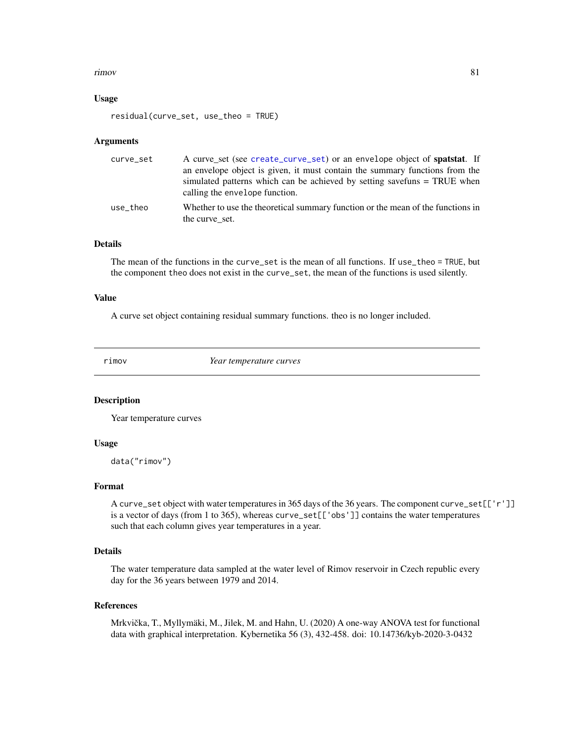#### <span id="page-80-0"></span>rimov 81

#### Usage

```
residual(curve_set, use_theo = TRUE)
```
#### Arguments

| curve_set | A curve_set (see create_curve_set) or an envelope object of <b>spatstat</b> . If<br>an envelope object is given, it must contain the summary functions from the |
|-----------|-----------------------------------------------------------------------------------------------------------------------------------------------------------------|
|           | simulated patterns which can be achieved by setting savefuns = TRUE when<br>calling the envelope function.                                                      |
| use theo  | Whether to use the theoretical summary function or the mean of the functions in<br>the curve set.                                                               |

## Details

The mean of the functions in the curve\_set is the mean of all functions. If use\_theo = TRUE, but the component theo does not exist in the curve\_set, the mean of the functions is used silently.

## Value

A curve set object containing residual summary functions. theo is no longer included.

rimov *Year temperature curves*

#### Description

Year temperature curves

## Usage

data("rimov")

## Format

A curve\_set object with water temperatures in 365 days of the 36 years. The component curve\_set[['r']] is a vector of days (from 1 to 365), whereas curve\_set[['obs']] contains the water temperatures such that each column gives year temperatures in a year.

## Details

The water temperature data sampled at the water level of Rimov reservoir in Czech republic every day for the 36 years between 1979 and 2014.

#### References

Mrkvička, T., Myllymäki, M., Jilek, M. and Hahn, U. (2020) A one-way ANOVA test for functional data with graphical interpretation. Kybernetika 56 (3), 432-458. doi: 10.14736/kyb-2020-3-0432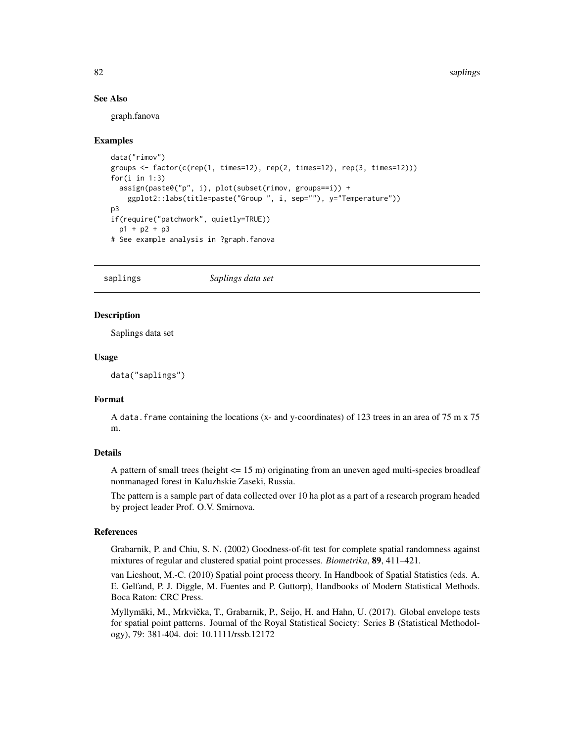## See Also

graph.fanova

#### Examples

```
data("rimov")
groups \le factor(c(rep(1, times=12), rep(2, times=12), rep(3, times=12)))
for(i in 1:3)
 assign(paste0("p", i), plot(subset(rimov, groups==i)) +
   ggplot2::labs(title=paste("Group ", i, sep=""), y="Temperature"))
p3
if(require("patchwork", quietly=TRUE))
 p1 + p2 + p3
# See example analysis in ?graph.fanova
```
saplings *Saplings data set*

#### Description

Saplings data set

#### Usage

```
data("saplings")
```
## Format

A data. frame containing the locations (x- and y-coordinates) of 123 trees in an area of 75 m x 75 m.

## Details

A pattern of small trees (height  $\leq$  15 m) originating from an uneven aged multi-species broadleaf nonmanaged forest in Kaluzhskie Zaseki, Russia.

The pattern is a sample part of data collected over 10 ha plot as a part of a research program headed by project leader Prof. O.V. Smirnova.

## References

Grabarnik, P. and Chiu, S. N. (2002) Goodness-of-fit test for complete spatial randomness against mixtures of regular and clustered spatial point processes. *Biometrika*, 89, 411–421.

van Lieshout, M.-C. (2010) Spatial point process theory. In Handbook of Spatial Statistics (eds. A. E. Gelfand, P. J. Diggle, M. Fuentes and P. Guttorp), Handbooks of Modern Statistical Methods. Boca Raton: CRC Press.

Myllymäki, M., Mrkvicka, T., Grabarnik, P., Seijo, H. and Hahn, U. (2017). Global envelope tests ˇ for spatial point patterns. Journal of the Royal Statistical Society: Series B (Statistical Methodology), 79: 381-404. doi: 10.1111/rssb.12172

<span id="page-81-0"></span>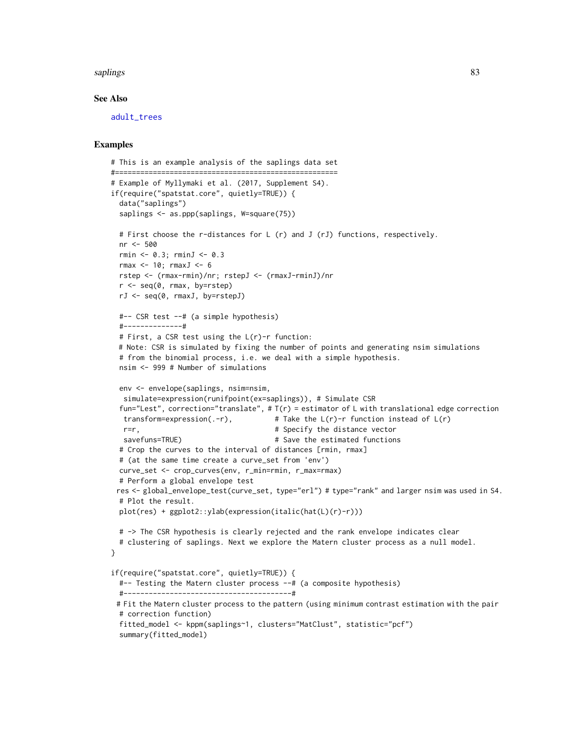#### <span id="page-82-0"></span>saplings 83

#### See Also

[adult\\_trees](#page-7-0)

## Examples

```
# This is an example analysis of the saplings data set
#=====================================================
# Example of Myllymaki et al. (2017, Supplement S4).
if(require("spatstat.core", quietly=TRUE)) {
  data("saplings")
  saplings <- as.ppp(saplings, W=square(75))
  # First choose the r-distances for L (r) and J (rJ) functions, respectively.
  nr <- 500
  rmin <- 0.3; rminJ <- 0.3
  rmax <-10: rmaxJ<-6rstep <- (rmax-rmin)/nr; rstepJ <- (rmaxJ-rminJ)/nr
  r \leq -\text{seq}(0, \text{rmax}, \text{by}=\text{rstep})rJ <- seq(0, rmaxJ, by=rstepJ)
  #-- CSR test --# (a simple hypothesis)
  #--------------#
  # First, a CSR test using the L(r)-r function:
  # Note: CSR is simulated by fixing the number of points and generating nsim simulations
  # from the binomial process, i.e. we deal with a simple hypothesis.
  nsim <- 999 # Number of simulations
  env <- envelope(saplings, nsim=nsim,
  simulate=expression(runifpoint(ex=saplings)), # Simulate CSR
  fun="Lest", correction="translate", # T(r) = estimator of L with translational edge correction
   transform=expression(.-r), \qquad # Take the L(r)-r function instead of L(r)
   r=r, \qquad \qquad \qquad \qquad \qquad \qquad \qquad \qquad \qquad \qquad \qquad \qquad \qquad \qquad \qquad \qquad \qquad \qquad \qquad \qquad \qquad \qquad \qquad \qquad \qquad \qquad \qquad \qquad \qquad \qquad \qquad \qquad \qquad \qquad \qquad \qquad savefuns=TRUE) # Save the estimated functions
  # Crop the curves to the interval of distances [rmin, rmax]
  # (at the same time create a curve_set from 'env')
  curve_set <- crop_curves(env, r_min=rmin, r_max=rmax)
  # Perform a global envelope test
 res <- global_envelope_test(curve_set, type="erl") # type="rank" and larger nsim was used in S4.
  # Plot the result.
  plot(res) + ggplot2::ylab(expression(italic(hat(L)(r)-r)))
  # -> The CSR hypothesis is clearly rejected and the rank envelope indicates clear
  # clustering of saplings. Next we explore the Matern cluster process as a null model.
}
if(require("spatstat.core", quietly=TRUE)) {
  #-- Testing the Matern cluster process --# (a composite hypothesis)
  #----------------------------------------#
 # Fit the Matern cluster process to the pattern (using minimum contrast estimation with the pair
  # correction function)
  fitted_model <- kppm(saplings~1, clusters="MatClust", statistic="pcf")
  summary(fitted_model)
```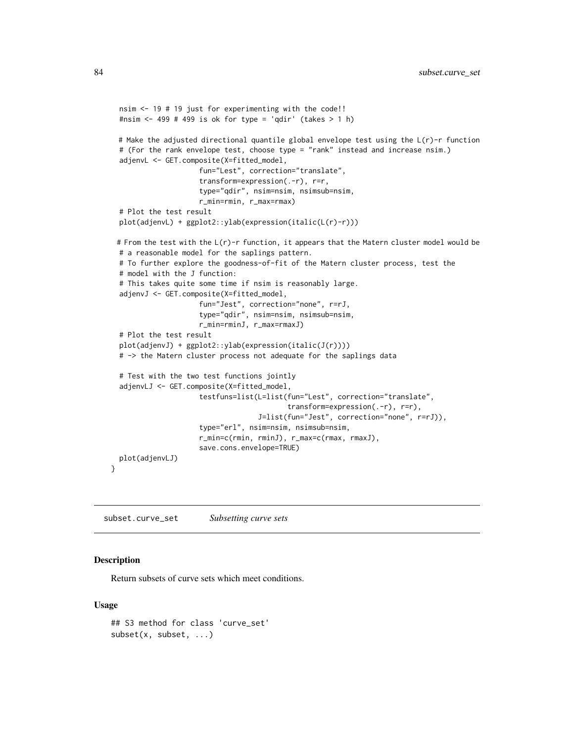```
nsim <- 19 # 19 just for experimenting with the code!!
 #nsim <- 499 # 499 is ok for type = 'qdir' (takes > 1 h)
 # Make the adjusted directional quantile global envelope test using the L(r)-r function
 # (For the rank envelope test, choose type = "rank" instead and increase nsim.)
 adjenvL <- GET.composite(X=fitted_model,
                     fun="Lest", correction="translate",
                     transform=expression(.-r), r=r,
                     type="qdir", nsim=nsim, nsimsub=nsim,
                     r_min=rmin, r_max=rmax)
 # Plot the test result
 plot(adjenvL) + ggplot2::ylab(expression(italic(L(r)-r)))
 # From the test with the L(r)-r function, it appears that the Matern cluster model would be
 # a reasonable model for the saplings pattern.
 # To further explore the goodness-of-fit of the Matern cluster process, test the
 # model with the J function:
 # This takes quite some time if nsim is reasonably large.
 adjenvJ <- GET.composite(X=fitted_model,
                    fun="Jest", correction="none", r=rJ,
                     type="qdir", nsim=nsim, nsimsub=nsim,
                     r_min=rminJ, r_max=rmaxJ)
 # Plot the test result
 plot(adjenvJ) + ggplot2::ylab(expression(italic(J(r))))
 # -> the Matern cluster process not adequate for the saplings data
 # Test with the two test functions jointly
 adjenvLJ <- GET.composite(X=fitted_model,
                     testfuns=list(L=list(fun="Lest", correction="translate",
                                          transform=expression(.-r), r=r),
                                   J=list(fun="Jest", correction="none", r=rJ)),
                     type="erl", nsim=nsim, nsimsub=nsim,
                     r_min=c(rmin, rminJ), r_max=c(rmax, rmaxJ),
                     save.cons.envelope=TRUE)
 plot(adjenvLJ)
}
```
subset.curve\_set *Subsetting curve sets*

#### Description

Return subsets of curve sets which meet conditions.

#### Usage

```
## S3 method for class 'curve_set'
subset(x, subset, ...)
```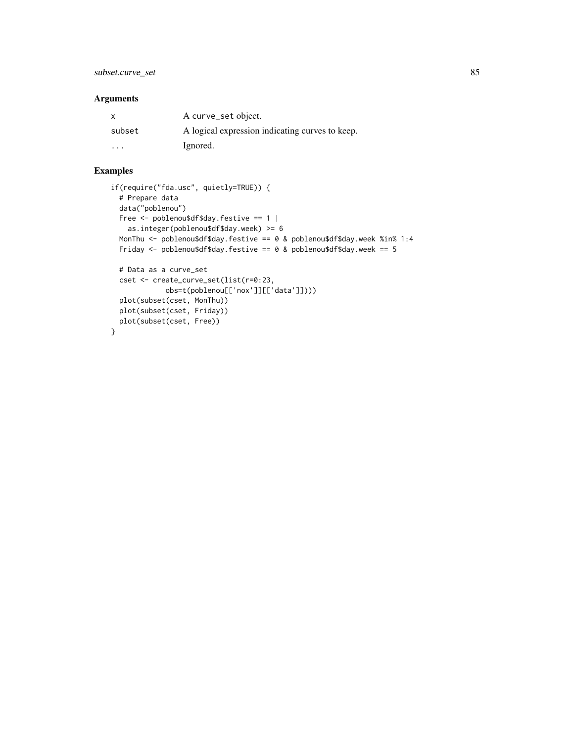## Arguments

| $\mathsf{x}$ | A curve_set object.                             |
|--------------|-------------------------------------------------|
| subset       | A logical expression indicating curves to keep. |
| $\cdots$     | Ignored.                                        |

# Examples

```
if(require("fda.usc", quietly=TRUE)) {
  # Prepare data
  data("poblenou")
 Free <- poblenou$df$day.festive == 1 |
   as.integer(poblenou$df$day.week) >= 6
  MonThu <- poblenou$df$day.festive == 0 & poblenou$df$day.week %in% 1:4
  Friday \leq poblenou$df$day.festive == 0 & poblenou$df$day.week == 5
  # Data as a curve_set
  cset <- create_curve_set(list(r=0:23,
            obs=t(poblenou[['nox']][['data']])))
  plot(subset(cset, MonThu))
  plot(subset(cset, Friday))
 plot(subset(cset, Free))
}
```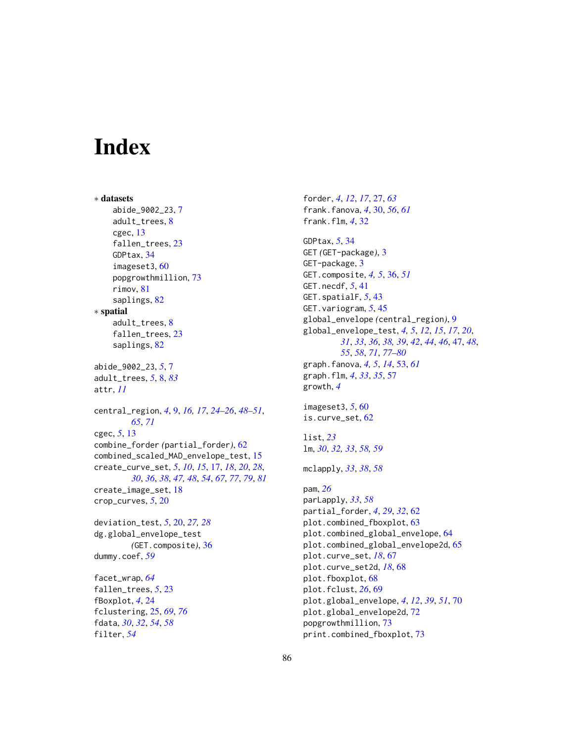# **Index**

filter, *[54](#page-53-0)*

∗ datasets abide\_9002\_23, [7](#page-6-0) adult\_trees, [8](#page-7-1) cgec, [13](#page-12-0) fallen\_trees, [23](#page-22-0) GDPtax, [34](#page-33-0) imageset3, [60](#page-59-0) popgrowthmillion, [73](#page-72-0) rimov, [81](#page-80-0) saplings, [82](#page-81-0) ∗ spatial adult\_trees, [8](#page-7-1) fallen\_trees, [23](#page-22-0) saplings, [82](#page-81-0) abide\_9002\_23, *[5](#page-4-0)*, [7](#page-6-0) adult\_trees, *[5](#page-4-0)*, [8,](#page-7-1) *[83](#page-82-0)* attr, *[11](#page-10-0)* central\_region, *[4](#page-3-0)*, [9,](#page-8-0) *[16,](#page-15-0) [17](#page-16-1)*, *[24–](#page-23-0)[26](#page-25-0)*, *[48–](#page-47-0)[51](#page-50-0)*, *[65](#page-64-0)*, *[71](#page-70-0)* cgec, *[5](#page-4-0)*, [13](#page-12-0) combine\_forder *(*partial\_forder*)*, [62](#page-61-0) combined\_scaled\_MAD\_envelope\_test, [15](#page-14-0) create\_curve\_set, *[5](#page-4-0)*, *[10](#page-9-0)*, *[15](#page-14-0)*, [17,](#page-16-1) *[18](#page-17-0)*, *[20](#page-19-0)*, *[28](#page-27-0)*, *[30](#page-29-0)*, *[36](#page-35-0)*, *[38](#page-37-0)*, *[47,](#page-46-1) [48](#page-47-0)*, *[54](#page-53-0)*, *[67](#page-66-0)*, *[77](#page-76-0)*, *[79](#page-78-0)*, *[81](#page-80-0)* create\_image\_set, [18](#page-17-0) crop\_curves, *[5](#page-4-0)*, [20](#page-19-0) deviation\_test, *[5](#page-4-0)*, [20,](#page-19-0) *[27,](#page-26-0) [28](#page-27-0)* dg.global\_envelope\_test *(*GET.composite*)*, [36](#page-35-0) dummy.coef, *[59](#page-58-0)* facet\_wrap, *[64](#page-63-0)* fallen\_trees, *[5](#page-4-0)*, [23](#page-22-0) fBoxplot, *[4](#page-3-0)*, [24](#page-23-0) fclustering, [25,](#page-24-1) *[69](#page-68-0)*, *[76](#page-75-0)* fdata, *[30](#page-29-0)*, *[32](#page-31-0)*, *[54](#page-53-0)*, *[58](#page-57-0)*

forder, *[4](#page-3-0)*, *[12](#page-11-0)*, *[17](#page-16-1)*, [27,](#page-26-0) *[63](#page-62-0)* frank.fanova, *[4](#page-3-0)*, [30,](#page-29-0) *[56](#page-55-0)*, *[61](#page-60-0)* frank.flm, *[4](#page-3-0)*, [32](#page-31-0) GDPtax, *[5](#page-4-0)*, [34](#page-33-0) GET *(*GET-package*)*, [3](#page-2-0) GET-package, [3](#page-2-0) GET.composite, *[4,](#page-3-0) [5](#page-4-0)*, [36,](#page-35-0) *[51](#page-50-0)* GET.necdf, *[5](#page-4-0)*, [41](#page-40-0) GET.spatialF, *[5](#page-4-0)*, [43](#page-42-0) GET.variogram, *[5](#page-4-0)*, [45](#page-44-0) global\_envelope *(*central\_region*)*, [9](#page-8-0) global\_envelope\_test, *[4,](#page-3-0) [5](#page-4-0)*, *[12](#page-11-0)*, *[15](#page-14-0)*, *[17](#page-16-1)*, *[20](#page-19-0)*, *[31](#page-30-0)*, *[33](#page-32-0)*, *[36](#page-35-0)*, *[38,](#page-37-0) [39](#page-38-0)*, *[42](#page-41-0)*, *[44](#page-43-0)*, *[46](#page-45-0)*, [47,](#page-46-1) *[48](#page-47-0)*, *[55](#page-54-0)*, *[58](#page-57-0)*, *[71](#page-70-0)*, *[77](#page-76-0)[–80](#page-79-0)* graph.fanova, *[4,](#page-3-0) [5](#page-4-0)*, *[14](#page-13-0)*, [53,](#page-52-0) *[61](#page-60-0)* graph.flm, *[4](#page-3-0)*, *[33](#page-32-0)*, *[35](#page-34-0)*, [57](#page-56-0) growth, *[4](#page-3-0)* imageset3, *[5](#page-4-0)*, [60](#page-59-0) is.curve\_set, [62](#page-61-0) list, *[23](#page-22-0)* lm, *[30](#page-29-0)*, *[32,](#page-31-0) [33](#page-32-0)*, *[58,](#page-57-0) [59](#page-58-0)* mclapply, *[33](#page-32-0)*, *[38](#page-37-0)*, *[58](#page-57-0)* pam, *[26](#page-25-0)* parLapply, *[33](#page-32-0)*, *[58](#page-57-0)* partial\_forder, *[4](#page-3-0)*, *[29](#page-28-0)*, *[32](#page-31-0)*, [62](#page-61-0) plot.combined\_fboxplot, [63](#page-62-0) plot.combined\_global\_envelope, [64](#page-63-0) plot.combined\_global\_envelope2d, [65](#page-64-0) plot.curve\_set, *[18](#page-17-0)*, [67](#page-66-0) plot.curve\_set2d, *[18](#page-17-0)*, [68](#page-67-0) plot.fboxplot, [68](#page-67-0) plot.fclust, *[26](#page-25-0)*, [69](#page-68-0) plot.global\_envelope, *[4](#page-3-0)*, *[12](#page-11-0)*, *[39](#page-38-0)*, *[51](#page-50-0)*, [70](#page-69-0) plot.global\_envelope2d, [72](#page-71-0) popgrowthmillion, [73](#page-72-0) print.combined\_fboxplot, [73](#page-72-0)